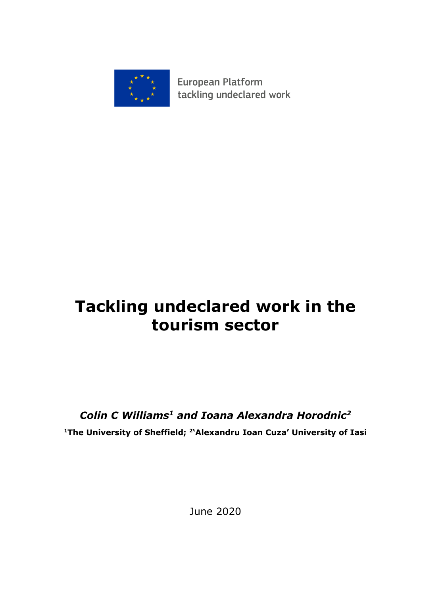

**European Platform** tackling undeclared work

# **Tackling undeclared work in the tourism sector**

## *Colin C Williams<sup>1</sup> and Ioana Alexandra Horodnic<sup>2</sup>*

**<sup>1</sup>The University of Sheffield; <sup>2</sup> 'Alexandru Ioan Cuza' University of Iasi**

June 2020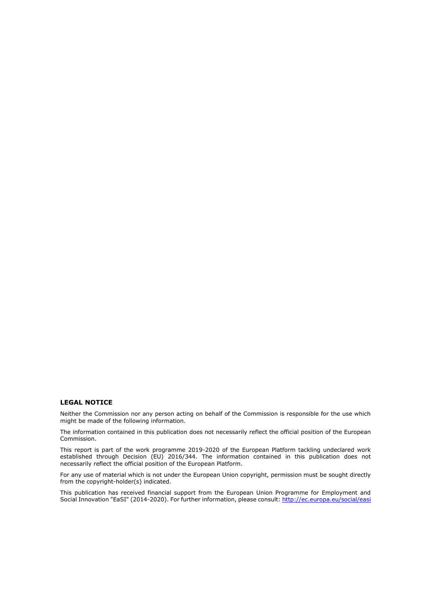#### **LEGAL NOTICE**

Neither the Commission nor any person acting on behalf of the Commission is responsible for the use which might be made of the following information.

The information contained in this publication does not necessarily reflect the official position of the European Commission.

This report is part of the work programme 2019-2020 of the European Platform tackling undeclared work established through Decision (EU) 2016/344. The information contained in this publication does not necessarily reflect the official position of the European Platform.

For any use of material which is not under the European Union copyright, permission must be sought directly from the copyright-holder(s) indicated.

This publication has received financial support from the European Union Programme for Employment and Social Innovation "EaSI" (2014-2020). For further information, please consult: <http://ec.europa.eu/social/easi>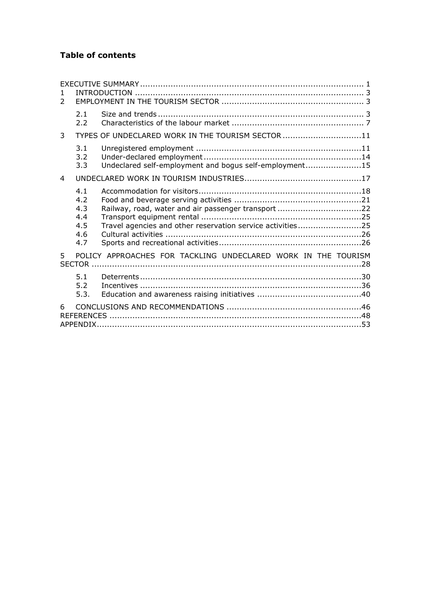## **Table of contents**

| 1.<br>$\mathcal{P}$ |                                               |                                                                                                                   |  |  |  |  |  |
|---------------------|-----------------------------------------------|-------------------------------------------------------------------------------------------------------------------|--|--|--|--|--|
|                     | 2.1<br>2.2                                    |                                                                                                                   |  |  |  |  |  |
| 3                   |                                               | TYPES OF UNDECLARED WORK IN THE TOURISM SECTOR 11                                                                 |  |  |  |  |  |
|                     | 3.1<br>3.2<br>3.3                             | Undeclared self-employment and bogus self-employment15                                                            |  |  |  |  |  |
| $\overline{4}$      |                                               |                                                                                                                   |  |  |  |  |  |
|                     | 4.1<br>4.2<br>4.3<br>4.4<br>4.5<br>4.6<br>4.7 | Railway, road, water and air passenger transport 22<br>Travel agencies and other reservation service activities25 |  |  |  |  |  |
| 5                   |                                               | POLICY APPROACHES FOR TACKLING UNDECLARED WORK IN THE TOURISM                                                     |  |  |  |  |  |
|                     | 5.1<br>5.2<br>5.3.                            |                                                                                                                   |  |  |  |  |  |
| 6                   |                                               |                                                                                                                   |  |  |  |  |  |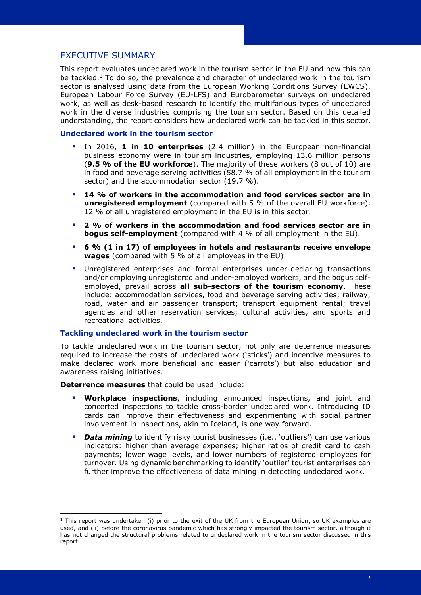## <span id="page-3-0"></span>EXECUTIVE SUMMARY

This report evaluates undeclared work in the tourism sector in the EU and how this can be tackled.<sup>1</sup> To do so, the prevalence and character of undeclared work in the tourism sector is analysed using data from the European Working Conditions Survey (EWCS), European Labour Force Survey (EU-LFS) and Eurobarometer surveys on undeclared work, as well as desk-based research to identify the multifarious types of undeclared work in the diverse industries comprising the tourism sector. Based on this detailed understanding, the report considers how undeclared work can be tackled in this sector.

## **Undeclared work in the tourism sector**

- In 2016, **1 in 10 enterprises** (2.4 million) in the European non-financial business economy were in tourism industries, employing 13.6 million persons (**9.5 % of the EU workforce**). The majority of these workers (8 out of 10) are in food and beverage serving activities (58.7 % of all employment in the tourism sector) and the accommodation sector (19.7 %).
- **14 % of workers in the accommodation and food services sector are in unregistered employment** (compared with 5 % of the overall EU workforce). 12 % of all unregistered employment in the EU is in this sector.
- **2 % of workers in the accommodation and food services sector are in bogus self-employment** (compared with 4 % of all employment in the EU).
- **6 % (1 in 17) of employees in hotels and restaurants receive envelope wages** (compared with 5 % of all employees in the EU).
- Unregistered enterprises and formal enterprises under-declaring transactions and/or employing unregistered and under-employed workers, and the bogus selfemployed, prevail across **all sub-sectors of the tourism economy**. These include: accommodation services, food and beverage serving activities; railway, road, water and air passenger transport; transport equipment rental; travel agencies and other reservation services; cultural activities, and sports and recreational activities.

#### **Tackling undeclared work in the tourism sector**

To tackle undeclared work in the tourism sector, not only are deterrence measures required to increase the costs of undeclared work ('sticks') and incentive measures to make declared work more beneficial and easier ('carrots') but also education and awareness raising initiatives.

**Deterrence measures** that could be used include:

- **Workplace inspections**, including announced inspections, and joint and concerted inspections to tackle cross-border undeclared work. Introducing ID cards can improve their effectiveness and experimenting with social partner involvement in inspections, akin to Iceland, is one way forward.
- *Data mining* to identify risky tourist businesses (i.e., 'outliers') can use various indicators: higher than average expenses; higher ratios of credit card to cash payments; lower wage levels, and lower numbers of registered employees for turnover. Using dynamic benchmarking to identify 'outlier' tourist enterprises can further improve the effectiveness of data mining in detecting undeclared work.

 $1$  This report was undertaken (i) prior to the exit of the UK from the European Union, so UK examples are used, and (ii) before the coronavirus pandemic which has strongly impacted the tourism sector, although it has not changed the structural problems related to undeclared work in the tourism sector discussed in this report.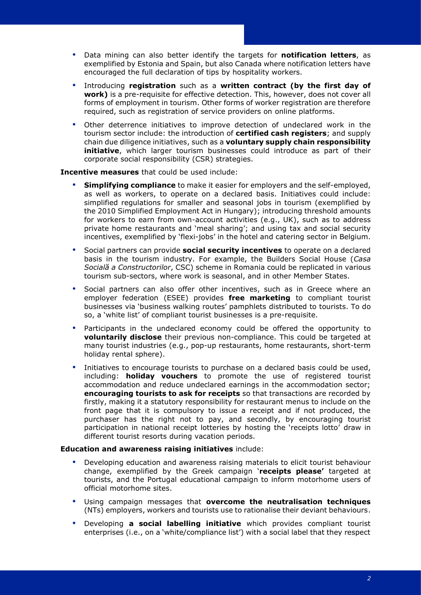- Data mining can also better identify the targets for **notification letters**, as exemplified by Estonia and Spain, but also Canada where notification letters have encouraged the full declaration of tips by hospitality workers.
- Introducing **registration** such as a **written contract (by the first day of work)** is a pre-requisite for effective detection. This, however, does not cover all forms of employment in tourism. Other forms of worker registration are therefore required, such as registration of service providers on online platforms.
- Other deterrence initiatives to improve detection of undeclared work in the tourism sector include: the introduction of **certified cash registers**; and supply chain due diligence initiatives, such as a **voluntary supply chain responsibility initiative**, which larger tourism businesses could introduce as part of their corporate social responsibility (CSR) strategies.

#### **Incentive measures** that could be used include:

- **Simplifying compliance** to make it easier for employers and the self-employed, as well as workers, to operate on a declared basis. Initiatives could include: simplified regulations for smaller and seasonal jobs in tourism (exemplified by the 2010 Simplified Employment Act in Hungary); introducing threshold amounts for workers to earn from own-account activities (e.g., UK), such as to address private home restaurants and 'meal sharing'; and using tax and social security incentives, exemplified by 'flexi-jobs' in the hotel and catering sector in Belgium.
- Social partners can provide **social security incentives** to operate on a declared basis in the tourism industry. For example, the Builders Social House (*Casa Socială a Constructorilor*, CSC) scheme in Romania could be replicated in various tourism sub-sectors, where work is seasonal, and in other Member States.
- Social partners can also offer other incentives, such as in Greece where an employer federation (ESEE) provides **free marketing** to compliant tourist businesses via 'business walking routes' pamphlets distributed to tourists. To do so, a 'white list' of compliant tourist businesses is a pre-requisite.
- Participants in the undeclared economy could be offered the opportunity to **voluntarily disclose** their previous non-compliance. This could be targeted at many tourist industries (e.g., pop-up restaurants, home restaurants, short-term holiday rental sphere).
- Initiatives to encourage tourists to purchase on a declared basis could be used, including: **holiday vouchers** to promote the use of registered tourist accommodation and reduce undeclared earnings in the accommodation sector; **encouraging tourists to ask for receipts** so that transactions are recorded by firstly, making it a statutory responsibility for restaurant menus to include on the front page that it is compulsory to issue a receipt and if not produced, the purchaser has the right not to pay, and secondly, by encouraging tourist participation in national receipt lotteries by hosting the 'receipts lotto' draw in different tourist resorts during vacation periods.

#### **Education and awareness raising initiatives** include:

- Developing education and awareness raising materials to elicit tourist behaviour change, exemplified by the Greek campaign '**receipts please'** targeted at tourists, and the Portugal educational campaign to inform motorhome users of official motorhome sites.
- Using campaign messages that **overcome the neutralisation techniques** (NTs) employers, workers and tourists use to rationalise their deviant behaviours.
- Developing **a social labelling initiative** which provides compliant tourist enterprises (i.e., on a 'white/compliance list') with a social label that they respect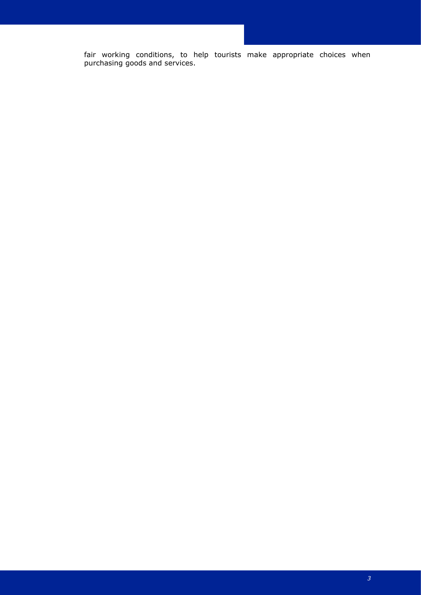fair working conditions, to help tourists make appropriate choices when purchasing goods and services.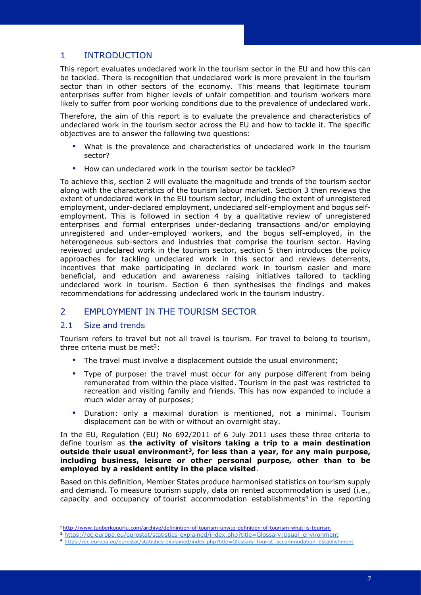## <span id="page-6-0"></span>1 INTRODUCTION

This report evaluates undeclared work in the tourism sector in the EU and how this can be tackled. There is recognition that undeclared work is more prevalent in the tourism sector than in other sectors of the economy. This means that legitimate tourism enterprises suffer from higher levels of unfair competition and tourism workers more likely to suffer from poor working conditions due to the prevalence of undeclared work.

Therefore, the aim of this report is to evaluate the prevalence and characteristics of undeclared work in the tourism sector across the EU and how to tackle it. The specific objectives are to answer the following two questions:

- What is the prevalence and characteristics of undeclared work in the tourism sector?
- How can undeclared work in the tourism sector be tackled?

To achieve this, section 2 will evaluate the magnitude and trends of the tourism sector along with the characteristics of the tourism labour market. Section 3 then reviews the extent of undeclared work in the EU tourism sector, including the extent of unregistered employment, under-declared employment, undeclared self-employment and bogus selfemployment. This is followed in section 4 by a qualitative review of unregistered enterprises and formal enterprises under-declaring transactions and/or employing unregistered and under-employed workers, and the bogus self-employed, in the heterogeneous sub-sectors and industries that comprise the tourism sector. Having reviewed undeclared work in the tourism sector, section 5 then introduces the policy approaches for tackling undeclared work in this sector and reviews deterrents, incentives that make participating in declared work in tourism easier and more beneficial, and education and awareness raising initiatives tailored to tackling undeclared work in tourism. Section 6 then synthesises the findings and makes recommendations for addressing undeclared work in the tourism industry.

## <span id="page-6-1"></span>2 EMPLOYMENT IN THE TOURISM SECTOR

## <span id="page-6-2"></span>2.1 Size and trends

Tourism refers to travel but not all travel is tourism. For travel to belong to tourism, three criteria must be met<sup>2</sup>:

- The travel must involve a displacement outside the usual environment;
- Type of purpose: the travel must occur for any purpose different from being remunerated from within the place visited. Tourism in the past was restricted to recreation and visiting family and friends. This has now expanded to include a much wider array of purposes;
- Duration: only a maximal duration is mentioned, not a minimal. Tourism displacement can be with or without an overnight stay.

In the EU, Regulation (EU) No 692/2011 of 6 July 2011 uses these three criteria to define tourism as **the activity of visitors taking a trip to a main destination outside their usual environment<sup>3</sup> , for less than a year, for any main purpose, including business, leisure or other personal purpose, other than to be employed by a resident entity in the place visited**.

Based on this definition, Member States produce harmonised statistics on tourism supply and demand. To measure tourism supply, data on rented accommodation is used (i.e., capacity and occupancy of tourist accommodation establishments<sup>4</sup> in the reporting

<sup>2</sup> <http://www.tugberkugurlu.com/archive/definintion-of-tourism-unwto-definition-of-tourism-what-is-tourism>

<sup>&</sup>lt;sup>3</sup> [https://ec.europa.eu/eurostat/statistics-explained/index.php?title=Glossary:Usual\\_environment](https://ec.europa.eu/eurostat/statistics-explained/index.php?title=Glossary:Usual_environment)

<sup>4</sup> [https://ec.europa.eu/eurostat/statistics-explained/index.php?title=Glossary:Tourist\\_accommodation\\_establishment](https://ec.europa.eu/eurostat/statistics-explained/index.php?title=Glossary:Tourist_accommodation_establishment)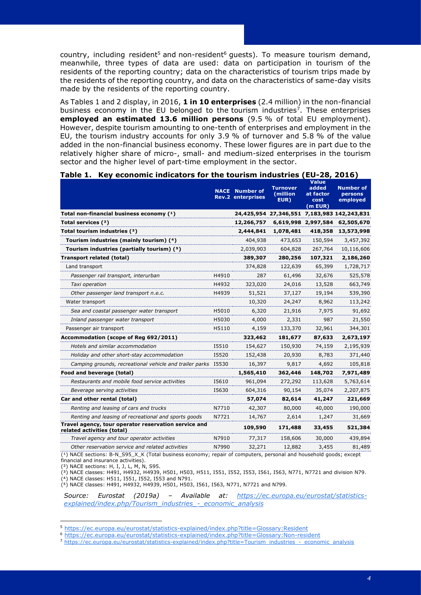country, including resident<sup>5</sup> and non-resident<sup>6</sup> quests). To measure tourism demand, meanwhile, three types of data are used: data on participation in tourism of the residents of the reporting country; data on the characteristics of tourism trips made by the residents of the reporting country, and data on the characteristics of same-day visits made by the residents of the reporting country.

As Tables 1 and 2 display, in 2016, **1 in 10 enterprises** (2.4 million) in the non-financial business economy in the EU belonged to the tourism industries<sup>7</sup>. These enterprises **employed an estimated 13.6 million persons** (9.5 % of total EU employment). However, despite tourism amounting to one-tenth of enterprises and employment in the EU, the tourism industry accounts for only 3.9 % of turnover and 5.8 % of the value added in the non-financial business economy. These lower figures are in part due to the relatively higher share of micro-, small- and medium-sized enterprises in the tourism sector and the higher level of part-time employment in the sector.

#### **Table 1. Key economic indicators for the tourism industries (EU-28, 2016)**

|                                                                                    |       | <b>NACE</b> Number of<br><b>Rev.2 enterprises</b> | <b>Turnover</b><br>(million<br>EUR) | <b>Value</b><br>added<br>at factor<br>cost<br>$(m$ EUR $)$ | <b>Number of</b><br>persons<br>employed     |
|------------------------------------------------------------------------------------|-------|---------------------------------------------------|-------------------------------------|------------------------------------------------------------|---------------------------------------------|
| Total non-financial business economy (1)                                           |       |                                                   |                                     |                                                            | 24,425,954 27,346,551 7,183,983 142,243,831 |
| Total services $(2)$                                                               |       | 12,266,757                                        |                                     | 6,619,998 2,997,584                                        | 62,505,670                                  |
| Total tourism industries (3)                                                       |       | 2,444,841                                         | 1,078,481                           | 418,358                                                    | 13,573,998                                  |
| Tourism industries (mainly tourism) (4)                                            |       | 404,938                                           | 473,653                             | 150,594                                                    | 3,457,392                                   |
| Tourism industries (partially tourism) (5)                                         |       | 2,039,903                                         | 604,828                             | 267,764                                                    | 10,116,606                                  |
| <b>Transport related (total)</b>                                                   |       | 389,307                                           | 280,256                             | 107,321                                                    | 2,186,260                                   |
| Land transport                                                                     |       | 374,828                                           | 122,639                             | 65,399                                                     | 1,728,717                                   |
| Passenger rail transport, interurban                                               | H4910 | 287                                               | 61,496                              | 32,676                                                     | 525,578                                     |
| Taxi operation                                                                     | H4932 | 323,020                                           | 24,016                              | 13,528                                                     | 663,749                                     |
| Other passenger land transport n.e.c.                                              | H4939 | 51,521                                            | 37,127                              | 19,194                                                     | 539,390                                     |
| Water transport                                                                    |       | 10,320                                            | 24,247                              | 8,962                                                      | 113,242                                     |
| Sea and coastal passenger water transport                                          | H5010 | 6,320                                             | 21,916                              | 7,975                                                      | 91,692                                      |
| Inland passenger water transport                                                   | H5030 | 4,000                                             | 2,331                               | 987                                                        | 21,550                                      |
| Passenger air transport                                                            | H5110 | 4,159                                             | 133,370                             | 32,961                                                     | 344,301                                     |
| Accommodation (scope of Reg 692/2011)                                              |       | 323,462                                           | 181,677                             | 87,633                                                     | 2,673,197                                   |
| Hotels and similar accommodation                                                   | 15510 | 154,627                                           | 150,930                             | 74,159                                                     | 2,195,939                                   |
| Holiday and other short-stay accommodation                                         | I5520 | 152,438                                           | 20,930                              | 8,783                                                      | 371,440                                     |
| Camping grounds, recreational vehicle and trailer parks 15530                      |       | 16,397                                            | 9,817                               | 4,692                                                      | 105,818                                     |
| Food and beverage (total)                                                          |       | 1,565,410                                         | 362,446                             | 148,702                                                    | 7,971,489                                   |
| Restaurants and mobile food service activities                                     | I5610 | 961,094                                           | 272,292                             | 113,628                                                    | 5,763,614                                   |
| Beverage serving activities                                                        | I5630 | 604,316                                           | 90,154                              | 35,074                                                     | 2,207,875                                   |
| Car and other rental (total)                                                       |       | 57,074                                            | 82,614                              | 41,247                                                     | 221,669                                     |
| Renting and leasing of cars and trucks                                             | N7710 | 42,307                                            | 80,000                              | 40,000                                                     | 190,000                                     |
| Renting and leasing of recreational and sports goods                               | N7721 | 14,767                                            | 2,614                               | 1,247                                                      | 31,669                                      |
| Travel agency, tour operator reservation service and<br>related activities (total) |       | 109,590                                           | 171,488                             | 33,455                                                     | 521,384                                     |
| Travel agency and tour operator activities                                         | N7910 | 77,317                                            | 158,606                             | 30,000                                                     | 439,894                                     |
| Other reservation service and related activities                                   | N7990 | 32,271                                            | 12,882                              | 3,455                                                      | 81,489                                      |

 $(1)$  NACE sections: B-N\_S95\_X\_K (Total business economy; repair of computers, personal and household goods; except financial and insurance activities).

 $(2)$  NACE sections: H, I, J, L, M, N, S95.

(³) NACE classes: H491, H4932, H4939, H501, H503, H511, I551, I552, I553, I561, I563, N771, N7721 and division N79.

(⁴) NACE classes: H511, I551, I552, I553 and N791.

(⁵) NACE classes: H491, H4932, H4939, H501, H503, I561, I563, N771, N7721 and N799.

*Source: Eurostat (2019a) – Available at: [https://ec.europa.eu/eurostat/statistics](https://ec.europa.eu/eurostat/statistics-explained/index.php/Tourism_industries_-_economic_analysis)[explained/index.php/Tourism\\_industries\\_-\\_economic\\_analysis](https://ec.europa.eu/eurostat/statistics-explained/index.php/Tourism_industries_-_economic_analysis)*

<sup>5</sup> <https://ec.europa.eu/eurostat/statistics-explained/index.php?title=Glossary:Resident>

<sup>6</sup> <https://ec.europa.eu/eurostat/statistics-explained/index.php?title=Glossary:Non-resident>

<sup>7</sup> [https://ec.europa.eu/eurostat/statistics-explained/index.php?title=Tourism\\_industries\\_-\\_economic\\_analysis](https://ec.europa.eu/eurostat/statistics-explained/index.php?title=Tourism_industries_-_economic_analysis)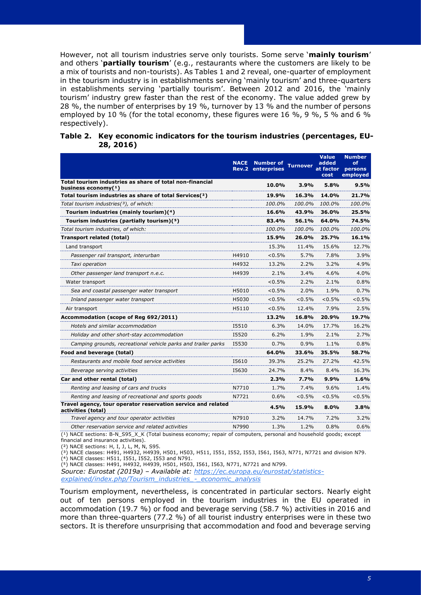However, not all tourism industries serve only tourists. Some serve '**mainly tourism**' and others '**partially tourism**' (e.g., restaurants where the customers are likely to be a mix of tourists and non-tourists). As Tables 1 and 2 reveal, one-quarter of employment in the tourism industry is in establishments serving 'mainly tourism' and three-quarters in establishments serving 'partially tourism'. Between 2012 and 2016, the 'mainly tourism' industry grew faster than the rest of the economy. The value added grew by 28 %, the number of enterprises by 19 %, turnover by 13 % and the number of persons employed by 10 % (for the total economy, these figures were 16 %, 9 %, 5 % and 6 % respectively).

|                                                                                    | <b>NACE</b><br>Rev.2 | <b>Number of</b><br>enterprises | <b>Turnover</b> | <b>Value</b><br>added<br>at factor<br>cost | <b>Number</b><br>of<br>persons<br>employed |
|------------------------------------------------------------------------------------|----------------------|---------------------------------|-----------------|--------------------------------------------|--------------------------------------------|
| Total tourism industries as share of total non-financial<br>business economy $(1)$ |                      | 10.0%                           | 3.9%            | 5.8%                                       | $9.5\%$                                    |
| Total tourism industries as share of total Services(2)                             |                      | 19.9%                           | 16.3%           | 14.0%                                      | 21.7%                                      |
| Total tourism industries(3), of which:                                             |                      | 100.0%                          | 100.0%          | 100.0%                                     | 100.0%                                     |
| Tourism industries (mainly tourism)(4)                                             |                      | 16.6%                           | 43.9%           | 36.0%                                      | 25.5%                                      |
| Tourism industries (partially tourism)(5)                                          |                      | 83.4%                           | 56.1%           | 64.0%                                      | 74.5%                                      |
| Total tourism industries, of which:                                                |                      | 100.0%                          | 100.0%          | 100.0%                                     | 100.0%                                     |
| <b>Transport related (total)</b>                                                   |                      | 15.9%                           | 26.0%           | 25.7%                                      | 16.1%                                      |
| Land transport                                                                     |                      | 15.3%                           | 11.4%           | 15.6%                                      | 12.7%                                      |
| Passenger rail transport, interurban                                               | H4910                | $< 0.5\%$                       | 5.7%            | 7.8%                                       | 3.9%                                       |
| Taxi operation                                                                     | H4932                | 13.2%                           | 2.2%            | 3.2%                                       | 4.9%                                       |
| Other passenger land transport n.e.c.                                              | H4939                | $2.1\%$                         | 3.4%            | 4.6%                                       | 4.0%                                       |
| Water transport                                                                    |                      | $< 0.5\%$                       | 2.2%            | 2.1%                                       | 0.8%                                       |
| Sea and coastal passenger water transport                                          | H5010                | $< 0.5\%$                       | 2.0%            | 1.9%                                       | 0.7%                                       |
| Inland passenger water transport                                                   | H5030                | $< 0.5\%$                       | $< 0.5\%$       | $< 0.5\%$                                  | $< 0.5\%$                                  |
| Air transport                                                                      | H5110                | < 0.5%                          | 12.4%           | 7.9%                                       | 2.5%                                       |
| Accommodation (scope of Reg 692/2011)                                              |                      | 13.2%                           | 16.8%           | 20.9%                                      | 19.7%                                      |
| Hotels and similar accommodation                                                   | 15510                | $6.3\%$                         | 14.0%           | 17.7%                                      | 16.2%                                      |
| Holiday and other short-stay accommodation                                         | 15520                | 6.2%                            | 1.9%            | 2.1%                                       | 2.7%                                       |
| Camping grounds, recreational vehicle parks and trailer parks                      | 15530                | $0.7\%$                         | 0.9%            | 1.1%                                       | 0.8%                                       |
| Food and beverage (total)                                                          |                      | 64.0%                           | 33.6%           | 35.5%                                      | 58.7%                                      |
| Restaurants and mobile food service activities                                     | 15610                | 39.3%                           | 25.2%           | 27.2%                                      | 42.5%                                      |
| Beverage serving activities                                                        | 15630                | 24.7%                           | 8.4%            | 8.4%                                       | 16.3%                                      |
| Car and other rental (total)                                                       |                      | 2.3%                            | 7.7%            | 9.9%                                       | 1.6%                                       |
| Renting and leasing of cars and trucks                                             | N7710                | 1.7%                            | 7.4%            | 9.6%                                       | 1.4%                                       |
| Renting and leasing of recreational and sports goods                               | N7721                | 0.6%                            | < 0.5%          | < 0.5%                                     | $< 0.5\%$                                  |
| Travel agency, tour operator reservation service and related<br>activities (total) |                      | 4.5%                            | 15.9%           | $8.0\%$                                    | 3.8%                                       |
| Travel agency and tour operator activities                                         | N7910                | 3.2%                            | 14.7%           | 7.2%                                       | $3.2\%$                                    |
| Other reservation service and related activities                                   | N7990                | 1.3%                            | 1.2%            | 0.8%                                       | 0.6%                                       |

#### **Table 2. Key economic indicators for the tourism industries (percentages, EU-28, 2016)**

(<sup>1</sup>) NACE sections: B-N\_S95\_X\_K (Total business economy; repair of computers, personal and household goods; except financial and insurance activities).

(²) NACE sections: H, I, J, L, M, N, S95.

(³) NACE classes: H491, H4932, H4939, H501, H503, H511, I551, I552, I553, I561, I563, N771, N7721 and division N79.

(⁴) NACE classes: H511, I551, I552, I553 and N791.

(⁵) NACE classes: H491, H4932, H4939, H501, H503, I561, I563, N771, N7721 and N799.

*Source: Eurostat (2019a) – Available at: [https://ec.europa.eu/eurostat/statistics](https://ec.europa.eu/eurostat/statistics-explained/index.php/Tourism_industries_-_economic_analysis)[explained/index.php/Tourism\\_industries\\_-\\_economic\\_analysis](https://ec.europa.eu/eurostat/statistics-explained/index.php/Tourism_industries_-_economic_analysis)*

Tourism employment, nevertheless, is concentrated in particular sectors. Nearly eight out of ten persons employed in the tourism industries in the EU operated in accommodation (19.7 %) or food and beverage serving (58.7 %) activities in 2016 and more than three-quarters (77.2 %) of all tourist industry enterprises were in these two sectors. It is therefore unsurprising that accommodation and food and beverage serving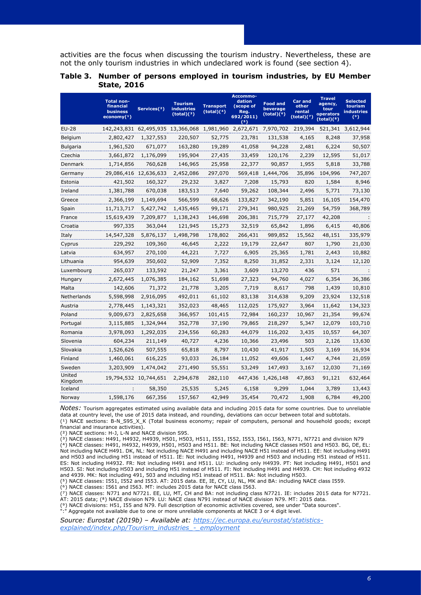activities are the focus when discussing the tourism industry. Nevertheless, these are not the only tourism industries in which undeclared work is found (see section 4).

|                   | <b>Total non-</b><br>financial<br><b>business</b><br>$e_{\text{conomy}(1)}$ | Services(2)           | <b>Tourism</b><br><b>industries</b><br>(total)(3) | <b>Transport</b><br>(total)(4) | Accommo-<br>dation<br>(scope of<br>Reg.<br>692/2011)<br>(5) | <b>Food and</b><br>beverage<br>(total)( <sup>6</sup> ) | <b>Car and</b><br>other<br>rental<br>(total)(?) | <b>Travel</b><br>agency,<br>tour<br>operators<br>(total)( <sup>8</sup> ) | <b>Selected</b><br>tourism<br><b>industries</b><br>(9) |
|-------------------|-----------------------------------------------------------------------------|-----------------------|---------------------------------------------------|--------------------------------|-------------------------------------------------------------|--------------------------------------------------------|-------------------------------------------------|--------------------------------------------------------------------------|--------------------------------------------------------|
| EU-28             | 142,243,831 62,495,935 13,366,068 1,981,960 2,672,671 7,970,702             |                       |                                                   |                                |                                                             |                                                        | 219,394                                         |                                                                          | 521,341 3,612,944                                      |
| Belgium           | 2,802,427                                                                   | 1,327,553             | 220,507                                           | 52,775                         | 23,781                                                      | 131,538                                                | 4,165                                           | 8,248                                                                    | 37,958                                                 |
| <b>Bulgaria</b>   | 1,961,520                                                                   | 671,077               | 163,280                                           | 19,289                         | 41,058                                                      | 94,228                                                 | 2,481                                           | 6,224                                                                    | 50,507                                                 |
| Czechia           | 3,661,872                                                                   | 1,176,099             | 195,904                                           | 27,435                         | 33,459                                                      | 120,176                                                | 2,239                                           | 12,595                                                                   | 51,017                                                 |
| Denmark           | 1,714,856                                                                   | 760,628               | 146,965                                           | 25,958                         | 22,377                                                      | 90,857                                                 | 1,955                                           | 5,818                                                                    | 33,788                                                 |
| Germany           |                                                                             | 29,086,416 12,636,633 | 2,452,086                                         | 297,070                        | 569,418                                                     | 1,444,706                                              | 35,896                                          | 104,996                                                                  | 747,207                                                |
| Estonia           | 421,502                                                                     | 160,327               | 29,232                                            | 3,827                          | 7,208                                                       | 15,793                                                 | 820                                             | 1,584                                                                    | 8,946                                                  |
| Ireland           | 1,381,788                                                                   | 670,038               | 183,513                                           | 7,640                          | 59,262                                                      | 108,344                                                | 2,496                                           | 5,771                                                                    | 73,130                                                 |
| Greece            | 2,366,199                                                                   | 1,149,694             | 566,599                                           | 68,626                         | 133,827                                                     | 342,190                                                | 5,851                                           | 16,105                                                                   | 154,470                                                |
| Spain             | 11,713,717                                                                  | 5,427,742             | 1,435,465                                         | 99,171                         | 279,341                                                     | 980,925                                                | 21,269                                          | 54,759                                                                   | 368,789                                                |
| France            | 15,619,439                                                                  | 7,209,877             | 1,138,243                                         | 146,698                        | 206,381                                                     | 715,779                                                | 27,177                                          | 42,208                                                                   | - 1                                                    |
| Croatia           | 997,335                                                                     | 363,044               | 121,945                                           | 15,273                         | 32,519                                                      | 65,842                                                 | 1,896                                           | 6,415                                                                    | 40,806                                                 |
| Italy             | 14,547,328                                                                  | 5,876,137             | 1,498,798                                         | 178,802                        | 266,431                                                     | 989,852                                                | 15,562                                          | 48,151                                                                   | 335,979                                                |
| Cyprus            | 229,292                                                                     | 109,360               | 46,645                                            | 2,222                          | 19,179                                                      | 22,647                                                 | 807                                             | 1,790                                                                    | 21,030                                                 |
| Latvia            | 634,957                                                                     | 270,100               | 44,221                                            | 7,727                          | 6,905                                                       | 25,365                                                 | 1,781                                           | 2,443                                                                    | 10,882                                                 |
| Lithuania         | 954,639                                                                     | 350,602               | 52,909                                            | 7,352                          | 8,250                                                       | 31,852                                                 | 2,331                                           | 3,124                                                                    | 12,120                                                 |
| Luxembourg        | 265,037                                                                     | 133,592               | 21,247                                            | 3,361                          | 3,609                                                       | 13,270                                                 | 436                                             | 571                                                                      |                                                        |
| Hungary           | 2,672,445                                                                   | 1,076,385             | 184,162                                           | 51,698                         | 27,323                                                      | 94,760                                                 | 4,027                                           | 6,354                                                                    | 36,386                                                 |
| Malta             | 142,606                                                                     | 71,372                | 21,778                                            | 3,205                          | 7,719                                                       | 8,617                                                  | 798                                             | 1,439                                                                    | 10,810                                                 |
| Netherlands       | 5,598,998                                                                   | 2,916,095             | 492,011                                           | 61,102                         | 83,138                                                      | 314,638                                                | 9,209                                           | 23,924                                                                   | 132,518                                                |
| Austria           | 2,778,445                                                                   | 1,143,321             | 352,023                                           | 48,465                         | 112,025                                                     | 175,927                                                | 3,964                                           | 11,642                                                                   | 134,323                                                |
| Poland            | 9,009,673                                                                   | 2,825,658             | 366,957                                           | 101,415                        | 72,984                                                      | 160,237                                                | 10,967                                          | 21,354                                                                   | 99,674                                                 |
| Portugal          | 3,115,885                                                                   | 1,324,944             | 352,778                                           | 37,190                         | 79,865                                                      | 218,297                                                | 5,347                                           | 12,079                                                                   | 103,710                                                |
| Romania           | 3,978,093                                                                   | 1,292,035             | 234,556                                           | 60,283                         | 44,079                                                      | 116,202                                                | 3,435                                           | 10,557                                                                   | 64,307                                                 |
| Slovenia          | 604,234                                                                     | 211,149               | 40,727                                            | 4,236                          | 10,366                                                      | 23,496                                                 | 503                                             | 2,126                                                                    | 13,630                                                 |
| Slovakia          | 1,526,626                                                                   | 507,555               | 65,818                                            | 8,797                          | 10,430                                                      | 41,917                                                 | 1,505                                           | 3,169                                                                    | 16,934                                                 |
| Finland           | 1,460,061                                                                   | 616,225               | 93,033                                            | 26,184                         | 11,052                                                      | 49,606                                                 | 1,447                                           | 4,744                                                                    | 21,059                                                 |
| Sweden            | 3,203,909                                                                   | 1,474,042             | 271,490                                           | 55,551                         | 53,249                                                      | 147,493                                                | 3,167                                           | 12,030                                                                   | 71,169                                                 |
| United<br>Kingdom |                                                                             | 19,794,532 10,744,651 | 2,294,678                                         | 282,110                        |                                                             | 447,436 1,426,148                                      | 47,863                                          | 91,121                                                                   | 632,464                                                |
| Iceland           | ÷                                                                           | 58,350                | 25,535                                            | 5,245                          | 6,158                                                       | 9,299                                                  | 1,044                                           | 3,789                                                                    | 13,443                                                 |
| Norway            | 1,598,176                                                                   | 667,356               | 157,567                                           | 42,949                         | 35,454                                                      | 70,472                                                 | 1,908                                           | 6,784                                                                    | 49,200                                                 |

#### **Table 3. Number of persons employed in tourism industries, by EU Member State, 2016**

*Notes:* Tourism aggregates estimated using available data and including 2015 data for some countries. Due to unreliable data at country level, the use of 2015 data instead, and rounding, deviations can occur between total and subtotals. (4) NACE sections: B-N\_S95\_X\_K (Total business economy; repair of computers, personal and household goods; except

financial and insurance activities).

(²) NACE sections: H-J, L-N and NACE division S95.

(³) NACE classes: H491, H4932, H4939, H501, H503, H511, I551, I552, I553, I561, I563, N771, N7721 and division N79 (⁴) NACE classes: H491, H4932, H4939, H501, H503 and H511. BE: Not including NACE classes H501 and H503. BG, DE, EL: Not including NACE H491. DK, NL: Not including NACE H491 and including NACE H51 instead of H511. EE: Not including H491 and H503 and including H51 instead of H511. IE: Not including H491, H4939 and H503 and including H51 instead of H511. ES: Not including H4932. FR: Not including H491 and H511. LU: including only H4939. PT: Not including H491, H501 and H503. SI: Not including H503 and including H51 instead of H511. FI: Not including H491 and H4939. CH: Not including 4932 and 4939. MK: Not including 491, 503 and including H51 instead of H511. BA: Not including H503.

(⁵) NACE classes: I551, I552 and I553. AT: 2015 data. EE, IE, CY, LU, NL, MK and BA: including NACE class I559.

(⁶) NACE classes: I561 and I563. MT: includes 2015 data for NACE class I563.

 $(7)$  NACE classes: N771 and N7721. EE, LU, MT, CH and BA: not including class N7721. IE: includes 2015 data for N7721.

AT: 2015 data; (<sup>8</sup>) NACE division N79. LU: NACE class N791 instead of NACE division N79. MT: 2015 data.

(⁹) NACE divisions: H51, I55 and N79. Full description of economic activities covered, see under "Data sources".

":" Aggregate not available due to one or more unreliable components at NACE 3 or 4 digit level.

*Source: Eurostat (2019b) – Available at: [https://ec.europa.eu/eurostat/statistics](https://ec.europa.eu/eurostat/statistics-explained/index.php/Tourism_industries_-_employment)[explained/index.php/Tourism\\_industries\\_-\\_employment](https://ec.europa.eu/eurostat/statistics-explained/index.php/Tourism_industries_-_employment)*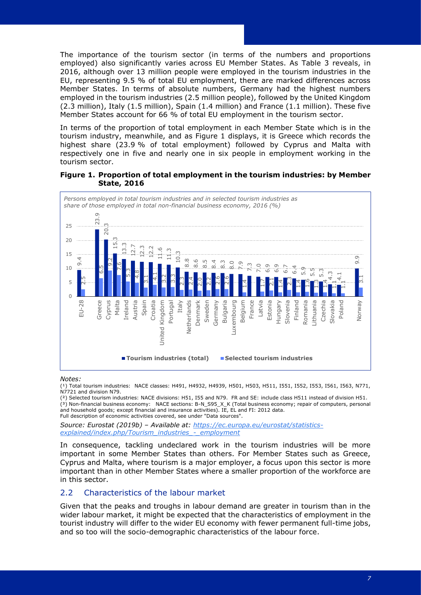The importance of the tourism sector (in terms of the numbers and proportions employed) also significantly varies across EU Member States. As Table 3 reveals, in 2016, although over 13 million people were employed in the tourism industries in the EU, representing 9.5 % of total EU employment, there are marked differences across Member States. In terms of absolute numbers, Germany had the highest numbers employed in the tourism industries (2.5 million people), followed by the United Kingdom (2.3 million), Italy (1.5 million), Spain (1.4 million) and France (1.1 million). These five Member States account for 66 % of total EU employment in the tourism sector.

In terms of the proportion of total employment in each Member State which is in the tourism industry, meanwhile, and as Figure 1 displays, it is Greece which records the highest share (23.9 % of total employment) followed by Cyprus and Malta with respectively one in five and nearly one in six people in employment working in the tourism sector.

#### **Figure 1. Proportion of total employment in the tourism industries: by Member State, 2016**



#### *Notes:*

(1) Total tourism industries: NACE classes: H491, H4932, H4939, H501, H503, H511, I551, I552, I553, I561, I563, N771, N7721 and division N79.

(²) Selected tourism industries: NACE divisions: H51, I55 and N79. FR and SE: include class H511 instead of division H51. (³) Non-financial business economy: NACE sections: B-N\_S95\_X\_K (Total business economy; repair of computers, personal and household goods; except financial and insurance activities). IE, EL and FI: 2012 data. Full description of economic activities covered, see under "Data sources".

*Source: Eurostat (2019b) – Available at: [https://ec.europa.eu/eurostat/statistics](https://ec.europa.eu/eurostat/statistics-explained/index.php/Tourism_industries_-_employment)[explained/index.php/Tourism\\_industries\\_-\\_employment](https://ec.europa.eu/eurostat/statistics-explained/index.php/Tourism_industries_-_employment)*

In consequence, tackling undeclared work in the tourism industries will be more important in some Member States than others. For Member States such as Greece, Cyprus and Malta, where tourism is a major employer, a focus upon this sector is more important than in other Member States where a smaller proportion of the workforce are in this sector.

## <span id="page-10-0"></span>2.2 Characteristics of the labour market

Given that the peaks and troughs in labour demand are greater in tourism than in the wider labour market, it might be expected that the characteristics of employment in the tourist industry will differ to the wider EU economy with fewer permanent full-time jobs,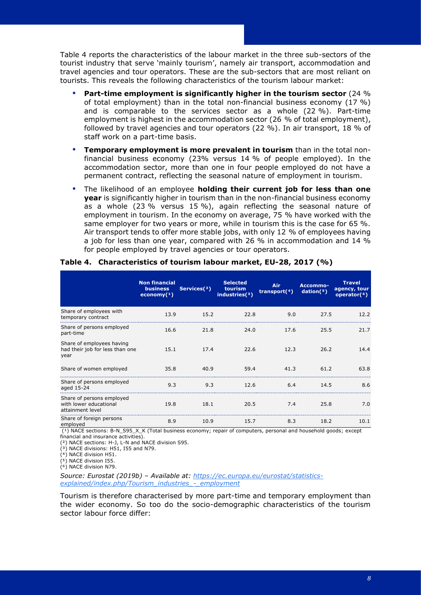Table 4 reports the characteristics of the labour market in the three sub-sectors of the tourist industry that serve 'mainly tourism', namely air transport, accommodation and travel agencies and tour operators. These are the sub-sectors that are most reliant on tourists. This reveals the following characteristics of the tourism labour market:

- **Part-time employment is significantly higher in the tourism sector** (24 % of total employment) than in the total non-financial business economy (17 %) and is comparable to the services sector as a whole (22 %). Part-time employment is highest in the accommodation sector (26 % of total employment), followed by travel agencies and tour operators (22 %). In air transport, 18 % of staff work on a part-time basis.
- **Temporary employment is more prevalent in tourism** than in the total nonfinancial business economy (23% versus 14 % of people employed). In the accommodation sector, more than one in four people employed do not have a permanent contract, reflecting the seasonal nature of employment in tourism.
- The likelihood of an employee **holding their current job for less than one year** is significantly higher in tourism than in the non-financial business economy as a whole (23 % versus 15 %), again reflecting the seasonal nature of employment in tourism. In the economy on average, 75 % have worked with the same employer for two years or more, while in tourism this is the case for 65 %. Air transport tends to offer more stable jobs, with only 12 % of employees having a job for less than one year, compared with 26 % in accommodation and 14 % for people employed by travel agencies or tour operators.

|                                                                         | <b>Non financial</b><br><b>business</b><br>economy $(1)$ | Services <sup>(2)</sup> | <b>Selected</b><br>tourism<br>industries $(3)$ | Air<br>transport $(4)$ | Accommo-<br>dation(5) | <b>Travel</b><br>agency, tour<br>operator $(6)$ |
|-------------------------------------------------------------------------|----------------------------------------------------------|-------------------------|------------------------------------------------|------------------------|-----------------------|-------------------------------------------------|
| Share of employees with<br>temporary contract                           | 13.9                                                     | 15.2                    | 22.8                                           | 9.0                    | 27.5                  | 12.2                                            |
| Share of persons employed<br>part-time                                  | 16.6                                                     | 21.8                    | 24.0                                           | 17.6                   | 25.5                  | 21.7                                            |
| Share of employees having<br>had their job for less than one<br>year    | 15.1                                                     | 17.4                    | 22.6                                           | 12.3                   | 26.2                  | 14.4                                            |
| Share of women employed                                                 | 35.8                                                     | 40.9                    | 59.4                                           | 41.3                   | 61.2                  | 63.8                                            |
| Share of persons employed<br>aged 15-24                                 | 9.3                                                      | 9.3                     | 12.6                                           | 6.4                    | 14.5                  | 8.6                                             |
| Share of persons employed<br>with lower educational<br>attainment level | 19.8                                                     | 18.1                    | 20.5                                           | 7.4                    | 25.8                  | 7.0                                             |
| Share of foreign persons<br>employed                                    | 8.9                                                      | 10.9                    | 15.7                                           | 8.3                    | 18.2                  | 10.1                                            |

#### **Table 4. Characteristics of tourism labour market, EU-28, 2017 (%)**

( $\overline{a}$ ) NACE sections: B-N\_S95\_X\_K (Total business economy; repair of computers, personal and household goods; except financial and insurance activities).

(²) NACE sections: H-J, L-N and NACE division S95.

 $(3)$  NACE divisions: H51, I55 and N79.

 $(4)$  NACE division H51.

 $(5)$  NACE division I55.

 $(6)$  NACE division N79.

*Source: Eurostat (2019b) – Available at: [https://ec.europa.eu/eurostat/statistics](https://ec.europa.eu/eurostat/statistics-explained/index.php/Tourism_industries_-_employment)[explained/index.php/Tourism\\_industries\\_-\\_employment](https://ec.europa.eu/eurostat/statistics-explained/index.php/Tourism_industries_-_employment)*

Tourism is therefore characterised by more part-time and temporary employment than the wider economy. So too do the socio-demographic characteristics of the tourism sector labour force differ: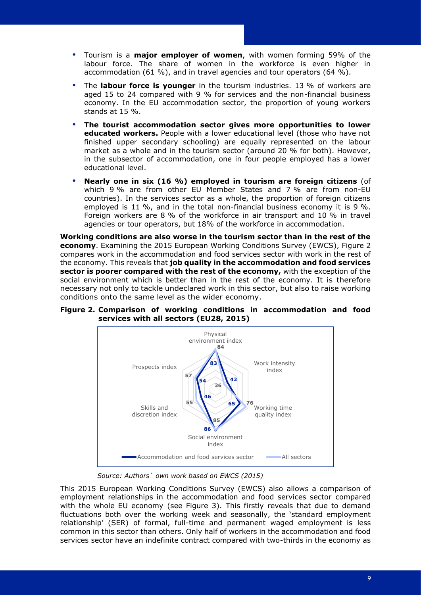- Tourism is a **major employer of women**, with women forming 59% of the labour force. The share of women in the workforce is even higher in accommodation (61 %), and in travel agencies and tour operators (64 %).
- The **labour force is younger** in the tourism industries. 13 % of workers are aged 15 to 24 compared with 9 % for services and the non-financial business economy. In the EU accommodation sector, the proportion of young workers stands at 15 %.
- **The tourist accommodation sector gives more opportunities to lower educated workers.** People with a lower educational level (those who have not finished upper secondary schooling) are equally represented on the labour market as a whole and in the tourism sector (around 20 % for both). However, in the subsector of accommodation, one in four people employed has a lower educational level.
- **Nearly one in six (16 %) employed in tourism are foreign citizens** (of which 9 % are from other EU Member States and 7 % are from non-EU countries). In the services sector as a whole, the proportion of foreign citizens employed is 11 %, and in the total non-financial business economy it is 9 %. Foreign workers are 8 % of the workforce in air transport and 10 % in travel agencies or tour operators, but 18% of the workforce in accommodation.

**Working conditions are also worse in the tourism sector than in the rest of the economy**. Examining the 2015 European Working Conditions Survey (EWCS), Figure 2 compares work in the accommodation and food services sector with work in the rest of the economy. This reveals that **job quality in the accommodation and food services sector is poorer compared with the rest of the economy,** with the exception of the social environment which is better than in the rest of the economy. It is therefore necessary not only to tackle undeclared work in this sector, but also to raise working conditions onto the same level as the wider economy.

**Figure 2. Comparison of working conditions in accommodation and food services with all sectors (EU28, 2015)**



*Source: Authors` own work based on EWCS (2015)*

This 2015 European Working Conditions Survey (EWCS) also allows a comparison of employment relationships in the accommodation and food services sector compared with the whole EU economy (see Figure 3). This firstly reveals that due to demand fluctuations both over the working week and seasonally, the 'standard employment relationship' (SER) of formal, full-time and permanent waged employment is less common in this sector than others. Only half of workers in the accommodation and food services sector have an indefinite contract compared with two-thirds in the economy as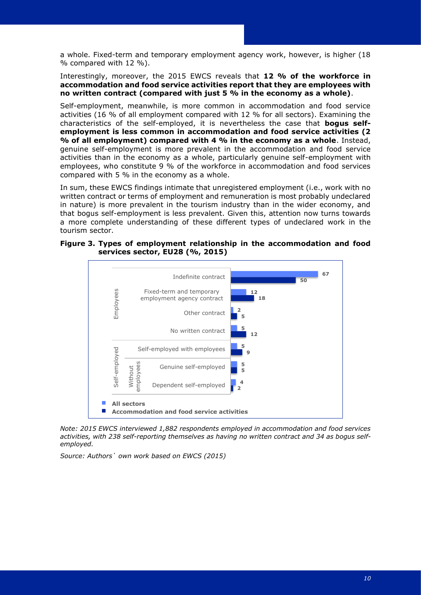a whole. Fixed-term and temporary employment agency work, however, is higher (18 % compared with 12 %).

Interestingly, moreover, the 2015 EWCS reveals that **12 % of the workforce in accommodation and food service activities report that they are employees with no written contract (compared with just 5 % in the economy as a whole)**.

Self-employment, meanwhile, is more common in accommodation and food service activities (16 % of all employment compared with 12 % for all sectors). Examining the characteristics of the self-employed, it is nevertheless the case that **bogus selfemployment is less common in accommodation and food service activities (2 % of all employment) compared with 4 % in the economy as a whole**. Instead, genuine self-employment is more prevalent in the accommodation and food service activities than in the economy as a whole, particularly genuine self-employment with employees, who constitute 9 % of the workforce in accommodation and food services compared with 5 % in the economy as a whole.

In sum, these EWCS findings intimate that unregistered employment (i.e., work with no written contract or terms of employment and remuneration is most probably undeclared in nature) is more prevalent in the tourism industry than in the wider economy, and that bogus self-employment is less prevalent. Given this, attention now turns towards a more complete understanding of these different types of undeclared work in the tourism sector.





*Note: 2015 EWCS interviewed 1,882 respondents employed in accommodation and food services activities, with 238 self-reporting themselves as having no written contract and 34 as bogus selfemployed.* 

*Source: Authors` own work based on EWCS (2015)*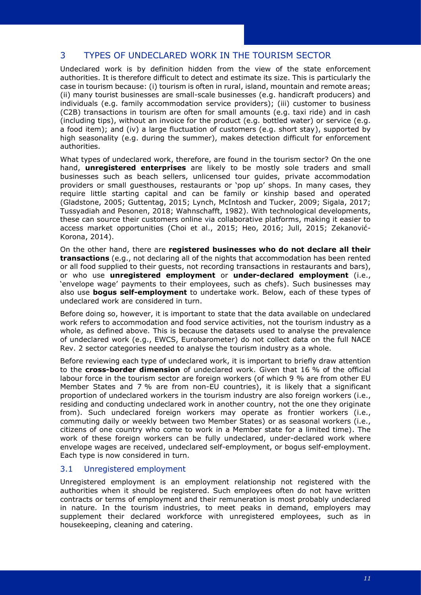## <span id="page-14-0"></span>3 TYPES OF UNDECLARED WORK IN THE TOURISM SECTOR

Undeclared work is by definition hidden from the view of the state enforcement authorities. It is therefore difficult to detect and estimate its size. This is particularly the case in tourism because: (i) tourism is often in rural, island, mountain and remote areas; (ii) many tourist businesses are small-scale businesses (e.g. handicraft producers) and individuals (e.g. family accommodation service providers); (iii) customer to business (C2B) transactions in tourism are often for small amounts (e.g. taxi ride) and in cash (including tips), without an invoice for the product (e.g. bottled water) or service (e.g. a food item); and (iv) a large fluctuation of customers (e.g. short stay), supported by high seasonality (e.g. during the summer), makes detection difficult for enforcement authorities.

What types of undeclared work, therefore, are found in the tourism sector? On the one hand, **unregistered enterprises** are likely to be mostly sole traders and small businesses such as beach sellers, unlicensed tour guides, private accommodation providers or small guesthouses, restaurants or 'pop up' shops. In many cases, they require little starting capital and can be family or kinship based and operated (Gladstone, 2005; Guttentag, 2015; Lynch, McIntosh and Tucker, 2009; Sigala, 2017; Tussyadiah and Pesonen, 2018; Wahnschafft, 1982). With technological developments, these can source their customers online via collaborative platforms, making it easier to access market opportunities (Choi et al., 2015; Heo, 2016; Jull, 2015; Zekanović-Korona, 2014).

On the other hand, there are **registered businesses who do not declare all their transactions** (e.g., not declaring all of the nights that accommodation has been rented or all food supplied to their guests, not recording transactions in restaurants and bars), or who use **unregistered employment** or **under-declared employment** (i.e., 'envelope wage' payments to their employees, such as chefs). Such businesses may also use **bogus self-employment** to undertake work. Below, each of these types of undeclared work are considered in turn.

Before doing so, however, it is important to state that the data available on undeclared work refers to accommodation and food service activities, not the tourism industry as a whole, as defined above. This is because the datasets used to analyse the prevalence of undeclared work (e.g., EWCS, Eurobarometer) do not collect data on the full NACE Rev. 2 sector categories needed to analyse the tourism industry as a whole.

Before reviewing each type of undeclared work, it is important to briefly draw attention to the **cross-border dimension** of undeclared work. Given that 16 % of the official labour force in the tourism sector are foreign workers (of which 9 % are from other EU Member States and 7 % are from non-EU countries), it is likely that a significant proportion of undeclared workers in the tourism industry are also foreign workers (i.e., residing and conducting undeclared work in another country, not the one they originate from). Such undeclared foreign workers may operate as frontier workers (i.e., commuting daily or weekly between two Member States) or as seasonal workers (i.e., citizens of one country who come to work in a Member state for a limited time). The work of these foreign workers can be fully undeclared, under-declared work where envelope wages are received, undeclared self-employment, or bogus self-employment. Each type is now considered in turn.

## <span id="page-14-1"></span>3.1 Unregistered employment

Unregistered employment is an employment relationship not registered with the authorities when it should be registered. Such employees often do not have written contracts or terms of employment and their remuneration is most probably undeclared in nature. In the tourism industries, to meet peaks in demand, employers may supplement their declared workforce with unregistered employees, such as in housekeeping, cleaning and catering.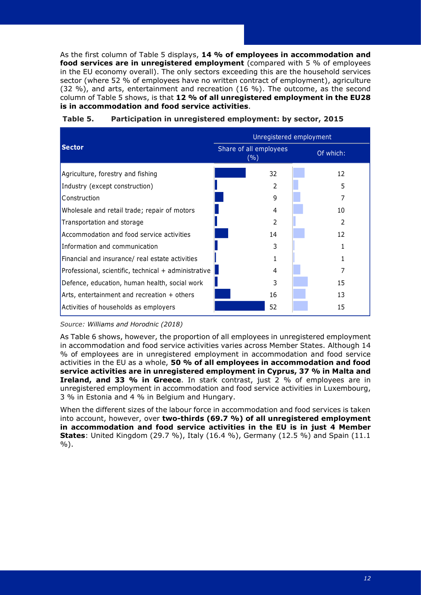As the first column of Table 5 displays, **14 % of employees in accommodation and food services are in unregistered employment** (compared with 5 % of employees in the EU economy overall). The only sectors exceeding this are the household services sector (where 52 % of employees have no written contract of employment), agriculture (32 %), and arts, entertainment and recreation (16 %). The outcome, as the second column of Table 5 shows, is that **12 % of all unregistered employment in the EU28 is in accommodation and food service activities**.

|                                                      | Unregistered employment       |    |  |           |  |  |
|------------------------------------------------------|-------------------------------|----|--|-----------|--|--|
| <b>Sector</b>                                        | Share of all employees<br>(%) |    |  | Of which: |  |  |
| Agriculture, forestry and fishing                    |                               | 32 |  | 12        |  |  |
| Industry (except construction)                       |                               | 2  |  | 5         |  |  |
| Construction                                         |                               | q  |  |           |  |  |
| Wholesale and retail trade; repair of motors         |                               | 4  |  | 10        |  |  |
| Transportation and storage                           |                               |    |  | 2         |  |  |
| Accommodation and food service activities            |                               | 14 |  | 12        |  |  |
| Information and communication                        |                               |    |  |           |  |  |
| Financial and insurance/ real estate activities      |                               |    |  |           |  |  |
| Professional, scientific, technical + administrative |                               | 4  |  |           |  |  |
| Defence, education, human health, social work        |                               |    |  | 15        |  |  |
| Arts, entertainment and recreation + others          |                               | 16 |  | 13        |  |  |
| Activities of households as employers                |                               | 52 |  | 15        |  |  |

**Table 5. Participation in unregistered employment: by sector, 2015**

*Source: Williams and Horodnic (2018)*

As Table 6 shows, however, the proportion of all employees in unregistered employment in accommodation and food service activities varies across Member States. Although 14 % of employees are in unregistered employment in accommodation and food service activities in the EU as a whole, **50 % of all employees in accommodation and food service activities are in unregistered employment in Cyprus, 37 % in Malta and Ireland, and 33 % in Greece**. In stark contrast, just 2 % of employees are in unregistered employment in accommodation and food service activities in Luxembourg, 3 % in Estonia and 4 % in Belgium and Hungary.

When the different sizes of the labour force in accommodation and food services is taken into account, however, over **two-thirds (69.7 %) of all unregistered employment in accommodation and food service activities in the EU is in just 4 Member States**: United Kingdom (29.7 %), Italy (16.4 %), Germany (12.5 %) and Spain (11.1 %).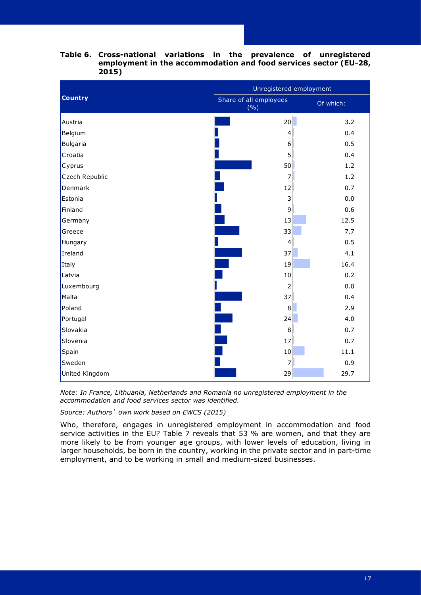|                 | Unregistered employment       |           |  |  |
|-----------------|-------------------------------|-----------|--|--|
| <b>Country</b>  | Share of all employees<br>(%) | Of which: |  |  |
| Austria         | 20 <sup>°</sup>               | 3.2       |  |  |
| Belgium         | $\overline{4}$                | 0.4       |  |  |
| <b>Bulgaria</b> | 6                             | 0.5       |  |  |
| Croatia         | 5                             | 0.4       |  |  |
| Cyprus          | 50                            | 1.2       |  |  |
| Czech Republic  | $\overline{7}$                | 1.2       |  |  |
| Denmark         | 12                            | 0.7       |  |  |
| Estonia         | 3                             | 0.0       |  |  |
| Finland         | 9                             | 0.6       |  |  |
| Germany         | 13                            | 12.5      |  |  |
| Greece          | 33                            | 7.7       |  |  |
| Hungary         | 4                             | 0.5       |  |  |
| Ireland         | 37                            | 4.1       |  |  |
| Italy           | 19                            | 16.4      |  |  |
| Latvia          | $10\,$                        | 0.2       |  |  |
| Luxembourg      | $\overline{2}$                | 0.0       |  |  |
| Malta           | 37                            | 0.4       |  |  |
| Poland          | $\,8\,$                       | 2.9       |  |  |
| Portugal        | 24                            | 4.0       |  |  |
| Slovakia        | 8                             | 0.7       |  |  |
| Slovenia        | 17                            | 0.7       |  |  |
| Spain           | 10                            | 11.1      |  |  |
| Sweden          | $\overline{7}$                | 0.9       |  |  |
| United Kingdom  | 29                            | 29.7      |  |  |

## **Table 6. Cross-national variations in the prevalence of unregistered employment in the accommodation and food services sector (EU-28, 2015)**

*Note: In France, Lithuania, Netherlands and Romania no unregistered employment in the accommodation and food services sector was identified.*

*Source: Authors` own work based on EWCS (2015)*

Who, therefore, engages in unregistered employment in accommodation and food service activities in the EU? Table 7 reveals that 53 % are women, and that they are more likely to be from younger age groups, with lower levels of education, living in larger households, be born in the country, working in the private sector and in part-time employment, and to be working in small and medium-sized businesses.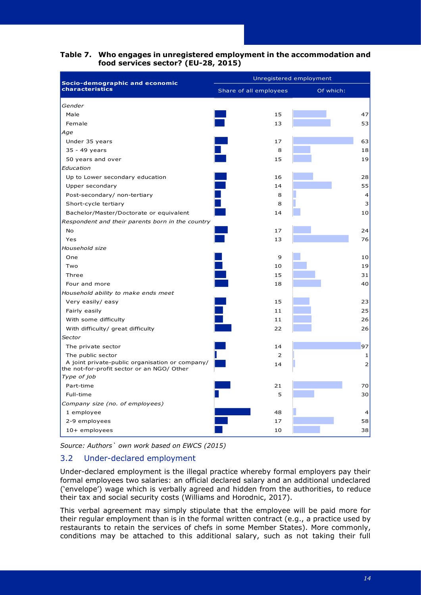|                                                                                               | Unregistered employment |                |  |  |  |  |
|-----------------------------------------------------------------------------------------------|-------------------------|----------------|--|--|--|--|
| Socio-demographic and economic<br>characteristics                                             | Share of all employees  | Of which:      |  |  |  |  |
| Gender                                                                                        |                         |                |  |  |  |  |
| Male                                                                                          | 15                      | 47             |  |  |  |  |
| Female                                                                                        | 13                      | 53             |  |  |  |  |
| Age                                                                                           |                         |                |  |  |  |  |
| Under 35 years                                                                                | 17                      | 63             |  |  |  |  |
| 35 - 49 years                                                                                 | 8                       | 18             |  |  |  |  |
| 50 years and over                                                                             | 15                      | 19             |  |  |  |  |
| Education                                                                                     |                         |                |  |  |  |  |
| Up to Lower secondary education                                                               | 16                      | 28             |  |  |  |  |
| Upper secondary                                                                               | 14                      | 55             |  |  |  |  |
| Post-secondary/ non-tertiary                                                                  | 8                       | 4              |  |  |  |  |
| Short-cycle tertiary                                                                          | 8                       | 3              |  |  |  |  |
| Bachelor/Master/Doctorate or equivalent                                                       | 14                      | 10             |  |  |  |  |
| Respondent and their parents born in the country                                              |                         |                |  |  |  |  |
| No.                                                                                           | 17                      | 24             |  |  |  |  |
| Yes                                                                                           | 13                      | 76             |  |  |  |  |
| Household size                                                                                |                         |                |  |  |  |  |
| One                                                                                           | 9                       | 10             |  |  |  |  |
| Two                                                                                           | 10                      | 19             |  |  |  |  |
| Three                                                                                         | 15                      | 31             |  |  |  |  |
| Four and more                                                                                 | 18                      | 40             |  |  |  |  |
| Household ability to make ends meet                                                           |                         |                |  |  |  |  |
| Very easily/ easy                                                                             | 15                      | 23             |  |  |  |  |
| Fairly easily                                                                                 | 11                      | 25             |  |  |  |  |
| With some difficulty                                                                          | 11                      | 26             |  |  |  |  |
| With difficulty/ great difficulty                                                             | 22                      | 26             |  |  |  |  |
| Sector                                                                                        |                         |                |  |  |  |  |
| The private sector                                                                            | 14                      | 97             |  |  |  |  |
| The public sector                                                                             | 2                       | 1              |  |  |  |  |
| A joint private-public organisation or company/<br>the not-for-profit sector or an NGO/ Other | 14                      | $\overline{2}$ |  |  |  |  |
| Type of job                                                                                   |                         |                |  |  |  |  |
| Part-time                                                                                     | 21                      | 70             |  |  |  |  |
| Full-time                                                                                     | 5                       | 30             |  |  |  |  |
| Company size (no. of employees)                                                               |                         |                |  |  |  |  |
| 1 employee                                                                                    | 48                      | 4              |  |  |  |  |
| 2-9 employees                                                                                 | 17                      | 58             |  |  |  |  |
| $10+$ employees                                                                               | 10                      | 38             |  |  |  |  |

## **Table 7. Who engages in unregistered employment in the accommodation and food services sector? (EU-28, 2015)**

*Source: Authors` own work based on EWCS (2015)*

## <span id="page-17-0"></span>3.2 Under-declared employment

Under-declared employment is the illegal practice whereby formal employers pay their formal employees two salaries: an official declared salary and an additional undeclared ('envelope') wage which is verbally agreed and hidden from the authorities, to reduce their tax and social security costs (Williams and Horodnic, 2017).

This verbal agreement may simply stipulate that the employee will be paid more for their regular employment than is in the formal written contract (e.g., a practice used by restaurants to retain the services of chefs in some Member States). More commonly, conditions may be attached to this additional salary, such as not taking their full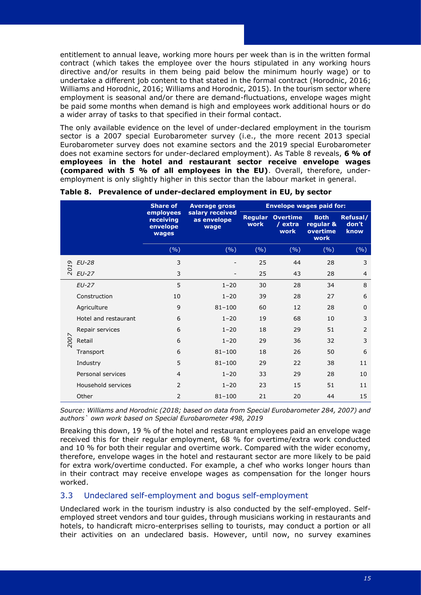entitlement to annual leave, working more hours per week than is in the written formal contract (which takes the employee over the hours stipulated in any working hours directive and/or results in them being paid below the minimum hourly wage) or to undertake a different job content to that stated in the formal contract (Horodnic, 2016; Williams and Horodnic, 2016; Williams and Horodnic, 2015). In the tourism sector where employment is seasonal and/or there are demand-fluctuations, envelope wages might be paid some months when demand is high and employees work additional hours or do a wider array of tasks to that specified in their formal contact.

The only available evidence on the level of under-declared employment in the tourism sector is a 2007 special Eurobarometer survey (i.e., the more recent 2013 special Eurobarometer survey does not examine sectors and the 2019 special Eurobarometer does not examine sectors for under-declared employment). As Table 8 reveals, **6 % of employees in the hotel and restaurant sector receive envelope wages (compared with 5 % of all employees in the EU)**. Overall, therefore, underemployment is only slightly higher in this sector than the labour market in general.

|      |                      | <b>Share of</b>                             | <b>Average gross</b>                                     | <b>Envelope wages paid for:</b> |                                    |                                              |                           |  |
|------|----------------------|---------------------------------------------|----------------------------------------------------------|---------------------------------|------------------------------------|----------------------------------------------|---------------------------|--|
|      |                      | employees<br>receiving<br>envelope<br>wages | salary received<br><b>Regular</b><br>as envelope<br>wage |                                 | <b>Overtime</b><br>/ extra<br>work | <b>Both</b><br>regular &<br>overtime<br>work | Refusal/<br>don't<br>know |  |
|      |                      | (%)                                         | (%)                                                      | (9/6)                           | (%)                                | (%)                                          | (%)                       |  |
|      | <b>EU-28</b>         | 3                                           |                                                          | 25                              | 44                                 | 28                                           | 3                         |  |
| 2019 | $EU-27$              | 3                                           |                                                          | 25                              | 43                                 | 28                                           | $\overline{4}$            |  |
|      | $EU-27$              | 5                                           | $1 - 20$                                                 | 30                              | 28                                 | 34                                           | 8                         |  |
|      | Construction         | 10                                          | $1 - 20$                                                 | 39                              | 28                                 | 27                                           | 6                         |  |
|      | Agriculture          | 9                                           | $81 - 100$                                               | 60                              | 12                                 | 28                                           | $\mathbf 0$               |  |
|      | Hotel and restaurant | 6                                           | $1 - 20$                                                 | 19                              | 68                                 | 10                                           | 3                         |  |
|      | Repair services      | 6                                           | $1 - 20$                                                 | 18                              | 29                                 | 51                                           | 2                         |  |
| 2007 | Retail               | 6                                           | $1 - 20$                                                 | 29                              | 36                                 | 32                                           | 3                         |  |
|      | Transport            | 6                                           | $81 - 100$                                               | 18                              | 26                                 | 50                                           | 6                         |  |
|      | Industry             | 5                                           | $81 - 100$                                               | 29                              | 22                                 | 38                                           | 11                        |  |
|      | Personal services    | $\overline{4}$                              | $1 - 20$                                                 | 33                              | 29                                 | 28                                           | 10                        |  |
|      | Household services   | $\overline{2}$                              | $1 - 20$                                                 | 23                              | 15                                 | 51                                           | 11                        |  |
|      | Other                | 2                                           | $81 - 100$                                               | 21                              | 20                                 | 44                                           | 15                        |  |

|  | Table 8. Prevalence of under-declared employment in EU, by sector |  |  |  |  |  |  |
|--|-------------------------------------------------------------------|--|--|--|--|--|--|
|--|-------------------------------------------------------------------|--|--|--|--|--|--|

*Source: Williams and Horodnic (2018; based on data from Special Eurobarometer 284, 2007) and authors` own work based on Special Eurobarometer 498, 2019*

Breaking this down, 19 % of the hotel and restaurant employees paid an envelope wage received this for their regular employment, 68 % for overtime/extra work conducted and 10 % for both their regular and overtime work. Compared with the wider economy, therefore, envelope wages in the hotel and restaurant sector are more likely to be paid for extra work/overtime conducted. For example, a chef who works longer hours than in their contract may receive envelope wages as compensation for the longer hours worked.

## <span id="page-18-0"></span>3.3 Undeclared self-employment and bogus self-employment

Undeclared work in the tourism industry is also conducted by the self-employed. Selfemployed street vendors and tour guides, through musicians working in restaurants and hotels, to handicraft micro-enterprises selling to tourists, may conduct a portion or all their activities on an undeclared basis. However, until now, no survey examines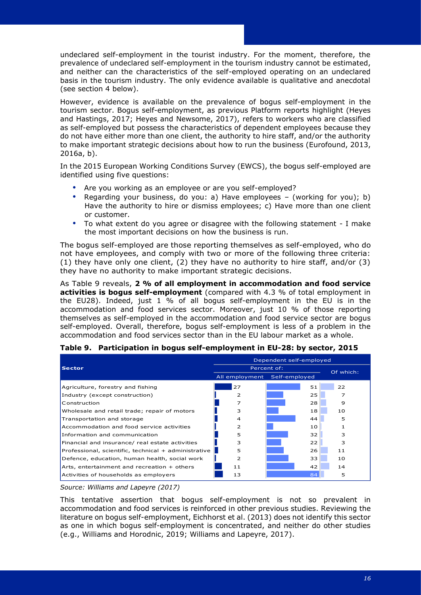undeclared self-employment in the tourist industry. For the moment, therefore, the prevalence of undeclared self-employment in the tourism industry cannot be estimated, and neither can the characteristics of the self-employed operating on an undeclared basis in the tourism industry. The only evidence available is qualitative and anecdotal (see section 4 below).

However, evidence is available on the prevalence of bogus self-employment in the tourism sector. Bogus self-employment, as previous Platform reports highlight (Heyes and Hastings, 2017; Heyes and Newsome, 2017), refers to workers who are classified as self-employed but possess the characteristics of dependent employees because they do not have either more than one client, the authority to hire staff, and/or the authority to make important strategic decisions about how to run the business (Eurofound, 2013, 2016a, b).

In the 2015 European Working Conditions Survey (EWCS), the bogus self-employed are identified using five questions:

- Are you working as an employee or are you self-employed?
- Regarding your business, do you: a) Have employees (working for you); b) Have the authority to hire or dismiss employees; c) Have more than one client or customer.
- To what extent do you agree or disagree with the following statement I make the most important decisions on how the business is run.

The bogus self-employed are those reporting themselves as self-employed, who do not have employees, and comply with two or more of the following three criteria: (1) they have only one client, (2) they have no authority to hire staff, and/or (3) they have no authority to make important strategic decisions.

As Table 9 reveals, **2 % of all employment in accommodation and food service activities is bogus self-employment** (compared with 4.3 % of total employment in the EU28). Indeed, just 1 % of all bogus self-employment in the EU is in the accommodation and food services sector. Moreover, just 10 % of those reporting themselves as self-employed in the accommodation and food service sector are bogus self-employed. Overall, therefore, bogus self-employment is less of a problem in the accommodation and food services sector than in the EU labour market as a whole.

|                                                      | Dependent self-employed      |             |           |  |  |
|------------------------------------------------------|------------------------------|-------------|-----------|--|--|
| <b>Sector</b>                                        |                              | Percent of: | Of which: |  |  |
|                                                      | All employment Self-employed |             |           |  |  |
| Agriculture, forestry and fishing                    | 27                           | 51          | 22        |  |  |
| Industry (except construction)                       | 2                            | 25          | 7         |  |  |
| Construction                                         | 7                            | 28          | 9         |  |  |
| Wholesale and retail trade; repair of motors         | 3                            | 18          | 10        |  |  |
| Transportation and storage                           | 4                            | 44          | 5         |  |  |
| Accommodation and food service activities            | 2                            | 10          |           |  |  |
| Information and communication                        | 5                            | 32          | З         |  |  |
| Financial and insurance/ real estate activities      | 3                            | 22          | 3         |  |  |
| Professional, scientific, technical + administrative | 5                            | 26          | 11        |  |  |
| Defence, education, human health, social work        | 2                            | 33          | 10        |  |  |
| Arts, entertainment and recreation + others          | 11                           | 42          | 14        |  |  |
| Activities of households as employers                | 13                           | 84          | 5         |  |  |

#### **Table 9. Participation in bogus self-employment in EU-28: by sector, 2015**

*Source: Williams and Lapeyre (2017)*

This tentative assertion that bogus self-employment is not so prevalent in accommodation and food services is reinforced in other previous studies. Reviewing the literature on bogus self-employment, Eichhorst et al. (2013) does not identify this sector as one in which bogus self-employment is concentrated, and neither do other studies (e.g., Williams and Horodnic, 2019; Williams and Lapeyre, 2017).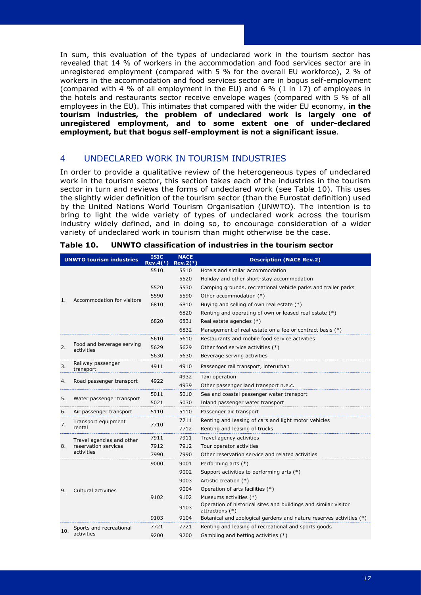In sum, this evaluation of the types of undeclared work in the tourism sector has revealed that 14 % of workers in the accommodation and food services sector are in unregistered employment (compared with 5 % for the overall EU workforce), 2 % of workers in the accommodation and food services sector are in bogus self-employment (compared with 4 % of all employment in the EU) and 6 % (1 in 17) of employees in the hotels and restaurants sector receive envelope wages (compared with 5 % of all employees in the EU). This intimates that compared with the wider EU economy, **in the tourism industries, the problem of undeclared work is largely one of unregistered employment, and to some extent one of under-declared employment, but that bogus self-employment is not a significant issue**.

## <span id="page-20-0"></span>4 UNDECLARED WORK IN TOURISM INDUSTRIES

In order to provide a qualitative review of the heterogeneous types of undeclared work in the tourism sector, this section takes each of the industries in the tourism sector in turn and reviews the forms of undeclared work (see Table 10). This uses the slightly wider definition of the tourism sector (than the Eurostat definition) used by the United Nations World Tourism Organisation (UNWTO). The intention is to bring to light the wide variety of types of undeclared work across the tourism industry widely defined, and in doing so, to encourage consideration of a wider variety of undeclared work in tourism than might otherwise be the case.

| <b>UNWTO tourism industries</b> |                                         | <b>ISIC</b><br>Rev.4(1) | <b>NACE</b><br>Rev.2(2) | <b>Description (NACE Rev.2)</b>                                                    |
|---------------------------------|-----------------------------------------|-------------------------|-------------------------|------------------------------------------------------------------------------------|
|                                 |                                         | 5510                    | 5510                    | Hotels and similar accommodation                                                   |
|                                 |                                         |                         | 5520                    | Holiday and other short-stay accommodation                                         |
|                                 |                                         | 5520                    | 5530                    | Camping grounds, recreational vehicle parks and trailer parks                      |
| 1.                              | Accommodation for visitors              | 5590                    | 5590                    | Other accommodation (*)                                                            |
|                                 |                                         | 6810                    | 6810                    | Buying and selling of own real estate (*)                                          |
|                                 |                                         |                         | 6820                    | Renting and operating of own or leased real estate (*)                             |
|                                 |                                         | 6820                    | 6831                    | Real estate agencies (*)                                                           |
|                                 |                                         |                         | 6832                    | Management of real estate on a fee or contract basis (*)                           |
|                                 |                                         | 5610                    | 5610                    | Restaurants and mobile food service activities                                     |
| 2.                              | Food and beverage serving<br>activities | 5629                    | 5629                    | Other food service activities (*)                                                  |
|                                 |                                         | 5630                    | 5630                    | Beverage serving activities                                                        |
| 3.                              | Railway passenger<br>transport          | 4911                    | 4910                    | Passenger rail transport, interurban                                               |
|                                 | Road passenger transport                | 4922                    | 4932                    | Taxi operation                                                                     |
| 4.                              |                                         |                         | 4939                    | Other passenger land transport n.e.c.                                              |
| 5.                              | Water passenger transport               | 5011                    | 5010                    | Sea and coastal passenger water transport                                          |
|                                 |                                         | 5021                    | 5030                    | Inland passenger water transport                                                   |
| 6.                              | Air passenger transport                 | 5110                    | 5110                    | Passenger air transport                                                            |
| 7.                              | Transport equipment                     | 7710                    | 7711                    | Renting and leasing of cars and light motor vehicles                               |
|                                 | rental                                  |                         | 7712                    | Renting and leasing of trucks                                                      |
|                                 | Travel agencies and other               | 7911                    | 7911                    | Travel agency activities                                                           |
| 8.                              | reservation services                    | 7912                    | 7912                    | Tour operator activities                                                           |
|                                 | activities                              | 7990                    | 7990                    | Other reservation service and related activities                                   |
|                                 |                                         | 9000                    | 9001                    | Performing arts (*)                                                                |
|                                 |                                         |                         | 9002                    | Support activities to performing arts (*)                                          |
|                                 |                                         |                         | 9003                    | Artistic creation (*)                                                              |
| 9.                              | Cultural activities                     |                         | 9004                    | Operation of arts facilities (*)                                                   |
|                                 |                                         | 9102                    | 9102                    | Museums activities (*)                                                             |
|                                 |                                         |                         | 9103                    | Operation of historical sites and buildings and similar visitor<br>attractions (*) |
|                                 |                                         | 9103                    | 9104                    | Botanical and zoological gardens and nature reserves activities (*)                |
| 10.                             | Sports and recreational                 | 7721                    | 7721                    | Renting and leasing of recreational and sports goods                               |
|                                 | activities                              | 9200                    | 9200                    | Gambling and betting activities (*)                                                |
|                                 |                                         |                         |                         |                                                                                    |

| Table 10. UNWTO classification of industries in the tourism sector |  |
|--------------------------------------------------------------------|--|
|                                                                    |  |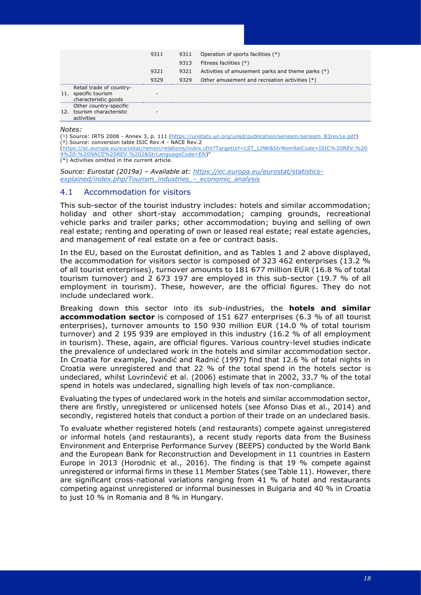|   |                                                                          | 9311 | 9311 | Operation of sports facilities (*)                |
|---|--------------------------------------------------------------------------|------|------|---------------------------------------------------|
|   |                                                                          |      | 9313 | Fitness facilities (*)                            |
|   |                                                                          | 9321 | 9321 | Activities of amusement parks and theme parks (*) |
|   |                                                                          | 9329 | 9329 | Other amusement and recreation activities (*)     |
|   | Retail trade of country-<br>11. specific tourism<br>characteristic goods | -    |      |                                                   |
|   | Other country-specific                                                   |      |      |                                                   |
|   | 12. tourism characteristic<br>activities                                 |      |      |                                                   |
| . |                                                                          |      |      |                                                   |

*Notes:* 

(<sup>1</sup>) Source: IRTS 2008 - Annex 3, p. 111 [\(https://unstats.un.org/unsd/publication/seriesm/seriesm\\_83rev1e.pdf\)](https://unstats.un.org/unsd/publication/seriesm/seriesm_83rev1e.pdf) (²) Source: conversion table ISIC Rev.4 - NACE Rev.2

[\(https://ec.europa.eu/eurostat/ramon/relations/index.cfm?TargetUrl=LST\\_LINK&StrNomRelCode=ISIC%20REV.%20](https://ec.europa.eu/eurostat/ramon/relations/index.cfm?TargetUrl=LST_LINK&StrNomRelCode=ISIC%20REV.%204%20-%20NACE%20REV.%202&StrLanguageCode=EN) [4%20-%20NACE%20REV.%202&StrLanguageCode=EN\)](https://ec.europa.eu/eurostat/ramon/relations/index.cfm?TargetUrl=LST_LINK&StrNomRelCode=ISIC%20REV.%204%20-%20NACE%20REV.%202&StrLanguageCode=EN)"

 $(*)$  Activities omitted in the current article.

*Source: Eurostat (2019a) – Available at: [https://ec.europa.eu/eurostat/statistics](https://ec.europa.eu/eurostat/statistics-explained/index.php/Tourism_industries_-_economic_analysis)[explained/index.php/Tourism\\_industries\\_-\\_economic\\_analysis](https://ec.europa.eu/eurostat/statistics-explained/index.php/Tourism_industries_-_economic_analysis)*

## <span id="page-21-0"></span>4.1 Accommodation for visitors

This sub-sector of the tourist industry includes: hotels and similar accommodation; holiday and other short-stay accommodation; camping grounds, recreational vehicle parks and trailer parks; other accommodation; buying and selling of own real estate; renting and operating of own or leased real estate; real estate agencies, and management of real estate on a fee or contract basis.

In the EU, based on the Eurostat definition, and as Tables 1 and 2 above displayed, the accommodation for visitors sector is composed of 323 462 enterprises (13.2 % of all tourist enterprises), turnover amounts to 181 677 million EUR (16.8 % of total tourism turnover) and 2 673 197 are employed in this sub-sector (19.7 % of all employment in tourism). These, however, are the official figures. They do not include undeclared work.

Breaking down this sector into its sub-industries, the **hotels and similar accommodation sector** is composed of 151 627 enterprises (6.3 % of all tourist enterprises), turnover amounts to 150 930 million EUR (14.0 % of total tourism turnover) and 2 195 939 are employed in this industry (16.2 % of all employment in tourism). These, again, are official figures. Various country-level studies indicate the prevalence of undeclared work in the hotels and similar accommodation sector. In Croatia for example, Ivandić and Radnić (1997) find that 12.6 % of total nights in Croatia were unregistered and that 22 % of the total spend in the hotels sector is undeclared, whilst Lovrinčević et al. (2006) estimate that in 2002, 33.7 % of the total spend in hotels was undeclared, signalling high levels of tax non-compliance.

Evaluating the types of undeclared work in the hotels and similar accommodation sector, there are firstly, unregistered or unlicensed hotels (see Afonso Dias et al., 2014) and secondly, registered hotels that conduct a portion of their trade on an undeclared basis.

To evaluate whether registered hotels (and restaurants) compete against unregistered or informal hotels (and restaurants), a recent study reports data from the Business Environment and Enterprise Performance Survey (BEEPS) conducted by the World Bank and the European Bank for Reconstruction and Development in 11 countries in Eastern Europe in 2013 (Horodnic et al., 2016). The finding is that 19 % compete against unregistered or informal firms in these 11 Member States (see Table 11). However, there are significant cross-national variations ranging from 41 % of hotel and restaurants competing against unregistered or informal businesses in Bulgaria and 40 % in Croatia to just 10 % in Romania and 8 % in Hungary.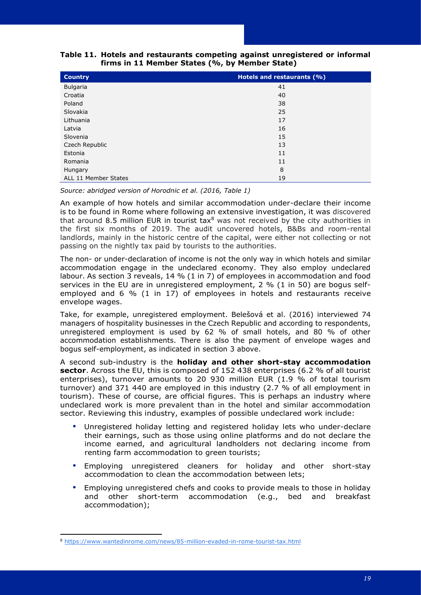| <b>Country</b>       | Hotels and restaurants (%) |
|----------------------|----------------------------|
| Bulgaria             | 41                         |
| Croatia              | 40                         |
| Poland               | 38                         |
| Slovakia             | 25                         |
| Lithuania            | 17                         |
| Latvia               | 16                         |
| Slovenia             | 15                         |
| Czech Republic       | 13                         |
| Estonia              | 11                         |
| Romania              | 11                         |
| Hungary              | 8                          |
| ALL 11 Member States | 19                         |

## **Table 11. Hotels and restaurants competing against unregistered or informal firms in 11 Member States (%, by Member State)**

*Source: abridged version of Horodnic et al. (2016, Table 1)*

An example of how hotels and similar accommodation under-declare their income is to be found in Rome where following an extensive investigation, it was discovered that around 8.5 million EUR in tourist tax $8$  was not received by the city authorities in the first six months of 2019. The audit uncovered hotels, B&Bs and room-rental landlords, mainly in the historic centre of the capital, were either not collecting or not passing on the nightly tax paid by tourists to the authorities.

The non- or under-declaration of income is not the only way in which hotels and similar accommodation engage in the undeclared economy. They also employ undeclared labour. As section 3 reveals, 14 % (1 in 7) of employees in accommodation and food services in the EU are in unregistered employment, 2 % (1 in 50) are bogus selfemployed and 6 % (1 in 17) of employees in hotels and restaurants receive envelope wages.

Take, for example, unregistered employment. Belešová et al. (2016) interviewed 74 managers of hospitality businesses in the Czech Republic and according to respondents, unregistered employment is used by 62 % of small hotels, and 80 % of other accommodation establishments. There is also the payment of envelope wages and bogus self-employment, as indicated in section 3 above.

A second sub-industry is the **holiday and other short-stay accommodation sector**. Across the EU, this is composed of 152 438 enterprises (6.2 % of all tourist enterprises), turnover amounts to 20 930 million EUR (1.9 % of total tourism turnover) and 371 440 are employed in this industry (2.7 % of all employment in tourism). These of course, are official figures. This is perhaps an industry where undeclared work is more prevalent than in the hotel and similar accommodation sector. Reviewing this industry, examples of possible undeclared work include:

- Unregistered holiday letting and registered holiday lets who under-declare their earnings, such as those using online platforms and do not declare the income earned, and agricultural landholders not declaring income from renting farm accommodation to green tourists;
- Employing unregistered cleaners for holiday and other short-stay accommodation to clean the accommodation between lets;
- Employing unregistered chefs and cooks to provide meals to those in holiday and other short-term accommodation (e.g., bed and breakfast accommodation);

<sup>8</sup> <https://www.wantedinrome.com/news/85-million-evaded-in-rome-tourist-tax.html>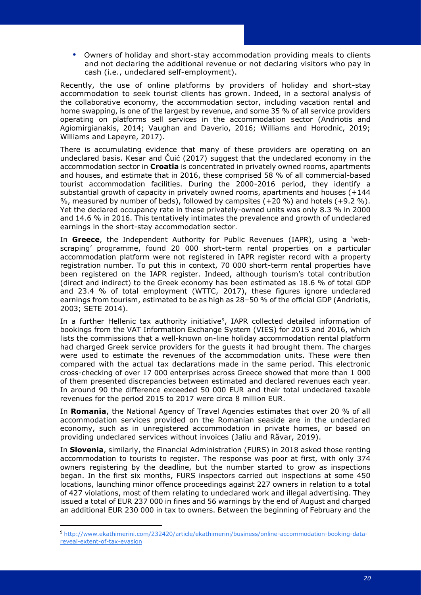Owners of holiday and short-stay accommodation providing meals to clients and not declaring the additional revenue or not declaring visitors who pay in cash (i.e., undeclared self-employment).

Recently, the use of online platforms by providers of holiday and short-stay accommodation to seek tourist clients has grown. Indeed, in a sectoral analysis of the collaborative economy, the accommodation sector, including vacation rental and home swapping, is one of the largest by revenue, and some 35 % of all service providers operating on platforms sell services in the accommodation sector (Andriotis and Agiomirgianakis, 2014; Vaughan and Daverio, 2016; Williams and Horodnic, 2019; Williams and Lapeyre, 2017).

There is accumulating evidence that many of these providers are operating on an undeclared basis. Kesar and Čuić (2017) suggest that the undeclared economy in the accommodation sector in **Croatia** is concentrated in privately owned rooms, apartments and houses, and estimate that in 2016, these comprised 58 % of all commercial-based tourist accommodation facilities. During the 2000-2016 period, they identify a substantial growth of capacity in privately owned rooms, apartments and houses (+144  $%$ , measured by number of beds), followed by campsites (+20 %) and hotels (+9.2 %). Yet the declared occupancy rate in these privately-owned units was only 8.3 % in 2000 and 14.6 % in 2016. This tentatively intimates the prevalence and growth of undeclared earnings in the short-stay accommodation sector.

In **Greece**, the Independent Authority for Public Revenues (IAPR), using a 'webscraping' programme, found 20 000 short-term rental properties on a particular accommodation platform were not registered in IAPR register record with a property registration number. To put this in context, 70 000 short-term rental properties have been registered on the IAPR register. Indeed, although tourism's total contribution (direct and indirect) to the Greek economy has been estimated as 18.6 % of total GDP and 23.4 % of total employment (WTTC, 2017), these figures ignore undeclared earnings from tourism, estimated to be as high as 28–50 % of the official GDP (Andriotis, 2003; SETE 2014).

In a further Hellenic tax authority initiative<sup>9</sup>, IAPR collected detailed information of bookings from the VAT Information Exchange System (VIES) for 2015 and 2016, which lists the commissions that a well-known on-line holiday accommodation rental platform had charged Greek service providers for the guests it had brought them. The charges were used to estimate the revenues of the accommodation units. These were then compared with the actual tax declarations made in the same period. This electronic cross-checking of over 17 000 enterprises across Greece showed that more than 1 000 of them presented discrepancies between estimated and declared revenues each year. In around 90 the difference exceeded 50 000 EUR and their total undeclared taxable revenues for the period 2015 to 2017 were circa 8 million EUR.

In **Romania**, the National Agency of Travel Agencies estimates that over 20 % of all accommodation services provided on the Romanian seaside are in the undeclared economy, such as in unregistered accommodation in private homes, or based on providing undeclared services without invoices (Jaliu and Răvar, 2019).

In **Slovenia**, similarly, the Financial Administration (FURS) in 2018 asked those renting accommodation to tourists to register. The response was poor at first, with only 374 owners registering by the deadline, but the number started to grow as inspections began. In the first six months, FURS inspectors carried out inspections at some 450 locations, launching minor offence proceedings against 227 owners in relation to a total of 427 violations, most of them relating to undeclared work and illegal advertising. They issued a total of EUR 237 000 in fines and 56 warnings by the end of August and charged an additional EUR 230 000 in tax to owners. Between the beginning of February and the

<sup>9</sup> [http://www.ekathimerini.com/232420/article/ekathimerini/business/online-accommodation-booking-data](http://www.ekathimerini.com/232420/article/ekathimerini/business/online-accommodation-booking-data-reveal-extent-of-tax-evasion)[reveal-extent-of-tax-evasion](http://www.ekathimerini.com/232420/article/ekathimerini/business/online-accommodation-booking-data-reveal-extent-of-tax-evasion)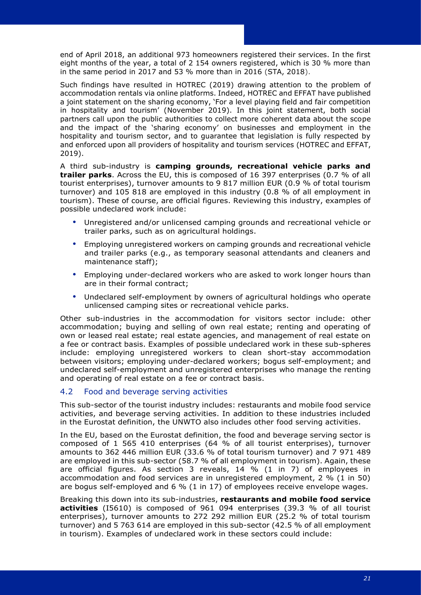end of April 2018, an additional 973 homeowners registered their services. In the first eight months of the year, a total of 2 154 owners registered, which is 30 % more than in the same period in 2017 and 53 % more than in 2016 (STA, 2018).

Such findings have resulted in HOTREC (2019) drawing attention to the problem of accommodation rentals via online platforms. Indeed, HOTREC and EFFAT have published a joint statement on the sharing economy, 'For a level playing field and fair competition in hospitality and tourism' (November 2019). In this joint statement, both social partners call upon the public authorities to collect more coherent data about the scope and the impact of the 'sharing economy' on businesses and employment in the hospitality and tourism sector, and to guarantee that legislation is fully respected by and enforced upon all providers of hospitality and tourism services (HOTREC and EFFAT, 2019).

A third sub-industry is **camping grounds, recreational vehicle parks and trailer parks**. Across the EU, this is composed of 16 397 enterprises (0.7 % of all tourist enterprises), turnover amounts to 9 817 million EUR (0.9 % of total tourism turnover) and 105 818 are employed in this industry (0.8 % of all employment in tourism). These of course, are official figures. Reviewing this industry, examples of possible undeclared work include:

- Unregistered and/or unlicensed camping grounds and recreational vehicle or trailer parks, such as on agricultural holdings.
- Employing unregistered workers on camping grounds and recreational vehicle and trailer parks (e.g., as temporary seasonal attendants and cleaners and maintenance staff);
- Employing under-declared workers who are asked to work longer hours than are in their formal contract;
- Undeclared self-employment by owners of agricultural holdings who operate unlicensed camping sites or recreational vehicle parks.

Other sub-industries in the accommodation for visitors sector include: other accommodation; buying and selling of own real estate; renting and operating of own or leased real estate; real estate agencies, and management of real estate on a fee or contract basis. Examples of possible undeclared work in these sub-spheres include: employing unregistered workers to clean short-stay accommodation between visitors; employing under-declared workers; bogus self-employment; and undeclared self-employment and unregistered enterprises who manage the renting and operating of real estate on a fee or contract basis.

## <span id="page-24-0"></span>4.2 Food and beverage serving activities

This sub-sector of the tourist industry includes: restaurants and mobile food service activities, and beverage serving activities. In addition to these industries included in the Eurostat definition, the UNWTO also includes other food serving activities.

In the EU, based on the Eurostat definition, the food and beverage serving sector is composed of 1 565 410 enterprises (64 % of all tourist enterprises), turnover amounts to 362 446 million EUR (33.6 % of total tourism turnover) and 7 971 489 are employed in this sub-sector (58.7 % of all employment in tourism). Again, these are official figures. As section 3 reveals, 14 % (1 in 7) of employees in accommodation and food services are in unregistered employment, 2 % (1 in 50) are bogus self-employed and 6 % (1 in 17) of employees receive envelope wages.

Breaking this down into its sub-industries, **restaurants and mobile food service activities** (I5610) is composed of 961 094 enterprises (39.3 % of all tourist enterprises), turnover amounts to 272 292 million EUR (25.2 % of total tourism turnover) and 5 763 614 are employed in this sub-sector (42.5 % of all employment in tourism). Examples of undeclared work in these sectors could include: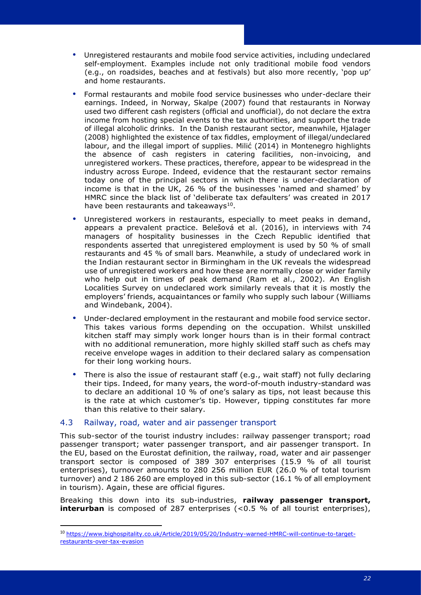- Unregistered restaurants and mobile food service activities, including undeclared self-employment. Examples include not only traditional mobile food vendors (e.g., on roadsides, beaches and at festivals) but also more recently, 'pop up' and home restaurants.
- Formal restaurants and mobile food service businesses who under-declare their earnings. Indeed, in Norway, Skalpe (2007) found that restaurants in Norway used two different cash registers (official and unofficial), do not declare the extra income from hosting special events to the tax authorities, and support the trade of illegal alcoholic drinks. In the Danish restaurant sector, meanwhile, Hjalager (2008) highlighted the existence of tax fiddles, employment of illegal/undeclared labour, and the illegal import of supplies. Milić (2014) in Montenegro highlights the absence of cash registers in catering facilities, non-invoicing, and unregistered workers. These practices, therefore, appear to be widespread in the industry across Europe. Indeed, evidence that the restaurant sector remains today one of the principal sectors in which there is under-declaration of income is that in the UK, 26 % of the businesses 'named and shamed' by HMRC since the black list of 'deliberate tax defaulters' was created in 2017 have been restaurants and takeaways $^{10}$ .
- Unregistered workers in restaurants, especially to meet peaks in demand, appears a prevalent practice. Belešová et al. (2016), in interviews with 74 managers of hospitality businesses in the Czech Republic identified that respondents asserted that unregistered employment is used by 50 % of small restaurants and 45 % of small bars. Meanwhile, a study of undeclared work in the Indian restaurant sector in Birmingham in the UK reveals the widespread use of unregistered workers and how these are normally close or wider family who help out in times of peak demand (Ram et al., 2002). An English Localities Survey on undeclared work similarly reveals that it is mostly the employers' friends, acquaintances or family who supply such labour (Williams and Windebank, 2004).
- Under-declared employment in the restaurant and mobile food service sector. This takes various forms depending on the occupation. Whilst unskilled kitchen staff may simply work longer hours than is in their formal contract with no additional remuneration, more highly skilled staff such as chefs may receive envelope wages in addition to their declared salary as compensation for their long working hours.
- There is also the issue of restaurant staff (e.g., wait staff) not fully declaring their tips. Indeed, for many years, the word-of-mouth industry-standard was to declare an additional 10 % of one's salary as tips, not least because this is the rate at which customer's tip. However, tipping constitutes far more than this relative to their salary.

## <span id="page-25-0"></span>4.3 Railway, road, water and air passenger transport

This sub-sector of the tourist industry includes: railway passenger transport; road passenger transport; water passenger transport, and air passenger transport. In the EU, based on the Eurostat definition, the railway, road, water and air passenger transport sector is composed of 389 307 enterprises (15.9 % of all tourist enterprises), turnover amounts to 280 256 million EUR (26.0 % of total tourism turnover) and 2 186 260 are employed in this sub-sector (16.1 % of all employment in tourism). Again, these are official figures.

Breaking this down into its sub-industries, **railway passenger transport, interurban** is composed of 287 enterprises (<0.5 % of all tourist enterprises),

<sup>10</sup> [https://www.bighospitality.co.uk/Article/2019/05/20/Industry-warned-HMRC-will-continue-to-target](https://www.bighospitality.co.uk/Article/2019/05/20/Industry-warned-HMRC-will-continue-to-target-restaurants-over-tax-evasion)[restaurants-over-tax-evasion](https://www.bighospitality.co.uk/Article/2019/05/20/Industry-warned-HMRC-will-continue-to-target-restaurants-over-tax-evasion)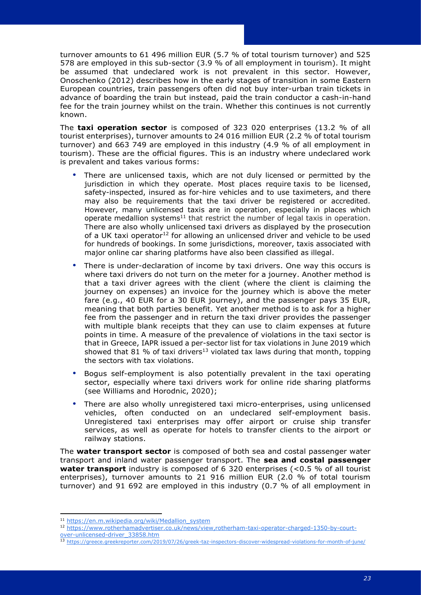turnover amounts to 61 496 million EUR (5.7 % of total tourism turnover) and 525 578 are employed in this sub-sector (3.9 % of all employment in tourism). It might be assumed that undeclared work is not prevalent in this sector. However, Onoschenko (2012) describes how in the early stages of transition in some Eastern European countries, train passengers often did not buy inter-urban train tickets in advance of boarding the train but instead, paid the train conductor a cash-in-hand fee for the train journey whilst on the train. Whether this continues is not currently known.

The **taxi operation sector** is composed of 323 020 enterprises (13.2 % of all tourist enterprises), turnover amounts to 24 016 million EUR (2.2 % of total tourism turnover) and 663 749 are employed in this industry (4.9 % of all employment in tourism). These are the official figures. This is an industry where undeclared work is prevalent and takes various forms:

- There are unlicensed taxis, which are not duly licensed or permitted by the jurisdiction in which they operate. Most places require taxis to be licensed, safety-inspected, insured as for-hire vehicles and to use taximeters, and there may also be requirements that the taxi driver be registered or accredited. However, many unlicensed taxis are in operation, especially in places which operate medallion systems<sup>11</sup> that restrict the number of legal taxis in operation. There are also wholly unlicensed taxi drivers as displayed by the prosecution of a UK taxi operator<sup>12</sup> for allowing an unlicensed driver and vehicle to be used for hundreds of bookings. In some jurisdictions, moreover, taxis associated with major online car sharing platforms have also been classified as illegal.
- There is under-declaration of income by taxi drivers. One way this occurs is where taxi drivers do not turn on the meter for a journey. Another method is that a taxi driver agrees with the client (where the client is claiming the journey on expenses) an invoice for the journey which is above the meter fare (e.g., 40 EUR for a 30 EUR journey), and the passenger pays 35 EUR, meaning that both parties benefit. Yet another method is to ask for a higher fee from the passenger and in return the taxi driver provides the passenger with multiple blank receipts that they can use to claim expenses at future points in time. A measure of the prevalence of violations in the taxi sector is that in Greece, IAPR issued a per-sector list for tax violations in June 2019 which showed that 81 % of taxi drivers<sup>13</sup> violated tax laws during that month, topping the sectors with tax violations.
- Bogus self-employment is also potentially prevalent in the taxi operating sector, especially where taxi drivers work for online ride sharing platforms (see Williams and Horodnic, 2020);
- There are also wholly unregistered taxi micro-enterprises, using unlicensed vehicles, often conducted on an undeclared self-employment basis. Unregistered taxi enterprises may offer airport or cruise ship transfer services, as well as operate for hotels to transfer clients to the airport or railway stations.

The **water transport sector** is composed of both sea and costal passenger water transport and inland water passenger transport. The **sea and costal passenger water transport** industry is composed of 6 320 enterprises (<0.5 % of all tourist enterprises), turnover amounts to 21 916 million EUR (2.0 % of total tourism turnover) and 91 692 are employed in this industry (0.7 % of all employment in

<sup>11</sup> [https://en.m.wikipedia.org/wiki/Medallion\\_system](https://en.m.wikipedia.org/wiki/Medallion_system)

<sup>12</sup> [https://www.rotherhamadvertiser.co.uk/news/view,rotherham-taxi-operator-charged-1350-by-court](https://www.rotherhamadvertiser.co.uk/news/view,rotherham-taxi-operator-charged-1350-by-court-over-unlicensed-driver_33858.htm)[over-unlicensed-driver\\_33858.htm](https://www.rotherhamadvertiser.co.uk/news/view,rotherham-taxi-operator-charged-1350-by-court-over-unlicensed-driver_33858.htm)

<sup>13</sup> <https://greece.greekreporter.com/2019/07/26/greek-taz-inspectors-discover-widespread-violations-for-month-of-june/>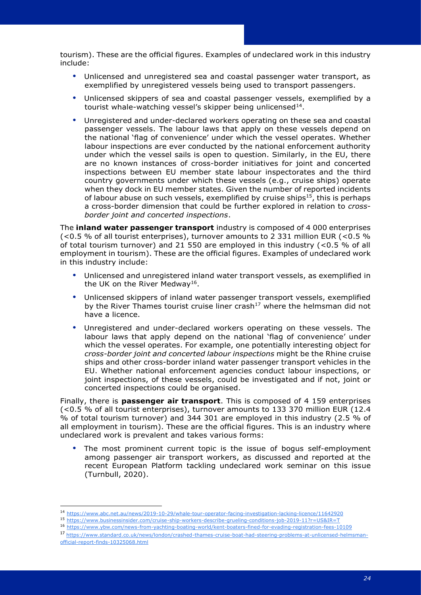- Unlicensed and unregistered sea and coastal passenger water transport, as exemplified by unregistered vessels being used to transport passengers.
- Unlicensed skippers of sea and coastal passenger vessels, exemplified by a tourist whale-watching vessel's skipper being unlicensed<sup>14</sup>.
- Unregistered and under-declared workers operating on these sea and coastal passenger vessels. The labour laws that apply on these vessels depend on the national 'flag of convenience' under which the vessel operates. Whether labour inspections are ever conducted by the national enforcement authority under which the vessel sails is open to question. Similarly, in the EU, there are no known instances of cross-border initiatives for joint and concerted inspections between EU member state labour inspectorates and the third country governments under which these vessels (e.g., cruise ships) operate when they dock in EU member states. Given the number of reported incidents of labour abuse on such vessels, exemplified by cruise ships<sup>15</sup>, this is perhaps a cross-border dimension that could be further explored in relation to *crossborder joint and concerted inspections*.

The **inland water passenger transport** industry is composed of 4 000 enterprises (<0.5 % of all tourist enterprises), turnover amounts to 2 331 million EUR (<0.5 % of total tourism turnover) and 21 550 are employed in this industry (<0.5 % of all employment in tourism). These are the official figures. Examples of undeclared work in this industry include:

- Unlicensed and unregistered inland water transport vessels, as exemplified in the UK on the River Medway<sup>16</sup>.
- Unlicensed skippers of inland water passenger transport vessels, exemplified by the River Thames tourist cruise liner crash<sup>17</sup> where the helmsman did not have a licence.
- Unregistered and under-declared workers operating on these vessels. The labour laws that apply depend on the national 'flag of convenience' under which the vessel operates. For example, one potentially interesting object for *cross-border joint and concerted labour inspections* might be the Rhine cruise ships and other cross-border inland water passenger transport vehicles in the EU. Whether national enforcement agencies conduct labour inspections, or joint inspections, of these vessels, could be investigated and if not, joint or concerted inspections could be organised.

Finally, there is **passenger air transport**. This is composed of 4 159 enterprises (<0.5 % of all tourist enterprises), turnover amounts to 133 370 million EUR (12.4 % of total tourism turnover) and 344 301 are employed in this industry (2.5 % of all employment in tourism). These are the official figures. This is an industry where undeclared work is prevalent and takes various forms:

 The most prominent current topic is the issue of bogus self-employment among passenger air transport workers, as discussed and reported at the recent European Platform tackling undeclared work seminar on this issue (Turnbull, 2020).

- <sup>15</sup> <https://www.businessinsider.com/cruise-ship-workers-describe-grueling-conditions-job-2019-11?r=US&IR=T>
- <sup>16</sup> <https://www.ybw.com/news-from-yachting-boating-world/kent-boaters-fined-for-evading-registration-fees-10109>
- <sup>17</sup> [https://www.standard.co.uk/news/london/crashed-thames-cruise-boat-had-steering-problems-at-unlicensed-helmsman](https://www.standard.co.uk/news/london/crashed-thames-cruise-boat-had-steering-problems-at-unlicensed-helmsman-official-report-finds-10325068.html)[official-report-finds-10325068.html](https://www.standard.co.uk/news/london/crashed-thames-cruise-boat-had-steering-problems-at-unlicensed-helmsman-official-report-finds-10325068.html)

<sup>14</sup> <https://www.abc.net.au/news/2019-10-29/whale-tour-operator-facing-investigation-lacking-licence/11642920>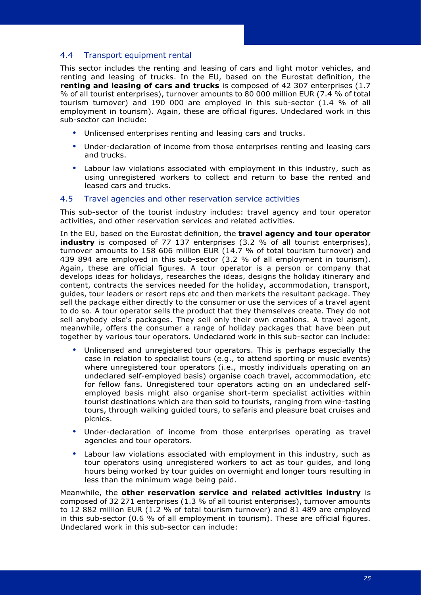## <span id="page-28-0"></span>4.4 Transport equipment rental

This sector includes the renting and leasing of cars and light motor vehicles, and renting and leasing of trucks. In the EU, based on the Eurostat definition, the **renting and leasing of cars and trucks** is composed of 42 307 enterprises (1.7 % of all tourist enterprises), turnover amounts to 80 000 million EUR (7.4 % of total tourism turnover) and 190 000 are employed in this sub-sector (1.4 % of all employment in tourism). Again, these are official figures. Undeclared work in this sub-sector can include:

- Unlicensed enterprises renting and leasing cars and trucks.
- Under-declaration of income from those enterprises renting and leasing cars and trucks.
- Labour law violations associated with employment in this industry, such as using unregistered workers to collect and return to base the rented and leased cars and trucks.

#### <span id="page-28-1"></span>4.5 Travel agencies and other reservation service activities

This sub-sector of the tourist industry includes: travel agency and tour operator activities, and other reservation services and related activities.

In the EU, based on the Eurostat definition, the **travel agency and tour operator industry** is composed of 77 137 enterprises (3.2 % of all tourist enterprises), turnover amounts to 158 606 million EUR (14.7 % of total tourism turnover) and 439 894 are employed in this sub-sector (3.2 % of all employment in tourism). Again, these are official figures. A tour operator is a person or company that develops ideas for holidays, researches the ideas, designs the holiday itinerary and content, contracts the services needed for the holiday, accommodation, transport, guides, tour leaders or resort reps etc and then markets the resultant package. They sell the package either directly to the consumer or use the services of a travel agent to do so. A tour operator sells the product that they themselves create. They do not sell anybody else's packages. They sell only their own creations. A travel agent, meanwhile, offers the consumer a range of holiday packages that have been put together by various tour operators. Undeclared work in this sub-sector can include:

- Unlicensed and unregistered tour operators. This is perhaps especially the case in relation to specialist tours (e.g., to attend sporting or music events) where unregistered tour operators (i.e., mostly individuals operating on an undeclared self-employed basis) organise coach travel, accommodation, etc for fellow fans. Unregistered tour operators acting on an undeclared selfemployed basis might also organise short-term specialist activities within tourist destinations which are then sold to tourists, ranging from wine-tasting tours, through walking guided tours, to safaris and pleasure boat cruises and picnics.
- Under-declaration of income from those enterprises operating as travel agencies and tour operators.
- Labour law violations associated with employment in this industry, such as tour operators using unregistered workers to act as tour guides, and long hours being worked by tour guides on overnight and longer tours resulting in less than the minimum wage being paid.

Meanwhile, the **other reservation service and related activities industry** is composed of 32 271 enterprises (1.3 % of all tourist enterprises), turnover amounts to 12 882 million EUR (1.2 % of total tourism turnover) and 81 489 are employed in this sub-sector (0.6 % of all employment in tourism). These are official figures. Undeclared work in this sub-sector can include: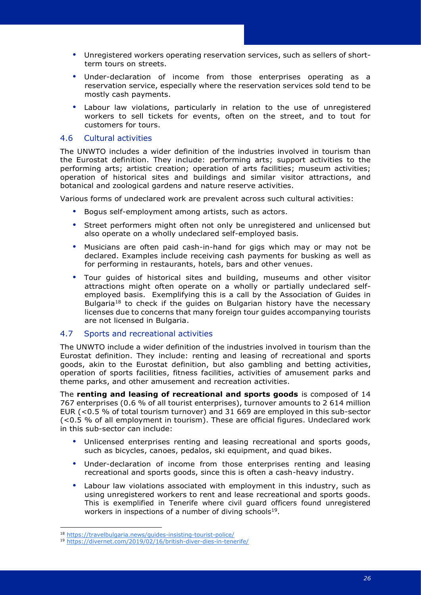- Under-declaration of income from those enterprises operating as a reservation service, especially where the reservation services sold tend to be mostly cash payments.
- Labour law violations, particularly in relation to the use of unregistered workers to sell tickets for events, often on the street, and to tout for customers for tours.

## <span id="page-29-0"></span>4.6 Cultural activities

The UNWTO includes a wider definition of the industries involved in tourism than the Eurostat definition. They include: performing arts; support activities to the performing arts; artistic creation; operation of arts facilities; museum activities; operation of historical sites and buildings and similar visitor attractions, and botanical and zoological gardens and nature reserve activities.

Various forms of undeclared work are prevalent across such cultural activities:

- Bogus self-employment among artists, such as actors.
- Street performers might often not only be unregistered and unlicensed but also operate on a wholly undeclared self-employed basis.
- Musicians are often paid cash-in-hand for gigs which may or may not be declared. Examples include receiving cash payments for busking as well as for performing in restaurants, hotels, bars and other venues.
- Tour guides of historical sites and building, museums and other visitor attractions might often operate on a wholly or partially undeclared selfemployed basis. Exemplifying this is a call by the Association of Guides in Bulgaria<sup>18</sup> to check if the guides on Bulgarian history have the necessary licenses due to concerns that many foreign tour guides accompanying tourists are not licensed in Bulgaria.

## <span id="page-29-1"></span>4.7 Sports and recreational activities

The UNWTO include a wider definition of the industries involved in tourism than the Eurostat definition. They include: renting and leasing of recreational and sports goods, akin to the Eurostat definition, but also gambling and betting activities, operation of sports facilities, fitness facilities, activities of amusement parks and theme parks, and other amusement and recreation activities.

The **renting and leasing of recreational and sports goods** is composed of 14 767 enterprises (0.6 % of all tourist enterprises), turnover amounts to 2 614 million EUR (<0.5 % of total tourism turnover) and 31 669 are employed in this sub-sector (<0.5 % of all employment in tourism). These are official figures. Undeclared work in this sub-sector can include:

- Unlicensed enterprises renting and leasing recreational and sports goods, such as bicycles, canoes, pedalos, ski equipment, and quad bikes.
- Under-declaration of income from those enterprises renting and leasing recreational and sports goods, since this is often a cash-heavy industry.
- Labour law violations associated with employment in this industry, such as using unregistered workers to rent and lease recreational and sports goods. This is exemplified in Tenerife where civil guard officers found unregistered workers in inspections of a number of diving schools<sup>19</sup>.

<sup>18</sup> <https://travelbulgaria.news/guides-insisting-tourist-police/>

<sup>19</sup> <https://divernet.com/2019/02/16/british-diver-dies-in-tenerife/>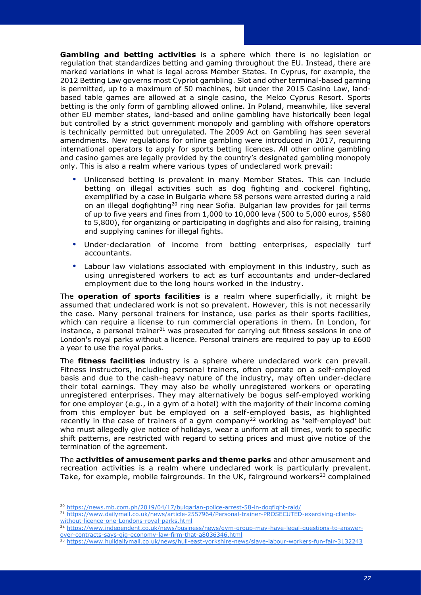**Gambling and betting activities** is a sphere which there is no legislation or regulation that standardizes betting and gaming throughout the EU. Instead, there are marked variations in what is legal across Member States. In Cyprus, for example, the 2012 Betting Law governs most Cypriot gambling. Slot and other terminal-based gaming is permitted, up to a maximum of 50 machines, but under the 2015 Casino Law, landbased table games are allowed at a single casino, the Melco Cyprus Resort. Sports betting is the only form of gambling allowed online. In Poland, meanwhile, like several other EU member states, land-based and online gambling have historically been legal but controlled by a strict government monopoly and gambling with offshore operators is technically permitted but unregulated. The 2009 Act on Gambling has seen several amendments. New regulations for online gambling were introduced in 2017, requiring international operators to apply for sports betting licences. All other online gambling and casino games are legally provided by the country's designated gambling monopoly only. This is also a realm where various types of undeclared work prevail:

- Unlicensed betting is prevalent in many Member States. This can include betting on illegal activities such as dog fighting and cockerel fighting, exemplified by a case in Bulgaria where 58 persons were arrested during a raid on an illegal dogfighting<sup>20</sup> ring near Sofia. Bulgarian law provides for jail terms of up to five years and fines from 1,000 to 10,000 leva (500 to 5,000 euros, \$580 to 5,800), for organizing or participating in dogfights and also for raising, training and supplying canines for illegal fights.
- Under-declaration of income from betting enterprises, especially turf accountants.
- Labour law violations associated with employment in this industry, such as using unregistered workers to act as turf accountants and under-declared employment due to the long hours worked in the industry.

The **operation of sports facilities** is a realm where superficially, it might be assumed that undeclared work is not so prevalent. However, this is not necessarily the case. Many personal trainers for instance, use parks as their sports facilities, which can require a license to run commercial operations in them. In London, for instance, a personal trainer $^{21}$  was prosecuted for carrying out fitness sessions in one of London's royal parks without a licence. Personal trainers are required to pay up to £600 a year to use the royal parks.

The **fitness facilities** industry is a sphere where undeclared work can prevail. Fitness instructors, including personal trainers, often operate on a self-employed basis and due to the cash-heavy nature of the industry, may often under-declare their total earnings. They may also be wholly unregistered workers or operating unregistered enterprises. They may alternatively be bogus self-employed working for one employer (e.g., in a gym of a hotel) with the majority of their income coming from this employer but be employed on a self-employed basis, as highlighted recently in the case of trainers of a gym company<sup>22</sup> working as 'self-employed' but who must allegedly give notice of holidays, wear a uniform at all times, work to specific shift patterns, are restricted with regard to setting prices and must give notice of the termination of the agreement.

The **activities of amusement parks and theme parks** and other amusement and recreation activities is a realm where undeclared work is particularly prevalent. Take, for example, mobile fairgrounds. In the UK, fairground workers<sup>23</sup> complained

<sup>20</sup> <https://news.mb.com.ph/2019/04/17/bulgarian-police-arrest-58-in-dogfight-raid/>

<sup>21</sup> [https://www.dailymail.co.uk/news/article-2557964/Personal-trainer-PROSECUTED-exercising-clients](https://www.dailymail.co.uk/news/article-2557964/Personal-trainer-PROSECUTED-exercising-clients-without-licence-one-Londons-royal-parks.html)[without-licence-one-Londons-royal-parks.html](https://www.dailymail.co.uk/news/article-2557964/Personal-trainer-PROSECUTED-exercising-clients-without-licence-one-Londons-royal-parks.html)

<sup>22</sup> [https://www.independent.co.uk/news/business/news/gym-group-may-have-legal-questions-to-answer](https://www.independent.co.uk/news/business/news/gym-group-may-have-legal-questions-to-answer-over-contracts-says-gig-economy-law-firm-that-a8036346.html)[over-contracts-says-gig-economy-law-firm-that-a8036346.html](https://www.independent.co.uk/news/business/news/gym-group-may-have-legal-questions-to-answer-over-contracts-says-gig-economy-law-firm-that-a8036346.html)

<sup>23</sup> <https://www.hulldailymail.co.uk/news/hull-east-yorkshire-news/slave-labour-workers-fun-fair-3132243>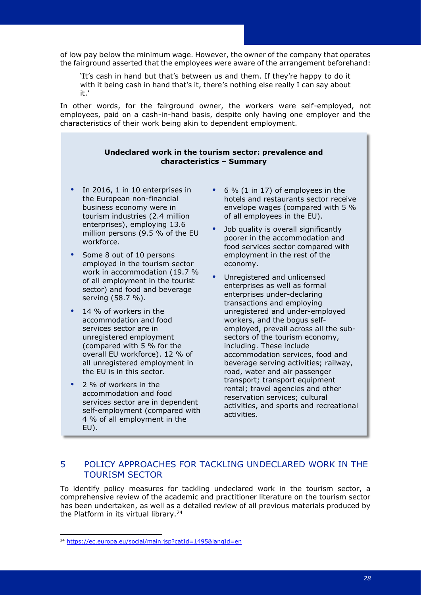of low pay below the minimum wage. However, the owner of the company that operates the fairground asserted that the employees were aware of the arrangement beforehand:

'It's cash in hand but that's between us and them. If they're happy to do it with it being cash in hand that's it, there's nothing else really I can say about it.'

In other words, for the fairground owner, the workers were self-employed, not employees, paid on a cash-in-hand basis, despite only having one employer and the characteristics of their work being akin to dependent employment.

## **Undeclared work in the tourism sector: prevalence and characteristics – Summary**

- In 2016, 1 in 10 enterprises in the European non-financial business economy were in tourism industries (2.4 million enterprises), employing 13.6 million persons (9.5 % of the EU workforce.
- Some 8 out of 10 persons employed in the tourism sector work in accommodation (19.7 % of all employment in the tourist sector) and food and beverage serving (58.7 %).
- 14 % of workers in the accommodation and food services sector are in unregistered employment (compared with 5 % for the overall EU workforce). 12 % of all unregistered employment in the EU is in this sector.
- 2 % of workers in the accommodation and food services sector are in dependent self-employment (compared with 4 % of all employment in the EU).
- 6 % (1 in 17) of employees in the hotels and restaurants sector receive envelope wages (compared with 5 % of all employees in the EU).
- Job quality is overall significantly poorer in the accommodation and food services sector compared with employment in the rest of the economy.
- Unregistered and unlicensed enterprises as well as formal enterprises under-declaring transactions and employing unregistered and under-employed workers, and the bogus selfemployed, prevail across all the subsectors of the tourism economy, including. These include accommodation services, food and beverage serving activities; railway, road, water and air passenger transport; transport equipment rental; travel agencies and other reservation services; cultural activities, and sports and recreational activities.

## <span id="page-31-0"></span>5 POLICY APPROACHES FOR TACKLING UNDECLARED WORK IN THE TOURISM SECTOR

To identify policy measures for tackling undeclared work in the tourism sector, a comprehensive review of the academic and practitioner literature on the tourism sector has been undertaken, as well as a detailed review of all previous materials produced by the Platform in its virtual library.<sup>24</sup>

<sup>24</sup> <https://ec.europa.eu/social/main.jsp?catId=1495&langId=en>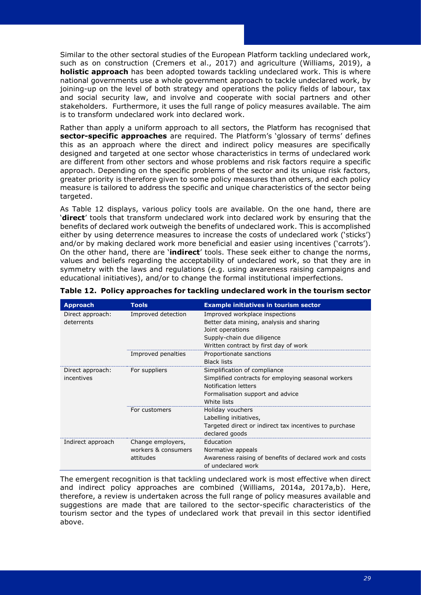Similar to the other sectoral studies of the European Platform tackling undeclared work, such as on construction (Cremers et al., 2017) and agriculture (Williams, 2019), a **holistic approach** has been adopted towards tackling undeclared work. This is where national governments use a whole government approach to tackle undeclared work, by joining-up on the level of both strategy and operations the policy fields of labour, tax and social security law, and involve and cooperate with social partners and other stakeholders. Furthermore, it uses the full range of policy measures available. The aim is to transform undeclared work into declared work.

Rather than apply a uniform approach to all sectors, the Platform has recognised that **sector-specific approaches** are required. The Platform's 'glossary of terms' defines this as an approach where the direct and indirect policy measures are specifically designed and targeted at one sector whose characteristics in terms of undeclared work are different from other sectors and whose problems and risk factors require a specific approach. Depending on the specific problems of the sector and its unique risk factors, greater priority is therefore given to some policy measures than others, and each policy measure is tailored to address the specific and unique characteristics of the sector being targeted.

As Table 12 displays, various policy tools are available. On the one hand, there are '**direct**' tools that transform undeclared work into declared work by ensuring that the benefits of declared work outweigh the benefits of undeclared work. This is accomplished either by using deterrence measures to increase the costs of undeclared work ('sticks') and/or by making declared work more beneficial and easier using incentives ('carrots'). On the other hand, there are '**indirect**' tools. These seek either to change the norms, values and beliefs regarding the acceptability of undeclared work, so that they are in symmetry with the laws and regulations (e.g. using awareness raising campaigns and educational initiatives), and/or to change the formal institutional imperfections.

| <b>Approach</b>                | <b>Tools</b>                                          | <b>Example initiatives in tourism sector</b>                                                                                                                          |  |  |  |
|--------------------------------|-------------------------------------------------------|-----------------------------------------------------------------------------------------------------------------------------------------------------------------------|--|--|--|
| Direct approach:<br>deterrents | Improved detection                                    | Improved workplace inspections<br>Better data mining, analysis and sharing<br>Joint operations<br>Supply-chain due diligence<br>Written contract by first day of work |  |  |  |
|                                | Improved penalties                                    | Proportionate sanctions<br><b>Black lists</b>                                                                                                                         |  |  |  |
| Direct approach:<br>incentives | For suppliers                                         | Simplification of compliance<br>Simplified contracts for employing seasonal workers<br>Notification letters<br>Formalisation support and advice<br>White lists        |  |  |  |
|                                | For customers                                         | Holiday vouchers<br>Labelling initiatives,<br>Targeted direct or indirect tax incentives to purchase<br>declared goods                                                |  |  |  |
| Indirect approach              | Change employers,<br>workers & consumers<br>attitudes | Education<br>Normative appeals<br>Awareness raising of benefits of declared work and costs<br>of undeclared work                                                      |  |  |  |

**Table 12. Policy approaches for tackling undeclared work in the tourism sector**

The emergent recognition is that tackling undeclared work is most effective when direct and indirect policy approaches are combined (Williams, 2014a, 2017a,b). Here, therefore, a review is undertaken across the full range of policy measures available and suggestions are made that are tailored to the sector-specific characteristics of the tourism sector and the types of undeclared work that prevail in this sector identified above.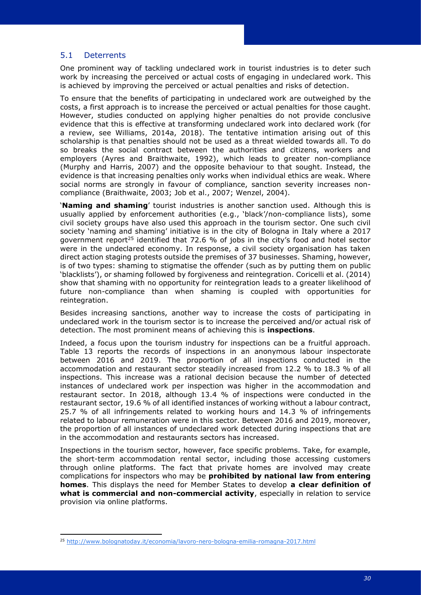## <span id="page-33-0"></span>5.1 Deterrents

One prominent way of tackling undeclared work in tourist industries is to deter such work by increasing the perceived or actual costs of engaging in undeclared work. This is achieved by improving the perceived or actual penalties and risks of detection.

To ensure that the benefits of participating in undeclared work are outweighed by the costs, a first approach is to increase the perceived or actual penalties for those caught. However, studies conducted on applying higher penalties do not provide conclusive evidence that this is effective at transforming undeclared work into declared work (for a review, see Williams, 2014a, 2018). The tentative intimation arising out of this scholarship is that penalties should not be used as a threat wielded towards all. To do so breaks the social contract between the authorities and citizens, workers and employers (Ayres and Braithwaite, 1992), which leads to greater non-compliance (Murphy and Harris, 2007) and the opposite behaviour to that sought. Instead, the evidence is that increasing penalties only works when individual ethics are weak. Where social norms are strongly in favour of compliance, sanction severity increases noncompliance (Braithwaite, 2003; Job et al., 2007; Wenzel, 2004).

'**Naming and shaming**' tourist industries is another sanction used. Although this is usually applied by enforcement authorities (e.g., 'black'/non-compliance lists), some civil society groups have also used this approach in the tourism sector. One such civil society 'naming and shaming' initiative is in the city of Bologna in Italy where a 2017 government report<sup>25</sup> identified that 72.6 % of jobs in the city's food and hotel sector were in the undeclared economy. In response, a civil society organisation has taken direct action staging protests outside the premises of 37 businesses. Shaming, however, is of two types: shaming to stigmatise the offender (such as by putting them on public 'blacklists'), or shaming followed by forgiveness and reintegration. Coricelli et al. (2014) show that shaming with no opportunity for reintegration leads to a greater likelihood of future non-compliance than when shaming is coupled with opportunities for reintegration.

Besides increasing sanctions, another way to increase the costs of participating in undeclared work in the tourism sector is to increase the perceived and/or actual risk of detection. The most prominent means of achieving this is **inspections**.

Indeed, a focus upon the tourism industry for inspections can be a fruitful approach. Table 13 reports the records of inspections in an anonymous labour inspectorate between 2016 and 2019. The proportion of all inspections conducted in the accommodation and restaurant sector steadily increased from 12.2 % to 18.3 % of all inspections. This increase was a rational decision because the number of detected instances of undeclared work per inspection was higher in the accommodation and restaurant sector. In 2018, although 13.4 % of inspections were conducted in the restaurant sector, 19.6 % of all identified instances of working without a labour contract, 25.7 % of all infringements related to working hours and 14.3 % of infringements related to labour remuneration were in this sector. Between 2016 and 2019, moreover, the proportion of all instances of undeclared work detected during inspections that are in the accommodation and restaurants sectors has increased.

Inspections in the tourism sector, however, face specific problems. Take, for example, the short-term accommodation rental sector, including those accessing customers through online platforms. The fact that private homes are involved may create complications for inspectors who may be **prohibited by national law from entering homes**. This displays the need for Member States to develop **a clear definition of what is commercial and non-commercial activity**, especially in relation to service provision via online platforms.

<sup>25</sup> <http://www.bolognatoday.it/economia/lavoro-nero-bologna-emilia-romagna-2017.html>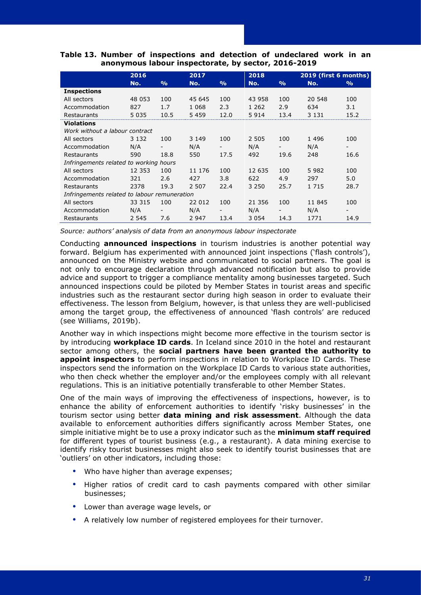|                                              | 2016     | 2017<br>2018  |         |                          | 2019 (first 6 months) |                          |         |               |
|----------------------------------------------|----------|---------------|---------|--------------------------|-----------------------|--------------------------|---------|---------------|
|                                              | No.      | $\frac{0}{0}$ | No.     | $\frac{9}{0}$            | No.                   | $\frac{0}{0}$            | No.     | $\frac{9}{6}$ |
| <b>Inspections</b>                           |          |               |         |                          |                       |                          |         |               |
| All sectors                                  | 48 053   | 100           | 45 645  | 100                      | 43 958                | 100                      | 20 548  | 100           |
| Accommodation                                | 827      | 1.7           | 1 0 6 8 | 2.3                      | 1 2 6 2               | 2.9                      | 634     | 3.1           |
| Restaurants                                  | 5 0 3 5  | 10.5          | 5 4 5 9 | 12.0                     | 5914                  | 13.4                     | 3 1 3 1 | 15.2          |
| <b>Violations</b>                            |          |               |         |                          |                       |                          |         |               |
| Work without a labour contract               |          |               |         |                          |                       |                          |         |               |
| All sectors                                  | 3 1 3 2  | 100           | 3 1 4 9 | 100                      | 2 505                 | 100                      | 1496    | 100           |
| Accommodation                                | N/A      |               | N/A     |                          | N/A                   |                          | N/A     |               |
| Restaurants                                  | 590      | 18.8          | 550     | 17.5                     | 492                   | 19.6                     | 248     | 16.6          |
| Infringements related to working hours       |          |               |         |                          |                       |                          |         |               |
| All sectors                                  | 12 3 5 3 | 100           | 11 176  | 100                      | 12 635                | 100                      | 5982    | 100           |
| Accommodation                                | 321      | 2.6           | 427     | 3.8                      | 622                   | 4.9                      | 297     | 5.0           |
| Restaurants                                  | 2378     | 19.3          | 2 507   | 22.4                     | 3 2 5 0               | 25.7                     | 1 7 1 5 | 28.7          |
| Infringements related to labour remuneration |          |               |         |                          |                       |                          |         |               |
| All sectors                                  | 33 315   | 100           | 22 012  | 100                      | 21 356                | 100                      | 11 845  | 100           |
| Accommodation                                | N/A      | Ξ.            | N/A     | $\overline{\phantom{a}}$ | N/A                   | $\overline{\phantom{a}}$ | N/A     |               |
| Restaurants                                  | 2 5 4 5  | 7.6           | 2 9 4 7 | 13.4                     | 3 0 5 4               | 14.3                     | 1771    | 14.9          |

**Table 13. Number of inspections and detection of undeclared work in an anonymous labour inspectorate, by sector, 2016-2019** 

*Source: authors' analysis of data from an anonymous labour inspectorate*

Conducting **announced inspections** in tourism industries is another potential way forward. Belgium has experimented with announced joint inspections ('flash controls'), announced on the Ministry website and communicated to social partners. The goal is not only to encourage declaration through advanced notification but also to provide advice and support to trigger a compliance mentality among businesses targeted. Such announced inspections could be piloted by Member States in tourist areas and specific industries such as the restaurant sector during high season in order to evaluate their effectiveness. The lesson from Belgium, however, is that unless they are well-publicised among the target group, the effectiveness of announced 'flash controls' are reduced (see Williams, 2019b).

Another way in which inspections might become more effective in the tourism sector is by introducing **workplace ID cards**. In Iceland since 2010 in the hotel and restaurant sector among others, the **social partners have been granted the authority to appoint inspectors** to perform inspections in relation to Workplace ID Cards. These inspectors send the information on the Workplace ID Cards to various state authorities, who then check whether the employer and/or the employees comply with all relevant regulations. This is an initiative potentially transferable to other Member States.

One of the main ways of improving the effectiveness of inspections, however, is to enhance the ability of enforcement authorities to identify 'risky businesses' in the tourism sector using better **data mining and risk assessment**. Although the data available to enforcement authorities differs significantly across Member States, one simple initiative might be to use a proxy indicator such as the **minimum staff required** for different types of tourist business (e.g., a restaurant). A data mining exercise to identify risky tourist businesses might also seek to identify tourist businesses that are 'outliers' on other indicators, including those:

- Who have higher than average expenses;
- Higher ratios of credit card to cash payments compared with other similar businesses;
- Lower than average wage levels, or
- A relatively low number of registered employees for their turnover.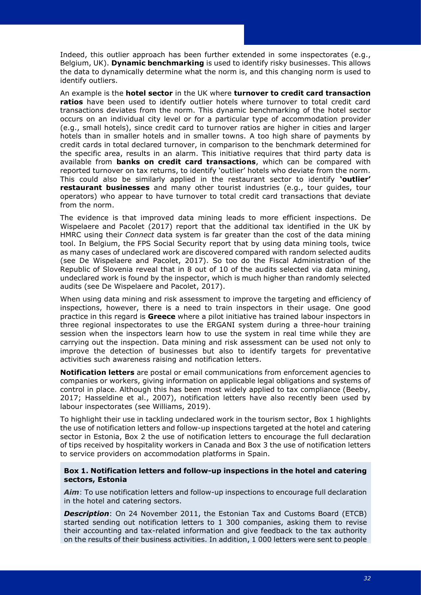Indeed, this outlier approach has been further extended in some inspectorates (e.g., Belgium, UK). **Dynamic benchmarking** is used to identify risky businesses. This allows the data to dynamically determine what the norm is, and this changing norm is used to identify outliers.

An example is the **hotel sector** in the UK where **turnover to credit card transaction ratios** have been used to identify outlier hotels where turnover to total credit card transactions deviates from the norm. This dynamic benchmarking of the hotel sector occurs on an individual city level or for a particular type of accommodation provider (e.g., small hotels), since credit card to turnover ratios are higher in cities and larger hotels than in smaller hotels and in smaller towns. A too high share of payments by credit cards in total declared turnover, in comparison to the benchmark determined for the specific area, results in an alarm. This initiative requires that third party data is available from **banks on credit card transactions**, which can be compared with reported turnover on tax returns, to identify 'outlier' hotels who deviate from the norm. This could also be similarly applied in the restaurant sector to identify **'outlier' restaurant businesses** and many other tourist industries (e.g., tour guides, tour operators) who appear to have turnover to total credit card transactions that deviate from the norm.

The evidence is that improved data mining leads to more efficient inspections. De Wispelaere and Pacolet (2017) report that the additional tax identified in the UK by HMRC using their *Connect* data system is far greater than the cost of the data mining tool. In Belgium, the FPS Social Security report that by using data mining tools, twice as many cases of undeclared work are discovered compared with random selected audits (see De Wispelaere and Pacolet, 2017). So too do the Fiscal Administration of the Republic of Slovenia reveal that in 8 out of 10 of the audits selected via data mining, undeclared work is found by the inspector, which is much higher than randomly selected audits (see De Wispelaere and Pacolet, 2017).

When using data mining and risk assessment to improve the targeting and efficiency of inspections, however, there is a need to train inspectors in their usage. One good practice in this regard is **Greece** where a pilot initiative has trained labour inspectors in three regional inspectorates to use the ERGANI system during a three-hour training session when the inspectors learn how to use the system in real time while they are carrying out the inspection. Data mining and risk assessment can be used not only to improve the detection of businesses but also to identify targets for preventative activities such awareness raising and notification letters.

**Notification letters** are postal or email communications from enforcement agencies to companies or workers, giving information on applicable legal obligations and systems of control in place. Although this has been most widely applied to tax compliance (Beeby, 2017; Hasseldine et al., 2007), notification letters have also recently been used by labour inspectorates (see Williams, 2019).

To highlight their use in tackling undeclared work in the tourism sector, Box 1 highlights the use of notification letters and follow-up inspections targeted at the hotel and catering sector in Estonia, Box 2 the use of notification letters to encourage the full declaration of tips received by hospitality workers in Canada and Box 3 the use of notification letters to service providers on accommodation platforms in Spain.

#### **Box 1. Notification letters and follow-up inspections in the hotel and catering sectors, Estonia**

*Aim*: To use notification letters and follow-up inspections to encourage full declaration in the hotel and catering sectors.

**Description:** On 24 November 2011, the Estonian Tax and Customs Board (ETCB) started sending out notification letters to 1 300 companies, asking them to revise their accounting and tax-related information and give feedback to the tax authority on the results of their business activities. In addition, 1 000 letters were sent to people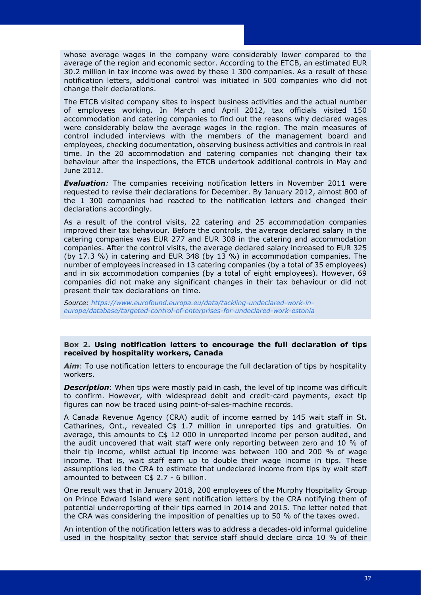whose average wages in the company were considerably lower compared to the average of the region and economic sector. According to the ETCB, an estimated EUR 30.2 million in tax income was owed by these 1 300 companies. As a result of these notification letters, additional control was initiated in 500 companies who did not change their declarations.

The ETCB visited company sites to inspect business activities and the actual number of employees working. In March and April 2012, tax officials visited 150 accommodation and catering companies to find out the reasons why declared wages were considerably below the average wages in the region. The main measures of control included interviews with the members of the management board and employees, checking documentation, observing business activities and controls in real time. In the 20 accommodation and catering companies not changing their tax behaviour after the inspections, the ETCB undertook additional controls in May and June 2012.

*Evaluation:* The companies receiving notification letters in November 2011 were requested to revise their declarations for December. By January 2012, almost 800 of the 1 300 companies had reacted to the notification letters and changed their declarations accordingly.

As a result of the control visits, 22 catering and 25 accommodation companies improved their tax behaviour. Before the controls, the average declared salary in the catering companies was EUR 277 and EUR 308 in the catering and accommodation companies. After the control visits, the average declared salary increased to EUR 325 (by 17.3 %) in catering and EUR 348 (by 13 %) in accommodation companies. The number of employees increased in 13 catering companies (by a total of 35 employees) and in six accommodation companies (by a total of eight employees). However, 69 companies did not make any significant changes in their tax behaviour or did not present their tax declarations on time.

*Source: [https://www.eurofound.europa.eu/data/tackling-undeclared-work-in](https://www.eurofound.europa.eu/data/tackling-undeclared-work-in-europe/database/targeted-control-of-enterprises-for-undeclared-work-estonia)[europe/database/targeted-control-of-enterprises-for-undeclared-work-estonia](https://www.eurofound.europa.eu/data/tackling-undeclared-work-in-europe/database/targeted-control-of-enterprises-for-undeclared-work-estonia)*

#### **Box 2. Using notification letters to encourage the full declaration of tips received by hospitality workers, Canada**

*Aim*: To use notification letters to encourage the full declaration of tips by hospitality workers.

**Description**: When tips were mostly paid in cash, the level of tip income was difficult to confirm. However, with widespread debit and credit-card payments, exact tip figures can now be traced using point-of-sales-machine records.

A Canada Revenue Agency (CRA) audit of income earned by 145 wait staff in St. Catharines, Ont., revealed C\$ 1.7 million in unreported tips and gratuities. On average, this amounts to C\$ 12 000 in unreported income per person audited, and the audit uncovered that wait staff were only reporting between zero and 10 % of their tip income, whilst actual tip income was between 100 and 200 % of wage income. That is, wait staff earn up to double their wage income in tips. These assumptions led the CRA to estimate that undeclared income from tips by wait staff amounted to between C\$ 2.7 - 6 billion.

One result was that in January 2018, 200 employees of the Murphy Hospitality Group on Prince Edward Island were sent notification letters by the CRA notifying them of potential underreporting of their tips earned in 2014 and 2015. The letter noted that the CRA was considering the imposition of penalties up to 50 % of the taxes owed.

An intention of the notification letters was to address a decades-old informal guideline used in the hospitality sector that service staff should declare circa 10 % of their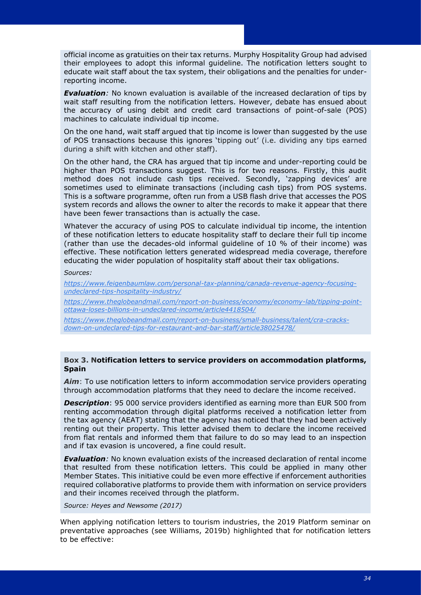official income as gratuities on their tax returns. Murphy Hospitality Group had advised their employees to adopt this informal guideline. The notification letters sought to educate wait staff about the tax system, their obligations and the penalties for underreporting income.

**Evaluation**: No known evaluation is available of the increased declaration of tips by wait staff resulting from the notification letters. However, debate has ensued about the accuracy of using debit and credit card transactions of point-of-sale (POS) machines to calculate individual tip income.

On the one hand, wait staff argued that tip income is lower than suggested by the use of POS transactions because this ignores 'tipping out' (i.e. dividing any tips earned during a shift with kitchen and other staff).

On the other hand, the CRA has argued that tip income and under-reporting could be higher than POS transactions suggest. This is for two reasons. Firstly, this audit method does not include cash tips received. Secondly, 'zapping devices' are sometimes used to eliminate transactions (including cash tips) from POS systems. This is a software programme, often run from a USB flash drive that accesses the POS system records and allows the owner to alter the records to make it appear that there have been fewer transactions than is actually the case.

Whatever the accuracy of using POS to calculate individual tip income, the intention of these notification letters to educate hospitality staff to declare their full tip income (rather than use the decades-old informal guideline of 10 % of their income) was effective. These notification letters generated widespread media coverage, therefore educating the wider population of hospitality staff about their tax obligations.

#### *Sources:*

*[https://www.feigenbaumlaw.com/personal-tax-planning/canada-revenue-agency-focusing](https://www.feigenbaumlaw.com/personal-tax-planning/canada-revenue-agency-focusing-undeclared-tips-hospitality-industry/)[undeclared-tips-hospitality-industry/](https://www.feigenbaumlaw.com/personal-tax-planning/canada-revenue-agency-focusing-undeclared-tips-hospitality-industry/)*

*[https://www.theglobeandmail.com/report-on-business/economy/economy-lab/tipping-point](https://www.theglobeandmail.com/report-on-business/economy/economy-lab/tipping-point-ottawa-loses-billions-in-undeclared-income/article4418504/)[ottawa-loses-billions-in-undeclared-income/article4418504/](https://www.theglobeandmail.com/report-on-business/economy/economy-lab/tipping-point-ottawa-loses-billions-in-undeclared-income/article4418504/)*

*[https://www.theglobeandmail.com/report-on-business/small-business/talent/cra-cracks](https://www.theglobeandmail.com/report-on-business/small-business/talent/cra-cracks-down-on-undeclared-tips-for-restaurant-and-bar-staff/article38025478/)[down-on-undeclared-tips-for-restaurant-and-bar-staff/article38025478/](https://www.theglobeandmail.com/report-on-business/small-business/talent/cra-cracks-down-on-undeclared-tips-for-restaurant-and-bar-staff/article38025478/)*

#### **Box 3. Notification letters to service providers on accommodation platforms, Spain**

*Aim*: To use notification letters to inform accommodation service providers operating through accommodation platforms that they need to declare the income received.

*Description*: 95 000 service providers identified as earning more than EUR 500 from renting accommodation through digital platforms received a notification letter from the tax agency (AEAT) stating that the agency has noticed that they had been actively renting out their property. This letter advised them to declare the income received from flat rentals and informed them that failure to do so may lead to an inspection and if tax evasion is uncovered, a fine could result.

*Evaluation:* No known evaluation exists of the increased declaration of rental income that resulted from these notification letters. This could be applied in many other Member States. This initiative could be even more effective if enforcement authorities required collaborative platforms to provide them with information on service providers and their incomes received through the platform.

*Source: Heyes and Newsome (2017)*

When applying notification letters to tourism industries, the 2019 Platform seminar on preventative approaches (see Williams, 2019b) highlighted that for notification letters to be effective: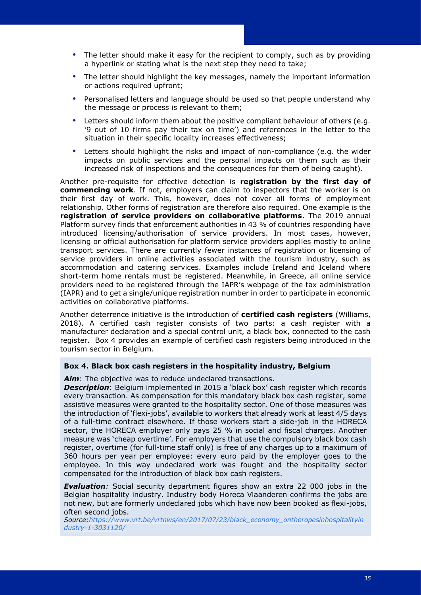- The letter should make it easy for the recipient to comply, such as by providing a hyperlink or stating what is the next step they need to take;
- The letter should highlight the key messages, namely the important information or actions required upfront;
- Personalised letters and language should be used so that people understand why the message or process is relevant to them;
- Letters should inform them about the positive compliant behaviour of others (e.g. '9 out of 10 firms pay their tax on time') and references in the letter to the situation in their specific locality increases effectiveness;
- Letters should highlight the risks and impact of non-compliance (e.g. the wider impacts on public services and the personal impacts on them such as their increased risk of inspections and the consequences for them of being caught).

Another pre-requisite for effective detection is **registration by the first day of commencing work**. If not, employers can claim to inspectors that the worker is on their first day of work. This, however, does not cover all forms of employment relationship. Other forms of registration are therefore also required. One example is the **registration of service providers on collaborative platforms**. The 2019 annual Platform survey finds that enforcement authorities in 43 % of countries responding have introduced licensing/authorisation of service providers. In most cases, however, licensing or official authorisation for platform service providers applies mostly to online transport services. There are currently fewer instances of registration or licensing of service providers in online activities associated with the tourism industry, such as accommodation and catering services. Examples include Ireland and Iceland where short-term home rentals must be registered. Meanwhile, in Greece, all online service providers need to be registered through the IAPR's webpage of the tax administration (IAPR) and to get a single/unique registration number in order to participate in economic activities on collaborative platforms.

Another deterrence initiative is the introduction of **certified cash registers** (Williams, 2018). A certified cash register consists of two parts: a cash register with a manufacturer declaration and a special control unit, a black box, connected to the cash register. Box 4 provides an example of certified cash registers being introduced in the tourism sector in Belgium.

#### **Box 4. Black box cash registers in the hospitality industry, Belgium**

*Aim*: The objective was to reduce undeclared transactions.

*Description*: Belgium implemented in 2015 a 'black box' cash register which records every transaction. As compensation for this mandatory black box cash register, some assistive measures were granted to the hospitality sector. One of those measures was the introduction of 'flexi-jobs', available to workers that already work at least 4/5 days of a full-time contract elsewhere. If those workers start a side-job in the HORECA sector, the HORECA employer only pays 25 % in social and fiscal charges. Another measure was 'cheap overtime'. For employers that use the compulsory black box cash register, overtime (for full-time staff only) is free of any charges up to a maximum of 360 hours per year per employee: every euro paid by the employer goes to the employee. In this way undeclared work was fought and the hospitality sector compensated for the introduction of black box cash registers.

*Evaluation:* Social security department figures show an extra 22 000 jobs in the Belgian hospitality industry. Industry body Horeca Vlaanderen confirms the jobs are not new, but are formerly undeclared jobs which have now been booked as flexi-jobs, often second jobs.

*Source[:https://www.vrt.be/vrtnws/en/2017/07/23/black\\_economy\\_ontheropesinhospitalityin](https://www.vrt.be/vrtnws/en/2017/07/23/black_economy_ontheropesinhospitalityindustry-1-3031120/) [dustry-1-3031120/](https://www.vrt.be/vrtnws/en/2017/07/23/black_economy_ontheropesinhospitalityindustry-1-3031120/)*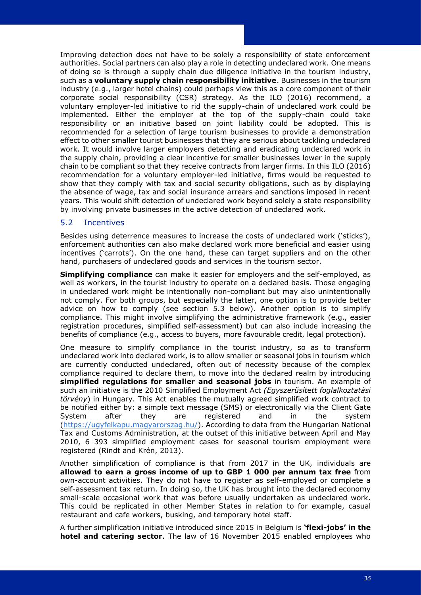Improving detection does not have to be solely a responsibility of state enforcement authorities. Social partners can also play a role in detecting undeclared work. One means of doing so is through a supply chain due diligence initiative in the tourism industry, such as a **voluntary supply chain responsibility initiative**. Businesses in the tourism industry (e.g., larger hotel chains) could perhaps view this as a core component of their corporate social responsibility (CSR) strategy. As the ILO (2016) recommend, a voluntary employer-led initiative to rid the supply-chain of undeclared work could be implemented. Either the employer at the top of the supply-chain could take responsibility or an initiative based on joint liability could be adopted. This is recommended for a selection of large tourism businesses to provide a demonstration effect to other smaller tourist businesses that they are serious about tackling undeclared work. It would involve larger employers detecting and eradicating undeclared work in the supply chain, providing a clear incentive for smaller businesses lower in the supply chain to be compliant so that they receive contracts from larger firms. In this ILO (2016) recommendation for a voluntary employer-led initiative, firms would be requested to show that they comply with tax and social security obligations, such as by displaying the absence of wage, tax and social insurance arrears and sanctions imposed in recent years. This would shift detection of undeclared work beyond solely a state responsibility by involving private businesses in the active detection of undeclared work.

## <span id="page-39-0"></span>5.2 Incentives

Besides using deterrence measures to increase the costs of undeclared work ('sticks'), enforcement authorities can also make declared work more beneficial and easier using incentives ('carrots'). On the one hand, these can target suppliers and on the other hand, purchasers of undeclared goods and services in the tourism sector.

**Simplifying compliance** can make it easier for employers and the self-employed, as well as workers, in the tourist industry to operate on a declared basis. Those engaging in undeclared work might be intentionally non-compliant but may also unintentionally not comply. For both groups, but especially the latter, one option is to provide better advice on how to comply (see section 5.3 below). Another option is to simplify compliance. This might involve simplifying the administrative framework (e.g., easier registration procedures, simplified self-assessment) but can also include increasing the benefits of compliance (e.g., access to buyers, more favourable credit, legal protection).

One measure to simplify compliance in the tourist industry, so as to transform undeclared work into declared work, is to allow smaller or seasonal jobs in tourism which are currently conducted undeclared, often out of necessity because of the complex compliance required to declare them, to move into the declared realm by introducing **simplified regulations for smaller and seasonal jobs** in tourism. An example of such an initiative is the 2010 Simplified Employment Act *(Egyszerűsített foglalkoztatási törvény*) in Hungary. This Act enables the mutually agreed simplified work contract to be notified either by: a simple text message (SMS) or electronically via the Client Gate System after they are registered and in the system [\(https://ugyfelkapu.magyarorszag.hu/\)](https://ugyfelkapu.magyarorszag.hu/). According to data from the Hungarian National Tax and Customs Administration, at the outset of this initiative between April and May 2010, 6 393 simplified employment cases for seasonal tourism employment were registered (Rindt and Krén, 2013).

Another simplification of compliance is that from 2017 in the UK, individuals are **allowed to earn a gross income of up to GBP 1 000 per annum tax free** from own-account activities. They do not have to register as self-employed or complete a self-assessment tax return. In doing so, the UK has brought into the declared economy small-scale occasional work that was before usually undertaken as undeclared work. This could be replicated in other Member States in relation to for example, casual restaurant and cafe workers, busking, and temporary hotel staff.

A further simplification initiative introduced since 2015 in Belgium is **'flexi-jobs' in the hotel and catering sector**. The law of 16 November 2015 enabled employees who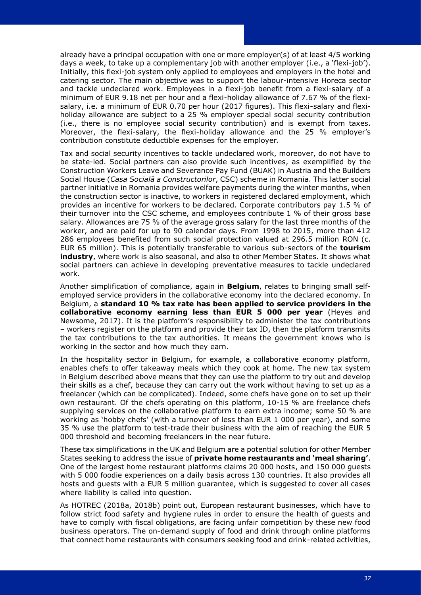already have a principal occupation with one or more employer(s) of at least 4/5 working days a week, to take up a complementary job with another employer (i.e., a 'flexi-job'). Initially, this flexi-job system only applied to employees and employers in the hotel and catering sector. The main objective was to support the labour-intensive Horeca sector and tackle undeclared work. Employees in a flexi-job benefit from a flexi-salary of a minimum of EUR 9.18 net per hour and a flexi-holiday allowance of 7.67 % of the flexisalary, i.e. a minimum of EUR 0.70 per hour (2017 figures). This flexi-salary and flexiholiday allowance are subject to a 25 % employer special social security contribution (i.e., there is no employee social security contribution) and is exempt from taxes. Moreover, the flexi-salary, the flexi-holiday allowance and the 25 % employer's contribution constitute deductible expenses for the employer.

Tax and social security incentives to tackle undeclared work, moreover, do not have to be state-led. Social partners can also provide such incentives, as exemplified by the Construction Workers Leave and Severance Pay Fund (BUAK) in Austria and the Builders Social House (*Casa Socială a Constructorilor*, CSC) scheme in Romania. This latter social partner initiative in Romania provides welfare payments during the winter months, when the construction sector is inactive, to workers in registered declared employment, which provides an incentive for workers to be declared. Corporate contributors pay 1.5 % of their turnover into the CSC scheme, and employees contribute 1 % of their gross base salary. Allowances are 75 % of the average gross salary for the last three months of the worker, and are paid for up to 90 calendar days. From 1998 to 2015, more than 412 286 employees benefited from such social protection valued at 296.5 million RON (c. EUR 65 million). This is potentially transferable to various sub-sectors of the **tourism industry**, where work is also seasonal, and also to other Member States. It shows what social partners can achieve in developing preventative measures to tackle undeclared work.

Another simplification of compliance, again in **Belgium**, relates to bringing small selfemployed service providers in the collaborative economy into the declared economy. In Belgium, a **standard 10 % tax rate has been applied to service providers in the collaborative economy earning less than EUR 5 000 per year** (Heyes and Newsome, 2017). It is the platform's responsibility to administer the tax contributions – workers register on the platform and provide their tax ID, then the platform transmits the tax contributions to the tax authorities. It means the government knows who is working in the sector and how much they earn.

In the hospitality sector in Belgium, for example, a collaborative economy platform, enables chefs to offer takeaway meals which they cook at home. The new tax system in Belgium described above means that they can use the platform to try out and develop their skills as a chef, because they can carry out the work without having to set up as a freelancer (which can be complicated). Indeed, some chefs have gone on to set up their own restaurant. Of the chefs operating on this platform, 10-15 % are freelance chefs supplying services on the collaborative platform to earn extra income; some 50 % are working as 'hobby chefs' (with a turnover of less than EUR 1 000 per year), and some 35 % use the platform to test-trade their business with the aim of reaching the EUR 5 000 threshold and becoming freelancers in the near future.

These tax simplifications in the UK and Belgium are a potential solution for other Member States seeking to address the issue of **private home restaurants and 'meal sharing'**. One of the largest home restaurant platforms claims 20 000 hosts, and 150 000 guests with 5 000 foodie experiences on a daily basis across 130 countries. It also provides all hosts and quests with a EUR 5 million quarantee, which is suggested to cover all cases where liability is called into question.

As HOTREC (2018a, 2018b) point out, European restaurant businesses, which have to follow strict food safety and hygiene rules in order to ensure the health of guests and have to comply with fiscal obligations, are facing unfair competition by these new food business operators. The on-demand supply of food and drink through online platforms that connect home restaurants with consumers seeking food and drink-related activities,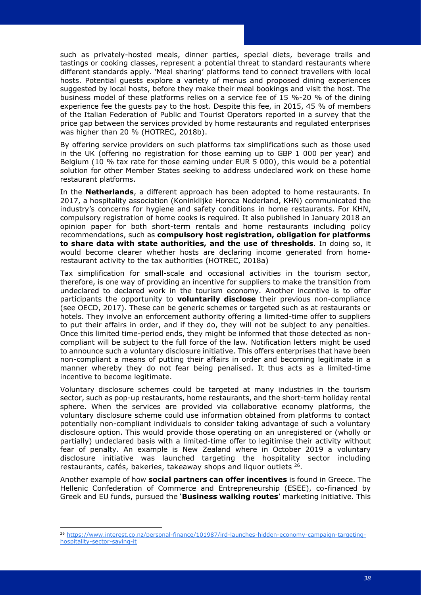such as privately-hosted meals, dinner parties, special diets, beverage trails and tastings or cooking classes, represent a potential threat to standard restaurants where different standards apply. 'Meal sharing' platforms tend to connect travellers with local hosts. Potential guests explore a variety of menus and proposed dining experiences suggested by local hosts, before they make their meal bookings and visit the host. The business model of these platforms relies on a service fee of 15 %-20 % of the dining experience fee the guests pay to the host. Despite this fee, in 2015, 45 % of members of the Italian Federation of Public and Tourist Operators reported in a survey that the price gap between the services provided by home restaurants and regulated enterprises was higher than 20 % (HOTREC, 2018b).

By offering service providers on such platforms tax simplifications such as those used in the UK (offering no registration for those earning up to GBP 1 000 per year) and Belgium (10 % tax rate for those earning under EUR 5 000), this would be a potential solution for other Member States seeking to address undeclared work on these home restaurant platforms.

In the **Netherlands**, a different approach has been adopted to home restaurants. In 2017, a hospitality association (Koninklijke Horeca Nederland, KHN) communicated the industry's concerns for hygiene and safety conditions in home restaurants. For KHN, compulsory registration of home cooks is required. It also published in January 2018 an opinion paper for both short-term rentals and home restaurants including policy recommendations, such as **compulsory host registration, obligation for platforms to share data with state authorities, and the use of thresholds**. In doing so, it would become clearer whether hosts are declaring income generated from homerestaurant activity to the tax authorities (HOTREC, 2018a)

Tax simplification for small-scale and occasional activities in the tourism sector, therefore, is one way of providing an incentive for suppliers to make the transition from undeclared to declared work in the tourism economy. Another incentive is to offer participants the opportunity to **voluntarily disclose** their previous non-compliance (see OECD, 2017). These can be generic schemes or targeted such as at restaurants or hotels. They involve an enforcement authority offering a limited-time offer to suppliers to put their affairs in order, and if they do, they will not be subject to any penalties. Once this limited time-period ends, they might be informed that those detected as noncompliant will be subject to the full force of the law. Notification letters might be used to announce such a voluntary disclosure initiative. This offers enterprises that have been non-compliant a means of putting their affairs in order and becoming legitimate in a manner whereby they do not fear being penalised. It thus acts as a limited-time incentive to become legitimate.

Voluntary disclosure schemes could be targeted at many industries in the tourism sector, such as pop-up restaurants, home restaurants, and the short-term holiday rental sphere. When the services are provided via collaborative economy platforms, the voluntary disclosure scheme could use information obtained from platforms to contact potentially non-compliant individuals to consider taking advantage of such a voluntary disclosure option. This would provide those operating on an unregistered or (wholly or partially) undeclared basis with a limited-time offer to legitimise their activity without fear of penalty. An example is New Zealand where in October 2019 a voluntary disclosure initiative was launched targeting the hospitality sector including restaurants, cafés, bakeries, takeaway shops and liquor outlets  $26$ .

Another example of how **social partners can offer incentives** is found in Greece. The Hellenic Confederation of Commerce and Entrepreneurship (ESEE), co-financed by Greek and EU funds, pursued the '**Business walking routes**' marketing initiative. This

<sup>26</sup> [https://www.interest.co.nz/personal-finance/101987/ird-launches-hidden-economy-campaign-targeting](https://www.interest.co.nz/personal-finance/101987/ird-launches-hidden-economy-campaign-targeting-hospitality-sector-saying-it)[hospitality-sector-saying-it](https://www.interest.co.nz/personal-finance/101987/ird-launches-hidden-economy-campaign-targeting-hospitality-sector-saying-it)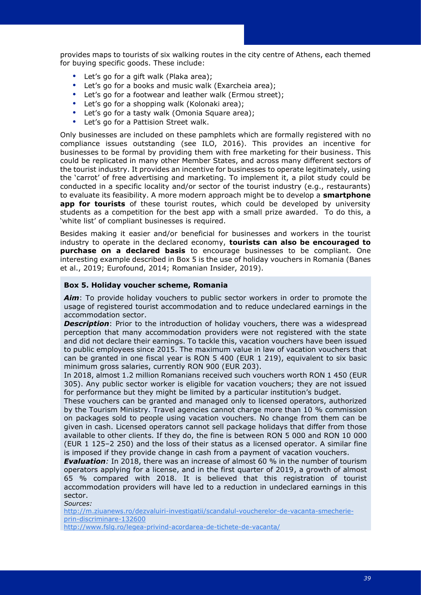provides maps to tourists of six walking routes in the city centre of Athens, each themed for buying specific goods. These include:

- Let's go for a gift walk (Plaka area):
- Let's go for a books and music walk (Exarcheia area);
- Let's go for a footwear and leather walk (Ermou street);
- Let's go for a shopping walk (Kolonaki area);
- Let's go for a tasty walk (Omonia Square area):
- Let's go for a Pattision Street walk.

Only businesses are included on these pamphlets which are formally registered with no compliance issues outstanding (see ILO, 2016). This provides an incentive for businesses to be formal by providing them with free marketing for their business. This could be replicated in many other Member States, and across many different sectors of the tourist industry. It provides an incentive for businesses to operate legitimately, using the 'carrot' of free advertising and marketing. To implement it, a pilot study could be conducted in a specific locality and/or sector of the tourist industry (e.g., restaurants) to evaluate its feasibility. A more modern approach might be to develop a **smartphone app for tourists** of these tourist routes, which could be developed by university students as a competition for the best app with a small prize awarded. To do this, a 'white list' of compliant businesses is required.

Besides making it easier and/or beneficial for businesses and workers in the tourist industry to operate in the declared economy, **tourists can also be encouraged to purchase on a declared basis** to encourage businesses to be compliant. One interesting example described in Box 5 is the use of holiday vouchers in Romania (Banes et al., 2019; Eurofound, 2014; Romanian Insider, 2019).

#### **Box 5. Holiday voucher scheme, Romania**

*Aim*: To provide holiday vouchers to public sector workers in order to promote the usage of registered tourist accommodation and to reduce undeclared earnings in the accommodation sector.

**Description**: Prior to the introduction of holiday vouchers, there was a widespread perception that many accommodation providers were not registered with the state and did not declare their earnings. To tackle this, vacation vouchers have been issued to public employees since 2015. The maximum value in law of vacation vouchers that can be granted in one fiscal year is RON 5 400 (EUR 1 219), equivalent to six basic minimum gross salaries, currently RON 900 (EUR 203).

In 2018, almost 1.2 million Romanians received such vouchers worth RON 1 450 (EUR 305). Any public sector worker is eligible for vacation vouchers; they are not issued for performance but they might be limited by a particular institution's budget.

These vouchers can be granted and managed only to licensed operators, authorized by the Tourism Ministry. Travel agencies cannot charge more than 10 % commission on packages sold to people using vacation vouchers. No change from them can be given in cash. Licensed operators cannot sell package holidays that differ from those available to other clients. If they do, the fine is between RON 5 000 and RON 10 000 (EUR 1 125–2 250) and the loss of their status as a licensed operator. A similar fine is imposed if they provide change in cash from a payment of vacation vouchers.

*Evaluation:* In 2018, there was an increase of almost 60 % in the number of tourism operators applying for a license, and in the first quarter of 2019, a growth of almost 65 % compared with 2018. It is believed that this registration of tourist accommodation providers will have led to a reduction in undeclared earnings in this sector.

*Sources:*

[http://m.ziuanews.ro/dezvaluiri-investigatii/scandalul-voucherelor-de-vacanta-smecherie](http://m.ziuanews.ro/dezvaluiri-investigatii/scandalul-voucherelor-de-vacanta-smecherie-prin-discriminare-132600)[prin-discriminare-132600](http://m.ziuanews.ro/dezvaluiri-investigatii/scandalul-voucherelor-de-vacanta-smecherie-prin-discriminare-132600)

<http://www.fslg.ro/legea-privind-acordarea-de-tichete-de-vacanta/>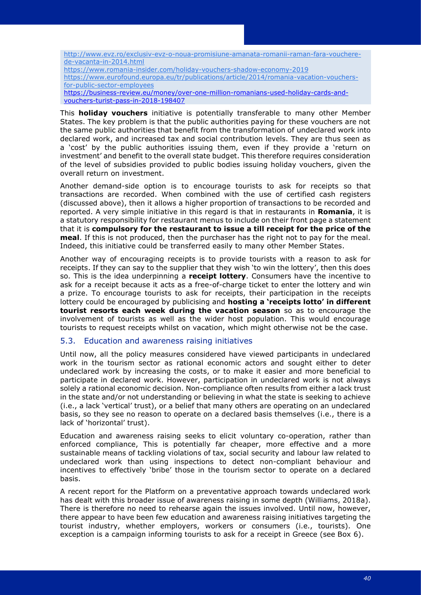[http://www.evz.ro/exclusiv-evz-o-noua-promisiune-amanata-romanii-raman-fara-vouchere](http://www.evz.ro/exclusiv-evz-o-noua-promisiune-amanata-romanii-raman-fara-vouchere-de-vacanta-in-2014.html)[de-vacanta-in-2014.html](http://www.evz.ro/exclusiv-evz-o-noua-promisiune-amanata-romanii-raman-fara-vouchere-de-vacanta-in-2014.html) <https://www.romania-insider.com/holiday-vouchers-shadow-economy-2019> [https://www.eurofound.europa.eu/tr/publications/article/2014/romania-vacation-vouchers](https://www.eurofound.europa.eu/tr/publications/article/2014/romania-vacation-vouchers-for-public-sector-employees)[for-public-sector-employees](https://www.eurofound.europa.eu/tr/publications/article/2014/romania-vacation-vouchers-for-public-sector-employees) [https://business-review.eu/money/over-one-million-romanians-used-holiday-cards-and](https://business-review.eu/money/over-one-million-romanians-used-holiday-cards-and-vouchers-turist-pass-in-2018-198407)[vouchers-turist-pass-in-2018-198407](https://business-review.eu/money/over-one-million-romanians-used-holiday-cards-and-vouchers-turist-pass-in-2018-198407)

This **holiday vouchers** initiative is potentially transferable to many other Member States. The key problem is that the public authorities paying for these vouchers are not the same public authorities that benefit from the transformation of undeclared work into declared work, and increased tax and social contribution levels. They are thus seen as a 'cost' by the public authorities issuing them, even if they provide a 'return on investment' and benefit to the overall state budget. This therefore requires consideration of the level of subsidies provided to public bodies issuing holiday vouchers, given the overall return on investment.

Another demand-side option is to encourage tourists to ask for receipts so that transactions are recorded. When combined with the use of certified cash registers (discussed above), then it allows a higher proportion of transactions to be recorded and reported. A very simple initiative in this regard is that in restaurants in **Romania**, it is a statutory responsibility for restaurant menus to include on their front page a statement that it is **compulsory for the restaurant to issue a till receipt for the price of the meal**. If this is not produced, then the purchaser has the right not to pay for the meal. Indeed, this initiative could be transferred easily to many other Member States.

Another way of encouraging receipts is to provide tourists with a reason to ask for receipts. If they can say to the supplier that they wish 'to win the lottery', then this does so. This is the idea underpinning a **receipt lottery**. Consumers have the incentive to ask for a receipt because it acts as a free-of-charge ticket to enter the lottery and win a prize. To encourage tourists to ask for receipts, their participation in the receipts lottery could be encouraged by publicising and **hosting a 'receipts lotto' in different tourist resorts each week during the vacation season** so as to encourage the involvement of tourists as well as the wider host population. This would encourage tourists to request receipts whilst on vacation, which might otherwise not be the case.

## <span id="page-43-0"></span>5.3. Education and awareness raising initiatives

Until now, all the policy measures considered have viewed participants in undeclared work in the tourism sector as rational economic actors and sought either to deter undeclared work by increasing the costs, or to make it easier and more beneficial to participate in declared work. However, participation in undeclared work is not always solely a rational economic decision. Non-compliance often results from either a lack trust in the state and/or not understanding or believing in what the state is seeking to achieve (i.e., a lack 'vertical' trust), or a belief that many others are operating on an undeclared basis, so they see no reason to operate on a declared basis themselves (i.e., there is a lack of 'horizontal' trust).

Education and awareness raising seeks to elicit voluntary co-operation, rather than enforced compliance, This is potentially far cheaper, more effective and a more sustainable means of tackling violations of tax, social security and labour law related to undeclared work than using inspections to detect non-compliant behaviour and incentives to effectively 'bribe' those in the tourism sector to operate on a declared basis.

A recent report for the Platform on a preventative approach towards undeclared work has dealt with this broader issue of awareness raising in some depth (Williams, 2018a). There is therefore no need to rehearse again the issues involved. Until now, however, there appear to have been few education and awareness raising initiatives targeting the tourist industry, whether employers, workers or consumers (i.e., tourists). One exception is a campaign informing tourists to ask for a receipt in Greece (see Box 6).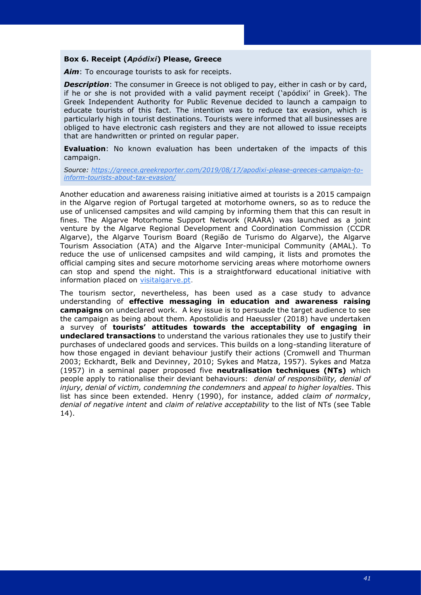#### **Box 6. Receipt (***Apódixi***) Please, Greece**

Aim: To encourage tourists to ask for receipts.

**Description**: The consumer in Greece is not obliged to pay, either in cash or by card, if he or she is not provided with a valid payment receipt ('apódixi' in Greek). The Greek Independent Authority for Public Revenue decided to launch a campaign to educate tourists of this fact. The intention was to reduce tax evasion, which is particularly high in tourist destinations. Tourists were informed that all businesses are obliged to have electronic cash registers and they are not allowed to issue receipts that are handwritten or printed on regular paper.

**Evaluation**: No known evaluation has been undertaken of the impacts of this campaign.

*Source: [https://greece.greekreporter.com/2019/08/17/apodixi-please-greeces-campaign-to](https://greece.greekreporter.com/2019/08/17/apodixi-please-greeces-campaign-to-inform-tourists-about-tax-evasion/)[inform-tourists-about-tax-evasion/](https://greece.greekreporter.com/2019/08/17/apodixi-please-greeces-campaign-to-inform-tourists-about-tax-evasion/)*

Another education and awareness raising initiative aimed at tourists is a 2015 campaign in the Algarve region of Portugal targeted at motorhome owners, so as to reduce the use of unlicensed campsites and wild camping by informing them that this can result in fines. The Algarve Motorhome Support Network (RAARA) was launched as a joint venture by the Algarve Regional Development and Coordination Commission (CCDR Algarve), the Algarve Tourism Board (Região de Turismo do Algarve), the Algarve Tourism Association (ATA) and the Algarve Inter-municipal Community (AMAL). To reduce the use of unlicensed campsites and wild camping, it lists and promotes the official camping sites and secure motorhome servicing areas where motorhome owners can stop and spend the night. This is a straightforward educational initiative with information placed on [visitalgarve.pt](http://www.visitalgarve.pt/).

The tourism sector, nevertheless, has been used as a case study to advance understanding of **effective messaging in education and awareness raising campaigns** on undeclared work. A key issue is to persuade the target audience to see the campaign as being about them. Apostolidis and Haeussler (2018) have undertaken a survey of **tourists' attitudes towards the acceptability of engaging in undeclared transactions** to understand the various rationales they use to justify their purchases of undeclared goods and services. This builds on a long-standing literature of how those engaged in deviant behaviour justify their actions (Cromwell and Thurman 2003; Eckhardt, Belk and Devinney, 2010; Sykes and Matza, 1957). Sykes and Matza (1957) in a seminal paper proposed five **neutralisation techniques (NTs)** which people apply to rationalise their deviant behaviours: *denial of responsibility, denial of injury, denial of victim, condemning the condemners* and *appeal to higher loyalties*. This list has since been extended. Henry (1990), for instance, added *claim of normalcy*, *denial of negative intent* and *claim of relative acceptability* to the list of NTs (see Table 14).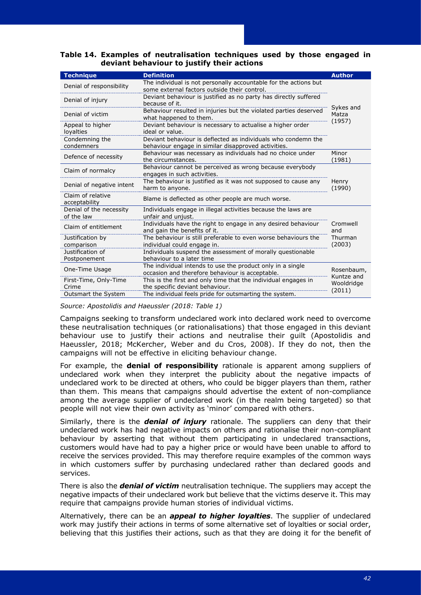**Table 14. Examples of neutralisation techniques used by those engaged in deviant behaviour to justify their actions**

| <b>Technique</b>                      | <b>Definition</b>                                                                                                    | <b>Author</b>                        |  |
|---------------------------------------|----------------------------------------------------------------------------------------------------------------------|--------------------------------------|--|
| Denial of responsibility              | The individual is not personally accountable for the actions but<br>some external factors outside their control.     |                                      |  |
| Denial of injury                      | Deviant behaviour is justified as no party has directly suffered<br>because of it.                                   | Sykes and<br>Matza                   |  |
| Denial of victim                      | Behaviour resulted in injuries but the violated parties deserved<br>what happened to them.                           |                                      |  |
| Appeal to higher<br>loyalties         | Deviant behaviour is necessary to actualise a higher order<br>ideal or value.                                        | (1957)                               |  |
| Condemning the<br>condemners          | Deviant behaviour is deflected as individuals who condemn the<br>behaviour engage in similar disapproved activities. |                                      |  |
| Defence of necessity                  | Behaviour was necessary as individuals had no choice under<br>the circumstances.                                     | Minor<br>(1981)                      |  |
| Claim of normalcy                     | Behaviour cannot be perceived as wrong because everybody<br>engages in such activities.                              |                                      |  |
| Denial of negative intent             | The behaviour is justified as it was not supposed to cause any<br>harm to anyone.                                    | Henry<br>(1990)                      |  |
| Claim of relative<br>acceptability    | Blame is deflected as other people are much worse.                                                                   |                                      |  |
| Denial of the necessity<br>of the law | Individuals engage in illegal activities because the laws are<br>unfair and unjust.                                  |                                      |  |
| Claim of entitlement                  | Individuals have the right to engage in any desired behaviour<br>and gain the benefits of it.                        | Cromwell<br>and<br>Thurman<br>(2003) |  |
| Justification by<br>comparison        | The behaviour is still preferable to even worse behaviours the<br>individual could engage in.                        |                                      |  |
| Justification of<br>Postponement      | Individuals suspend the assessment of morally questionable<br>behaviour to a later time                              |                                      |  |
| One-Time Usage                        | The individual intends to use the product only in a single<br>occasion and therefore behaviour is acceptable.        | Rosenbaum,                           |  |
| First-Time, Only-Time<br>Crime        | This is the first and only time that the individual engages in<br>the specific deviant behaviour.                    | Kuntze and<br>Wooldridge             |  |
| Outsmart the System                   | The individual feels pride for outsmarting the system.                                                               | (2011)                               |  |

*Source: Apostolidis and Haeussler (2018: Table 1)*

Campaigns seeking to transform undeclared work into declared work need to overcome these neutralisation techniques (or rationalisations) that those engaged in this deviant behaviour use to justify their actions and neutralise their guilt (Apostolidis and Haeussler, 2018; McKercher, Weber and du Cros, 2008). If they do not, then the campaigns will not be effective in eliciting behaviour change.

For example, the **denial of responsibility** rationale is apparent among suppliers of undeclared work when they interpret the publicity about the negative impacts of undeclared work to be directed at others, who could be bigger players than them, rather than them. This means that campaigns should advertise the extent of non-compliance among the average supplier of undeclared work (in the realm being targeted) so that people will not view their own activity as 'minor' compared with others.

Similarly, there is the *denial of injury* rationale. The suppliers can deny that their undeclared work has had negative impacts on others and rationalise their non-compliant behaviour by asserting that without them participating in undeclared transactions, customers would have had to pay a higher price or would have been unable to afford to receive the services provided. This may therefore require examples of the common ways in which customers suffer by purchasing undeclared rather than declared goods and services.

There is also the *denial of victim* neutralisation technique. The suppliers may accept the negative impacts of their undeclared work but believe that the victims deserve it. This may require that campaigns provide human stories of individual victims.

Alternatively, there can be an *appeal to higher loyalties*. The supplier of undeclared work may justify their actions in terms of some alternative set of loyalties or social order, believing that this justifies their actions, such as that they are doing it for the benefit of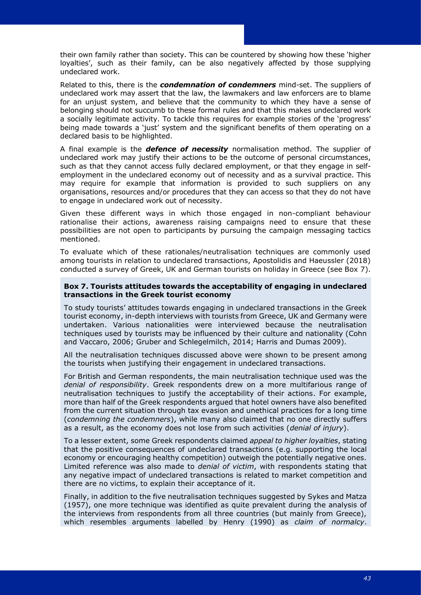their own family rather than society. This can be countered by showing how these 'higher loyalties', such as their family, can be also negatively affected by those supplying undeclared work.

Related to this, there is the *condemnation of condemners* mind-set. The suppliers of undeclared work may assert that the law, the lawmakers and law enforcers are to blame for an unjust system, and believe that the community to which they have a sense of belonging should not succumb to these formal rules and that this makes undeclared work a socially legitimate activity. To tackle this requires for example stories of the 'progress' being made towards a 'just' system and the significant benefits of them operating on a declared basis to be highlighted.

A final example is the *defence of necessity* normalisation method. The supplier of undeclared work may justify their actions to be the outcome of personal circumstances, such as that they cannot access fully declared employment, or that they engage in selfemployment in the undeclared economy out of necessity and as a survival practice. This may require for example that information is provided to such suppliers on any organisations, resources and/or procedures that they can access so that they do not have to engage in undeclared work out of necessity.

Given these different ways in which those engaged in non-compliant behaviour rationalise their actions, awareness raising campaigns need to ensure that these possibilities are not open to participants by pursuing the campaign messaging tactics mentioned.

To evaluate which of these rationales/neutralisation techniques are commonly used among tourists in relation to undeclared transactions, Apostolidis and Haeussler (2018) conducted a survey of Greek, UK and German tourists on holiday in Greece (see Box 7).

#### **Box 7. Tourists attitudes towards the acceptability of engaging in undeclared transactions in the Greek tourist economy**

To study tourists' attitudes towards engaging in undeclared transactions in the Greek tourist economy, in-depth interviews with tourists from Greece, UK and Germany were undertaken. Various nationalities were interviewed because the neutralisation techniques used by tourists may be influenced by their culture and nationality (Cohn and Vaccaro, 2006; Gruber and Schlegelmilch, 2014; Harris and Dumas 2009).

All the neutralisation techniques discussed above were shown to be present among the tourists when justifying their engagement in undeclared transactions.

For British and German respondents, the main neutralisation technique used was the *denial of responsibility*. Greek respondents drew on a more multifarious range of neutralisation techniques to justify the acceptability of their actions. For example, more than half of the Greek respondents argued that hotel owners have also benefited from the current situation through tax evasion and unethical practices for a long time (*condemning the condemners*), while many also claimed that no one directly suffers as a result, as the economy does not lose from such activities (*denial of injury*).

To a lesser extent, some Greek respondents claimed *appeal to higher loyalties*, stating that the positive consequences of undeclared transactions (e.g. supporting the local economy or encouraging healthy competition) outweigh the potentially negative ones. Limited reference was also made to *denial of victim*, with respondents stating that any negative impact of undeclared transactions is related to market competition and there are no victims, to explain their acceptance of it.

Finally, in addition to the five neutralisation techniques suggested by Sykes and Matza (1957), one more technique was identified as quite prevalent during the analysis of the interviews from respondents from all three countries (but mainly from Greece), which resembles arguments labelled by Henry (1990) as *claim of normalcy*.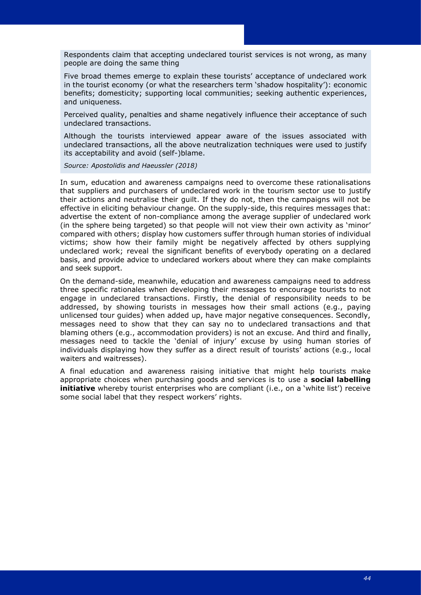Respondents claim that accepting undeclared tourist services is not wrong, as many people are doing the same thing

Five broad themes emerge to explain these tourists' acceptance of undeclared work in the tourist economy (or what the researchers term 'shadow hospitality'): economic benefits; domesticity; supporting local communities; seeking authentic experiences, and uniqueness.

Perceived quality, penalties and shame negatively influence their acceptance of such undeclared transactions.

Although the tourists interviewed appear aware of the issues associated with undeclared transactions, all the above neutralization techniques were used to justify its acceptability and avoid (self-)blame.

*Source: Apostolidis and Haeussler (2018)*

In sum, education and awareness campaigns need to overcome these rationalisations that suppliers and purchasers of undeclared work in the tourism sector use to justify their actions and neutralise their guilt. If they do not, then the campaigns will not be effective in eliciting behaviour change. On the supply-side, this requires messages that: advertise the extent of non-compliance among the average supplier of undeclared work (in the sphere being targeted) so that people will not view their own activity as 'minor' compared with others; display how customers suffer through human stories of individual victims; show how their family might be negatively affected by others supplying undeclared work; reveal the significant benefits of everybody operating on a declared basis, and provide advice to undeclared workers about where they can make complaints and seek support.

On the demand-side, meanwhile, education and awareness campaigns need to address three specific rationales when developing their messages to encourage tourists to not engage in undeclared transactions. Firstly, the denial of responsibility needs to be addressed, by showing tourists in messages how their small actions (e.g., paying unlicensed tour guides) when added up, have major negative consequences. Secondly, messages need to show that they can say no to undeclared transactions and that blaming others (e.g., accommodation providers) is not an excuse. And third and finally, messages need to tackle the 'denial of injury' excuse by using human stories of individuals displaying how they suffer as a direct result of tourists' actions (e.g., local waiters and waitresses).

A final education and awareness raising initiative that might help tourists make appropriate choices when purchasing goods and services is to use a **social labelling initiative** whereby tourist enterprises who are compliant (i.e., on a 'white list') receive some social label that they respect workers' rights.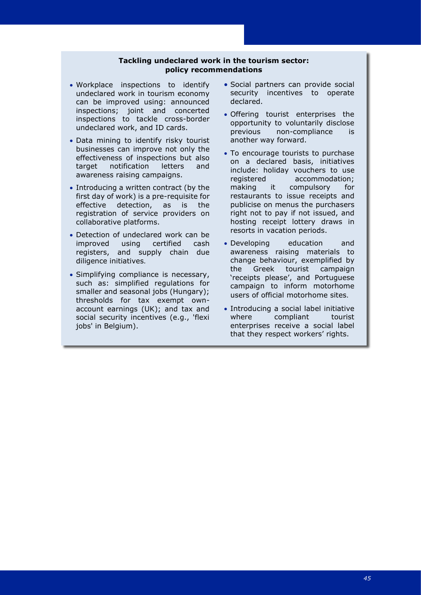## **Tackling undeclared work in the tourism sector: policy recommendations**

- Workplace inspections to identify undeclared work in tourism economy can be improved using: announced inspections; joint and concerted inspections to tackle cross-border undeclared work, and ID cards.
- Data mining to identify risky tourist businesses can improve not only the effectiveness of inspections but also target notification letters and awareness raising campaigns.
- Introducing a written contract (by the first day of work) is a pre-requisite for effective detection, as is the registration of service providers on collaborative platforms.
- Detection of undeclared work can be improved using certified cash registers, and supply chain due diligence initiatives.
- Simplifying compliance is necessary, such as: simplified regulations for smaller and seasonal jobs (Hungary); thresholds for tax exempt ownaccount earnings (UK); and tax and social security incentives (e.g., 'flexi jobs' in Belgium).
- Social partners can provide social security incentives to operate declared.
- Offering tourist enterprises the opportunity to voluntarily disclose previous non-compliance is another way forward.
- To encourage tourists to purchase on a declared basis, initiatives include: holiday vouchers to use registered accommodation; making it compulsory for restaurants to issue receipts and publicise on menus the purchasers right not to pay if not issued, and hosting receipt lottery draws in resorts in vacation periods.
- Developing education and awareness raising materials to change behaviour, exemplified by the Greek tourist campaign 'receipts please', and Portuguese campaign to inform motorhome users of official motorhome sites.
- Introducing a social label initiative where compliant tourist enterprises receive a social label that they respect workers' rights.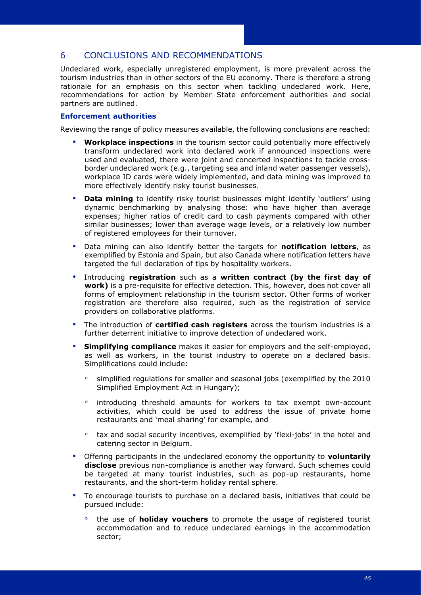## <span id="page-49-0"></span>6 CONCLUSIONS AND RECOMMENDATIONS

Undeclared work, especially unregistered employment, is more prevalent across the tourism industries than in other sectors of the EU economy. There is therefore a strong rationale for an emphasis on this sector when tackling undeclared work. Here, recommendations for action by Member State enforcement authorities and social partners are outlined.

## **Enforcement authorities**

Reviewing the range of policy measures available, the following conclusions are reached:

- **Workplace inspections** in the tourism sector could potentially more effectively transform undeclared work into declared work if announced inspections were used and evaluated, there were joint and concerted inspections to tackle crossborder undeclared work (e.g., targeting sea and inland water passenger vessels), workplace ID cards were widely implemented, and data mining was improved to more effectively identify risky tourist businesses.
- **Data mining** to identify risky tourist businesses might identify 'outliers' using dynamic benchmarking by analysing those: who have higher than average expenses; higher ratios of credit card to cash payments compared with other similar businesses; lower than average wage levels, or a relatively low number of registered employees for their turnover.
- Data mining can also identify better the targets for **notification letters**, as exemplified by Estonia and Spain, but also Canada where notification letters have targeted the full declaration of tips by hospitality workers.
- Introducing **registration** such as a **written contract (by the first day of work)** is a pre-requisite for effective detection. This, however, does not cover all forms of employment relationship in the tourism sector. Other forms of worker registration are therefore also required, such as the registration of service providers on collaborative platforms.
- The introduction of **certified cash registers** across the tourism industries is a further deterrent initiative to improve detection of undeclared work.
- **Simplifying compliance** makes it easier for employers and the self-employed, as well as workers, in the tourist industry to operate on a declared basis. Simplifications could include:
	- simplified regulations for smaller and seasonal jobs (exemplified by the 2010 Simplified Employment Act in Hungary);
	- introducing threshold amounts for workers to tax exempt own-account activities, which could be used to address the issue of private home restaurants and 'meal sharing' for example, and
	- tax and social security incentives, exemplified by 'flexi-jobs' in the hotel and catering sector in Belgium.
- Offering participants in the undeclared economy the opportunity to **voluntarily disclose** previous non-compliance is another way forward. Such schemes could be targeted at many tourist industries, such as pop-up restaurants, home restaurants, and the short-term holiday rental sphere.
- To encourage tourists to purchase on a declared basis, initiatives that could be pursued include:
	- the use of **holiday vouchers** to promote the usage of registered tourist accommodation and to reduce undeclared earnings in the accommodation sector;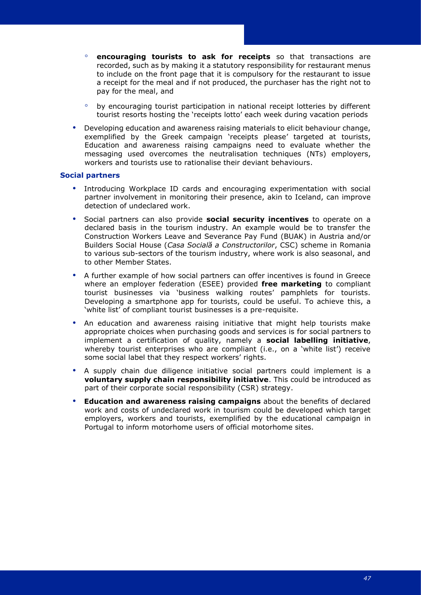- **encouraging tourists to ask for receipts** so that transactions are recorded, such as by making it a statutory responsibility for restaurant menus to include on the front page that it is compulsory for the restaurant to issue a receipt for the meal and if not produced, the purchaser has the right not to pay for the meal, and
- by encouraging tourist participation in national receipt lotteries by different tourist resorts hosting the 'receipts lotto' each week during vacation periods
- Developing education and awareness raising materials to elicit behaviour change, exemplified by the Greek campaign 'receipts please' targeted at tourists, Education and awareness raising campaigns need to evaluate whether the messaging used overcomes the neutralisation techniques (NTs) employers, workers and tourists use to rationalise their deviant behaviours.

#### **Social partners**

- Introducing Workplace ID cards and encouraging experimentation with social partner involvement in monitoring their presence, akin to Iceland, can improve detection of undeclared work.
- Social partners can also provide **social security incentives** to operate on a declared basis in the tourism industry. An example would be to transfer the Construction Workers Leave and Severance Pay Fund (BUAK) in Austria and/or Builders Social House (*Casa Socială a Constructorilor*, CSC) scheme in Romania to various sub-sectors of the tourism industry, where work is also seasonal, and to other Member States.
- A further example of how social partners can offer incentives is found in Greece where an employer federation (ESEE) provided **free marketing** to compliant tourist businesses via 'business walking routes' pamphlets for tourists. Developing a smartphone app for tourists, could be useful. To achieve this, a 'white list' of compliant tourist businesses is a pre-requisite.
- An education and awareness raising initiative that might help tourists make appropriate choices when purchasing goods and services is for social partners to implement a certification of quality, namely a **social labelling initiative**, whereby tourist enterprises who are compliant (i.e., on a 'white list') receive some social label that they respect workers' rights.
- A supply chain due diligence initiative social partners could implement is a **voluntary supply chain responsibility initiative**. This could be introduced as part of their corporate social responsibility (CSR) strategy.
- **Education and awareness raising campaigns** about the benefits of declared work and costs of undeclared work in tourism could be developed which target employers, workers and tourists, exemplified by the educational campaign in Portugal to inform motorhome users of official motorhome sites.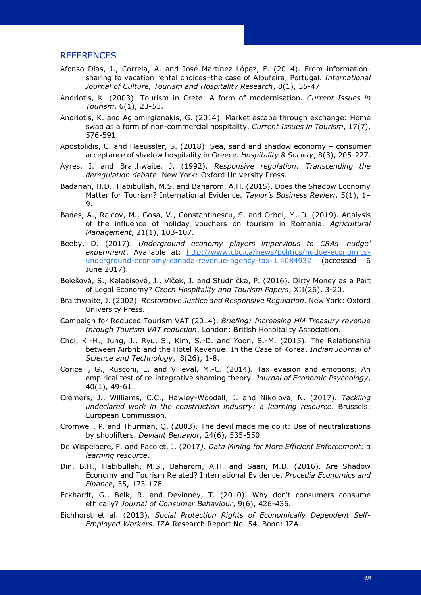## <span id="page-51-0"></span>REFERENCES

- Afonso Dias, J., Correia, A. and José Martínez López, F. (2014). From informationsharing to vacation rental choices–the case of Albufeira, Portugal. *International Journal of Culture, Tourism and Hospitality Research*, 8(1), 35-47.
- Andriotis, K. (2003). Tourism in Crete: A form of modernisation. *Current Issues in Tourism*, 6(1), 23-53.
- Andriotis, K. and Agiomirgianakis, G. (2014). Market escape through exchange: Home swap as a form of non-commercial hospitality. *Current Issues in Tourism*, 17(7), 576-591.
- Apostolidis, C. and Haeussler, S. (2018). Sea, sand and shadow economy consumer acceptance of shadow hospitality in Greece. *[Hospitality & Society](https://www.ingentaconnect.com/content/intellect/hosp)*, 8(3), 205-227.
- Ayres, I. and Braithwaite, J. (1992). *Responsive regulation: Transcending the deregulation debate*. New York: Oxford University Press.
- Badariah, H.D., Habibullah, M.S. and Baharom, A.H. (2015). Does the Shadow Economy Matter for Tourism? International Evidence. *Taylor's Business Review*, 5(1), 1– 9.
- Banes, A., Raicov, M., Gosa, V., Constantinescu, S. and Orboi, M.-D. (2019). Analysis of the influence of holiday vouchers on tourism in Romania. *Agricultural Management*, 21(1), 103-107.
- Beeby, D. (2017). *Underground economy players impervious to CRAs 'nudge' experiment*. Available at: [http://www.cbc.ca/news/politics/nudge-economics](http://www.cbc.ca/news/politics/nudge-economics-underground-economy-canada-revenue-agency-tax-1.4084932)[underground-economy-canada-revenue-agency-tax-1.4084932](http://www.cbc.ca/news/politics/nudge-economics-underground-economy-canada-revenue-agency-tax-1.4084932) (accessed 6 June 2017).
- Belešová, S., Kalabisová, J., Vlček, J. and Studnička, P. (2016). Dirty Money as a Part of Legal Economy? *Czech Hospitality and Tourism Papers*, XII(26), 3-20.
- Braithwaite, J. (2002). *Restorative Justice and Responsive Regulation*. New York: Oxford University Press.
- Campaign for Reduced Tourism VAT (2014). *Briefing: Increasing HM Treasury revenue through Tourism VAT reduction*. London: British Hospitality Association.
- Choi, K.-H., Jung, J., Ryu, S., Kim, S.-D. and Yoon, S.-M. (2015). The Relationship between Airbnb and the Hotel Revenue: In the Case of Korea. *Indian Journal of Science and Technology*, 8(26), 1-8.
- Coricelli, G., Rusconi, E. and Villeval, M.-C. (2014). Tax evasion and emotions: An empirical test of re-integrative shaming theory. *Journal of Economic Psychology*, 40(1), 49-61.
- Cremers, J., Williams, C.C., Hawley-Woodall, J. and Nikolova, N. (2017). *Tackling undeclared work in the construction industry: a learning resource*. Brussels: European Commission.
- Cromwell, P. and Thurman, Q. (2003). The devil made me do it: Use of neutralizations by shoplifters. *Deviant Behavior*, 24(6), 535-550.
- De Wispelaere, F. and Pacolet, J. (2017*). Data Mining for More Efficient Enforcement: a learning resource*.
- Din, B.H., Habibullah, M.S., Baharom, A.H. and Saari, M.D. (2016). Are Shadow Economy and Tourism Related? International Evidence. *Procedia Economics and Finance*, 35, 173-178.
- Eckhardt, G., Belk, R. and Devinney, T. (2010). Why don't consumers consume ethically? *Journal of Consumer Behaviour*, 9(6), 426-436.
- Eichhorst et al. (2013). *Social Protection Rights of Economically Dependent Self-Employed Workers*. IZA Research Report No. 54. Bonn: IZA.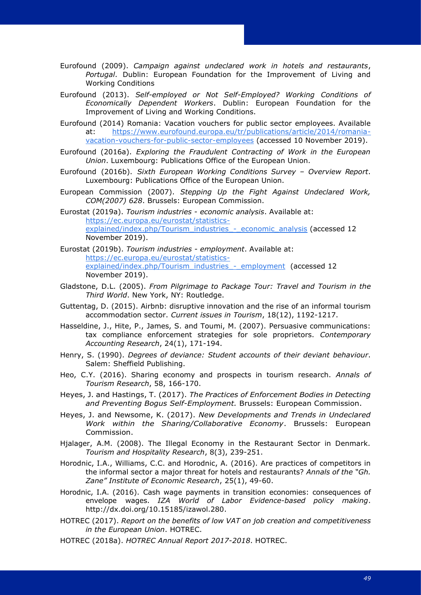- Eurofound (2013). *Self-employed or Not Self-Employed? Working Conditions of Economically Dependent Workers*. Dublin: European Foundation for the Improvement of Living and Working Conditions.
- Eurofound (2014) Romania: Vacation vouchers for public sector employees. Available at: [https://www.eurofound.europa.eu/tr/publications/article/2014/romania](https://www.eurofound.europa.eu/tr/publications/article/2014/romania-vacation-vouchers-for-public-sector-employees)[vacation-vouchers-for-public-sector-employees](https://www.eurofound.europa.eu/tr/publications/article/2014/romania-vacation-vouchers-for-public-sector-employees) (accessed 10 November 2019).
- Eurofound (2016a). *Exploring the Fraudulent Contracting of Work in the European Union*. Luxembourg: Publications Office of the European Union.
- Eurofound (2016b). *Sixth European Working Conditions Survey – Overview Report*. Luxembourg: Publications Office of the European Union.
- European Commission (2007). *Stepping Up the Fight Against Undeclared Work, COM(2007) 628*. Brussels: European Commission.
- Eurostat (2019a). *Tourism industries - economic analysis*. Available at: [https://ec.europa.eu/eurostat/statistics](https://ec.europa.eu/eurostat/statistics-explained/index.php/Tourism_industries_-_economic_analysis)explained/index.php/Tourism\_industries\_ -\_economic\_analysis (accessed 12 November 2019).
- Eurostat (2019b). *Tourism industries - employment*. Available at: [https://ec.europa.eu/eurostat/statistics](https://ec.europa.eu/eurostat/statistics-explained/index.php/Tourism_industries_-_employment)explained/index.php/Tourism\_industries - employment (accessed 12 November 2019).
- Gladstone, D.L. (2005). *From Pilgrimage to Package Tour: Travel and Tourism in the Third World*. New York, NY: Routledge.
- Guttentag, D. (2015). Airbnb: disruptive innovation and the rise of an informal tourism accommodation sector. *Current issues in Tourism*, 18(12), 1192-1217.
- Hasseldine, J., Hite, P., James, S. and Toumi, M. (2007). Persuasive communications: tax compliance enforcement strategies for sole proprietors. *Contemporary Accounting Research*, 24(1), 171-194.
- Henry, S. (1990). *Degrees of deviance: Student accounts of their deviant behaviour*. Salem: Sheffield Publishing.
- Heo, C.Y. (2016). Sharing economy and prospects in tourism research. *Annals of Tourism Research*, 58, 166-170.
- Heyes, J. and Hastings, T. (2017). *The Practices of Enforcement Bodies in Detecting and Preventing Bogus Self-Employment.* Brussels: European Commission.
- Heyes, J. and Newsome, K. (2017). *New Developments and Trends in Undeclared Work within the Sharing/Collaborative Economy*. Brussels: European Commission.
- Hjalager, A.M. (2008). The Illegal Economy in the Restaurant Sector in Denmark. *Tourism and Hospitality Research*, 8(3), 239-251.
- Horodnic, I.A., Williams, C.C. and Horodnic, A. (2016). Are practices of competitors in the informal sector a major threat for hotels and restaurants? *Annals of the "Gh. Zane" Institute of Economic Research*, 25(1), 49-60.
- Horodnic, I.A. (2016). Cash wage payments in transition economies: consequences of envelope wages. *IZA World of Labor Evidence-based policy making*. [http://dx.doi.org/10.15185/izawol.280.](http://dx.doi.org/10.15185/izawol.280)
- HOTREC (2017). *Report on the benefits of low VAT on job creation and competitiveness in the European Union*. HOTREC.
- HOTREC (2018a). *HOTREC Annual Report 2017-2018*. HOTREC.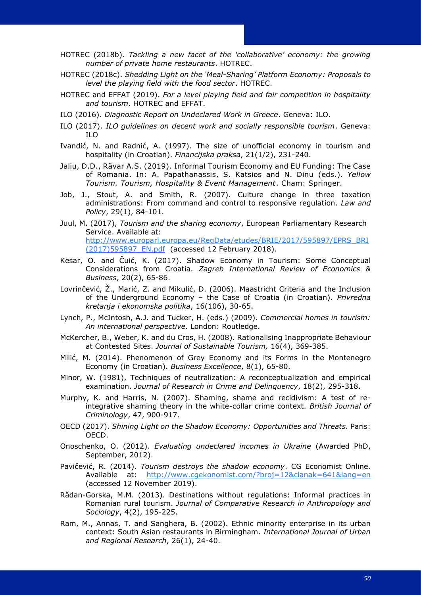- HOTREC (2018c). *Shedding Light on the 'Meal-Sharing' Platform Economy: Proposals to level the playing field with the food sector*. HOTREC.
- HOTREC and EFFAT (2019). *For a level playing field and fair competition in hospitality and tourism*. HOTREC and EFFAT.
- ILO (2016). *Diagnostic Report on Undeclared Work in Greece*. Geneva: ILO.
- ILO (2017). *ILO guidelines on decent work and socially responsible tourism*. Geneva: ILO
- Ivandić, N. and Radnić, A. (1997). The size of unofficial economy in tourism and hospitality (in Croatian). *Financijska praksa*, 21(1/2), 231-240.
- Jaliu, D.D., Răvar A.S. (2019). Informal Tourism Economy and EU Funding: The Case of Romania. In: A. Papathanassis, S. Katsios and N. Dinu (eds.). *Yellow Tourism. Tourism, Hospitality & Event Management*. Cham: Springer.
- Job, J., Stout, A. and Smith, R. (2007). Culture change in three taxation administrations: From command and control to responsive regulation. *Law and Policy*, 29(1), 84-101.
- Juul, M. (2017), *Tourism and the sharing economy*, European Parliamentary Research Service. Available at: [http://www.europarl.europa.eu/RegData/etudes/BRIE/2017/595897/EPRS\\_BRI](http://www.europarl.europa.eu/RegData/etudes/BRIE/2017/595897/EPRS_BRI(2017)595897_EN.pdf) [\(2017\)595897\\_EN.pdf](http://www.europarl.europa.eu/RegData/etudes/BRIE/2017/595897/EPRS_BRI(2017)595897_EN.pdf) (accessed 12 February 2018).
- Kesar, O. and Čuić, K. (2017). Shadow Economy in Tourism: Some Conceptual Considerations from Croatia. *Zagreb International Review of Economics & Business*, 20(2), 65-86.
- Lovrinčević, Ž., Marić, Z. and Mikulić, D. (2006). Maastricht Criteria and the Inclusion of the Underground Economy – the Case of Croatia (in Croatian). *Privredna kretanja i ekonomska politika*, 16(106), 30-65.
- Lynch, P., McIntosh, A.J. and Tucker, H. (eds.) (2009). *Commercial homes in tourism: An international perspective*. London: Routledge.
- McKercher, B., Weber, K. and du Cros, H. (2008). Rationalising Inappropriate Behaviour at Contested Sites. *Journal of Sustainable Tourism,* 16(4), 369-385.
- Milić, M. (2014). Phenomenon of Grey Economy and its Forms in the Montenegro Economy (in Croatian). *Business Excellence*, 8(1), 65-80.
- Minor, W. (1981), Techniques of neutralization: A reconceptualization and empirical examination. *Journal of Research in Crime and Delinquency*, 18(2), 295-318.
- Murphy, K. and Harris, N. (2007). Shaming, shame and recidivism: A test of reintegrative shaming theory in the white-collar crime context. *British Journal of Criminology*, 47, 900-917.
- OECD (2017). *Shining Light on the Shadow Economy: Opportunities and Threats*. Paris: OECD.
- Onoschenko, O. (2012). *Evaluating undeclared incomes in Ukraine* (Awarded PhD, September, 2012).
- Pavičević, R. (2014). *Tourism destroys the shadow economy*. CG Economist Online. Available at: <http://www.cgekonomist.com/?broj=12&clanak=641&lang=en> (accessed 12 November 2019).
- Rădan-Gorska, M.M. (2013). Destinations without regulations: Informal practices in Romanian rural tourism. *Journal of Comparative Research in Anthropology and Sociology*, 4(2), 195-225.
- Ram, M., Annas, T. and Sanghera, B. (2002). Ethnic minority enterprise in its urban context: South Asian restaurants in Birmingham. *International Journal of Urban and Regional Research*, 26(1), 24-40.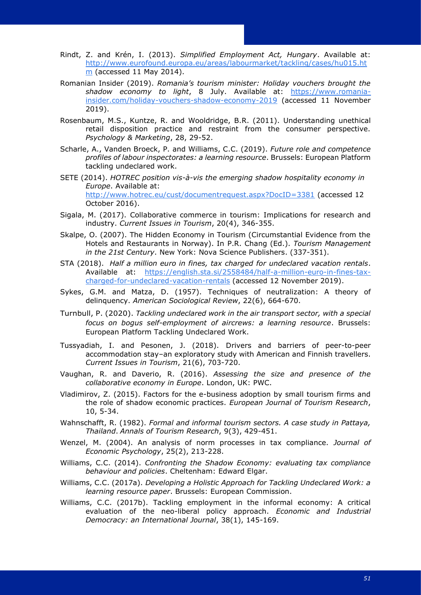- Rindt, Z. and Krén, I. (2013). *Simplified Employment Act, Hungary*. Available at: [http://www.eurofound.europa.eu/areas/labourmarket/tackling/cases/hu015.ht](http://www.eurofound.europa.eu/areas/labourmarket/tackling/cases/hu015.htm)  $m$  (accessed 11 May 2014).
- Romanian Insider (2019). *Romania's tourism minister: Holiday vouchers brought the shadow economy to light*, 8 July. Available at: [https://www.romania](https://www.romania-insider.com/holiday-vouchers-shadow-economy-2019)[insider.com/holiday-vouchers-shadow-economy-2019](https://www.romania-insider.com/holiday-vouchers-shadow-economy-2019) (accessed 11 November 2019).
- Rosenbaum, M.S., Kuntze, R. and Wooldridge, B.R. (2011). Understanding unethical retail disposition practice and restraint from the consumer perspective. *Psychology & Marketing*, 28, 29-52.
- Scharle, A., Vanden Broeck, P. and Williams, C.C. (2019). *Future role and competence profiles of labour inspectorates: a learning resource*. Brussels: European Platform tackling undeclared work.
- SETE (2014). *HOTREC position vis-à-vis the emerging shadow hospitality economy in Europe*. Available at: <http://www.hotrec.eu/cust/documentrequest.aspx?DocID=3381> (accessed 12 October 2016).
- Sigala, M. (2017). Collaborative commerce in tourism: Implications for research and industry. *Current Issues in Tourism*, 20(4), 346-355.
- Skalpe, O. (2007). The Hidden Economy in Tourism (Circumstantial Evidence from the Hotels and Restaurants in Norway). In P.R. Chang (Ed.). *Tourism Management in the 21st Century*. New York: Nova Science Publishers. (337-351).
- STA (2018).*Half a million euro in fines, tax charged for undeclared vacation rentals*. Available at: [https://english.sta.si/2558484/half-a-million-euro-in-fines-tax](https://english.sta.si/2558484/half-a-million-euro-in-fines-tax-charged-for-undeclared-vacation-rentals)[charged-for-undeclared-vacation-rentals](https://english.sta.si/2558484/half-a-million-euro-in-fines-tax-charged-for-undeclared-vacation-rentals) (accessed 12 November 2019).
- Sykes, G.M. and Matza, D. (1957). Techniques of neutralization: A theory of delinquency. *American Sociological Review*, 22(6), 664-670.
- Turnbull, P. (2020). *Tackling undeclared work in the air transport sector, with a special focus on bogus self-employment of aircrews: a learning resource*. Brussels: European Platform Tackling Undeclared Work.
- Tussyadiah, I. and Pesonen, J. (2018). Drivers and barriers of peer-to-peer accommodation stay–an exploratory study with American and Finnish travellers. *Current Issues in Tourism*, 21(6), 703-720.
- Vaughan, R. and Daverio, R. (2016). *Assessing the size and presence of the collaborative economy in Europe*. London, UK: PWC.
- Vladimirov, Z. (2015). Factors for the e-business adoption by small tourism firms and the role of shadow economic practices. *European Journal of Tourism Research*, 10, 5-34.
- Wahnschafft, R. (1982). *Formal and informal tourism sectors. A case study in Pattaya, Thailand*. *Annals of Tourism Research*, 9(3), 429-451.
- Wenzel, M. (2004). An analysis of norm processes in tax compliance. *Journal of Economic Psychology*, 25(2), 213-228.
- Williams, C.C. (2014). *Confronting the Shadow Economy: evaluating tax compliance behaviour and policies*. Cheltenham: Edward Elgar.
- Williams, C.C. (2017a). *Developing a Holistic Approach for Tackling Undeclared Work: a learning resource paper*. Brussels: European Commission.
- Williams, C.C. (2017b). Tackling employment in the informal economy: A critical evaluation of the neo-liberal policy approach. *Economic and Industrial Democracy: an International Journal*, 38(1), 145-169.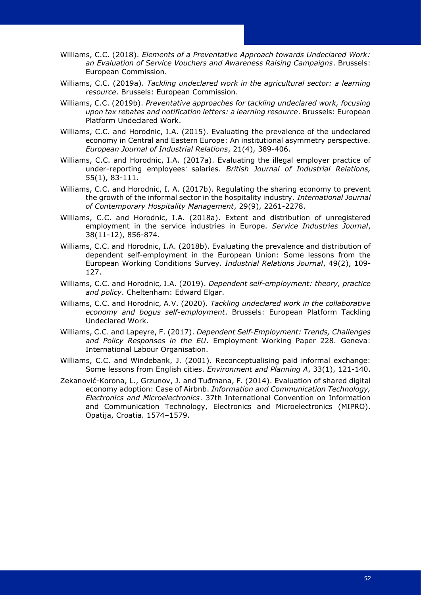Williams, C.C. (2018). *Elements of a Preventative Approach towards Undeclared Work: an Evaluation of Service Vouchers and Awareness Raising Campaigns*. Brussels: European Commission.

- Williams, C.C. (2019a). *Tackling undeclared work in the agricultural sector: a learning resource*. Brussels: European Commission.
- Williams, C.C. (2019b). *Preventative approaches for tackling undeclared work, focusing upon tax rebates and notification letters: a learning resource*. Brussels: European Platform Undeclared Work.
- Williams, C.C. and Horodnic, I.A. (2015). Evaluating the prevalence of the undeclared economy in Central and Eastern Europe: An institutional asymmetry perspective. *European Journal of Industrial Relations*, 21(4), 389-406.
- Williams, C.C. and Horodnic, I.A. (2017a). Evaluating the illegal employer practice of under-reporting employees' salaries. *British Journal of Industrial Relations,* 55(1), 83-111.
- Williams, C.C. and Horodnic, I. A. (2017b). Regulating the sharing economy to prevent the growth of the informal sector in the hospitality industry. *International Journal of Contemporary Hospitality Management*, 29(9), 2261-2278.
- Williams, C.C. and Horodnic, I.A. (2018a). Extent and distribution of unregistered employment in the service industries in Europe. *Service Industries Journal*, 38(11-12), 856-874.
- Williams, C.C. and Horodnic, I.A. (2018b). Evaluating the prevalence and distribution of dependent self-employment in the European Union: Some lessons from the European Working Conditions Survey. *Industrial Relations Journal*, 49(2), 109- 127.
- Williams, C.C. and Horodnic, I.A. (2019). *Dependent self-employment: theory, practice and policy*. Cheltenham: Edward Elgar.
- Williams, C.C. and Horodnic, A.V. (2020). *Tackling undeclared work in the collaborative economy and bogus self-employment*. Brussels: European Platform Tackling Undeclared Work.
- Williams, C.C. and Lapeyre, F. (2017). *Dependent Self-Employment: Trends, Challenges and Policy Responses in the EU*. Employment Working Paper 228. Geneva: International Labour Organisation.
- Williams, C.C. and Windebank, J. (2001). Reconceptualising paid informal exchange: Some lessons from English cities. *Environment and Planning A*, 33(1), 121-140.
- Zekanović-Korona, L., Grzunov, J. and Tuđmana, F. (2014). Evaluation of shared digital economy adoption: Case of Airbnb. *Information and Communication Technology, Electronics and Microelectronics*. 37th International Convention on Information and Communication Technology, Electronics and Microelectronics (MIPRO). Opatija, Croatia. 1574–1579.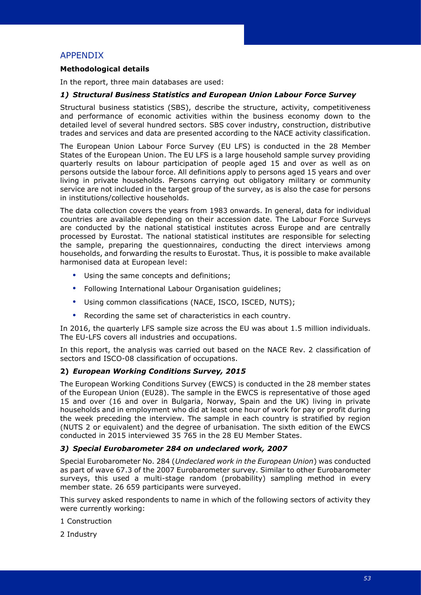## <span id="page-56-0"></span>APPENDIX

## **Methodological details**

In the report, three main databases are used:

#### *1) Structural Business Statistics and European Union Labour Force Survey*

Structural business statistics (SBS), describe the structure, activity, competitiveness and performance of economic activities within the business economy down to the detailed level of several hundred sectors. SBS cover industry, construction, distributive trades and services and data are presented according to the NACE activity classification.

The European Union Labour Force Survey (EU LFS) is conducted in the 28 Member States of the European Union. The EU LFS is a large household sample survey providing quarterly results on labour participation of people aged 15 and over as well as on persons outside the labour force. All definitions apply to persons aged 15 years and over living in private households. Persons carrying out obligatory military or community service are not included in the target group of the survey, as is also the case for persons in institutions/collective households.

The data collection covers the years from 1983 onwards. In general, data for individual countries are available depending on their accession date. The Labour Force Surveys are conducted by the national statistical institutes across Europe and are centrally processed by Eurostat. The national statistical institutes are responsible for selecting the sample, preparing the questionnaires, conducting the direct interviews among households, and forwarding the results to Eurostat. Thus, it is possible to make available harmonised data at European level:

- Using the same concepts and definitions;
- Following International Labour Organisation guidelines;
- Using common classifications (NACE, ISCO, ISCED, NUTS);
- Recording the same set of characteristics in each country.

In 2016, the quarterly LFS sample size across the EU was about 1.5 million individuals. The EU-LFS covers all industries and occupations.

In this report, the analysis was carried out based on the NACE Rev. 2 classification of sectors and ISCO-08 classification of occupations.

#### **2)** *European Working Conditions Survey, 2015*

The European Working Conditions Survey (EWCS) is conducted in the 28 member states of the European Union (EU28). The sample in the EWCS is representative of those aged 15 and over (16 and over in Bulgaria, Norway, Spain and the UK) living in private households and in employment who did at least one hour of work for pay or profit during the week preceding the interview. The sample in each country is stratified by region (NUTS 2 or equivalent) and the degree of urbanisation. The sixth edition of the EWCS conducted in 2015 interviewed 35 765 in the 28 EU Member States.

#### *3) Special Eurobarometer 284 on undeclared work, 2007*

Special Eurobarometer No. 284 (*Undeclared work in the European Union*) was conducted as part of wave 67.3 of the 2007 Eurobarometer survey. Similar to other Eurobarometer surveys, this used a multi-stage random (probability) sampling method in every member state. 26 659 participants were surveyed.

This survey asked respondents to name in which of the following sectors of activity they were currently working:

1 Construction

2 Industry